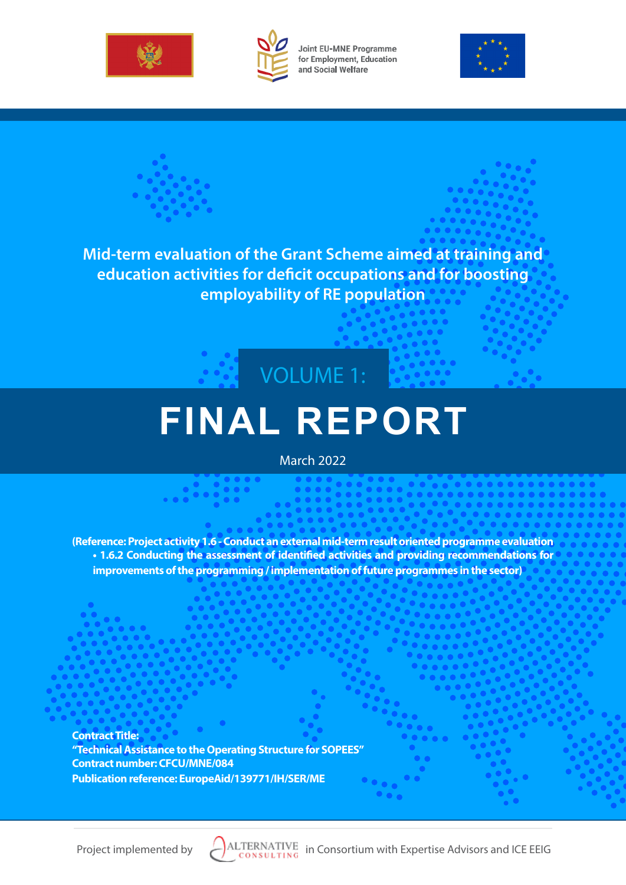



Joint EU-MNE Programme for Employment, Education and Social Welfare



**Mid-term evaluation of the Grant Scheme aimed at training and education activities for deficit occupations and for boosting employability of RE population**



# **FINAL REPORT**

March 2022

**(Reference: Project activity 1.6 - Conduct an external mid-term result oriented programme evaluation • 1.6.2 Conducting the assessment of identified activities and providing recommendations for improvements of the programming / implementation of future programmes in the sector)**

**Contract Title: "Technical Assistance to the Operating Structure for SOPEES" Contract number: CFCU/MNE/084 Publication reference: EuropeAid/139771/IH/SER/ME**

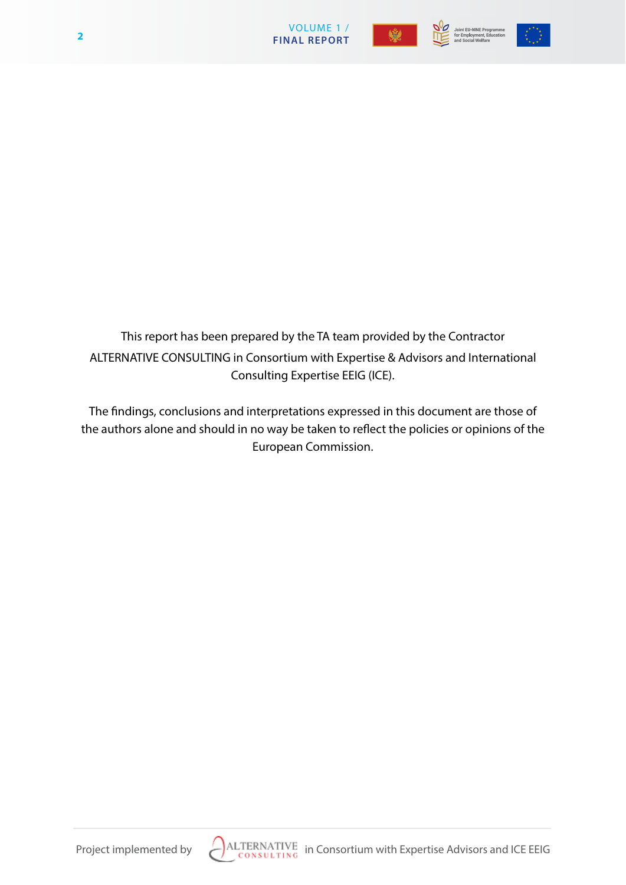

Joint EU-MNE Programme<br>for Employment, Education<br>and Social Welfare



This report has been prepared by the TA team provided by the Contractor ALTERNATIVE CONSULTING in Consortium with Expertise & Advisors and International Consulting Expertise EEIG (ICE).

The findings, conclusions and interpretations expressed in this document are those of the authors alone and should in no way be taken to reflect the policies or opinions of the European Commission.

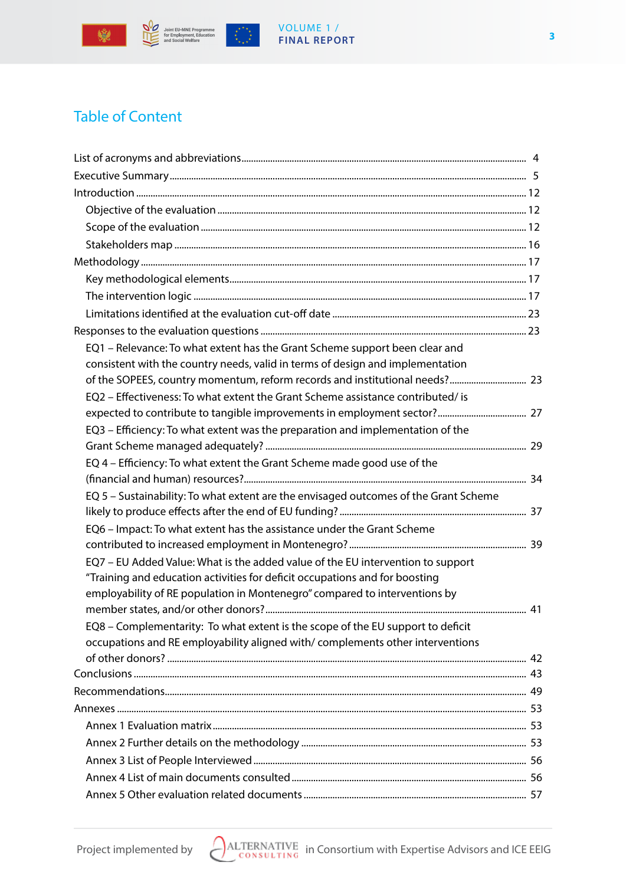

 $\mathcal{L}^{\mathcal{M}}_{\mathcal{L},\mathcal{F}}$ 

# VOLUME 1 / **FINAL REPORT**

# Table of Content

| EQ1 - Relevance: To what extent has the Grant Scheme support been clear and<br>consistent with the country needs, valid in terms of design and implementation                                                                                |  |
|----------------------------------------------------------------------------------------------------------------------------------------------------------------------------------------------------------------------------------------------|--|
|                                                                                                                                                                                                                                              |  |
| EQ2 - Effectiveness: To what extent the Grant Scheme assistance contributed/ is                                                                                                                                                              |  |
| EQ3 - Efficiency: To what extent was the preparation and implementation of the                                                                                                                                                               |  |
| EQ 4 - Efficiency: To what extent the Grant Scheme made good use of the                                                                                                                                                                      |  |
| EQ 5 - Sustainability: To what extent are the envisaged outcomes of the Grant Scheme                                                                                                                                                         |  |
| EQ6 - Impact: To what extent has the assistance under the Grant Scheme                                                                                                                                                                       |  |
| EO7 - EU Added Value: What is the added value of the EU intervention to support<br>"Training and education activities for deficit occupations and for boosting<br>employability of RE population in Montenegro" compared to interventions by |  |
| EQ8 - Complementarity: To what extent is the scope of the EU support to deficit<br>occupations and RE employability aligned with/complements other interventions                                                                             |  |
|                                                                                                                                                                                                                                              |  |
|                                                                                                                                                                                                                                              |  |
|                                                                                                                                                                                                                                              |  |
|                                                                                                                                                                                                                                              |  |
|                                                                                                                                                                                                                                              |  |
|                                                                                                                                                                                                                                              |  |
|                                                                                                                                                                                                                                              |  |
|                                                                                                                                                                                                                                              |  |
|                                                                                                                                                                                                                                              |  |

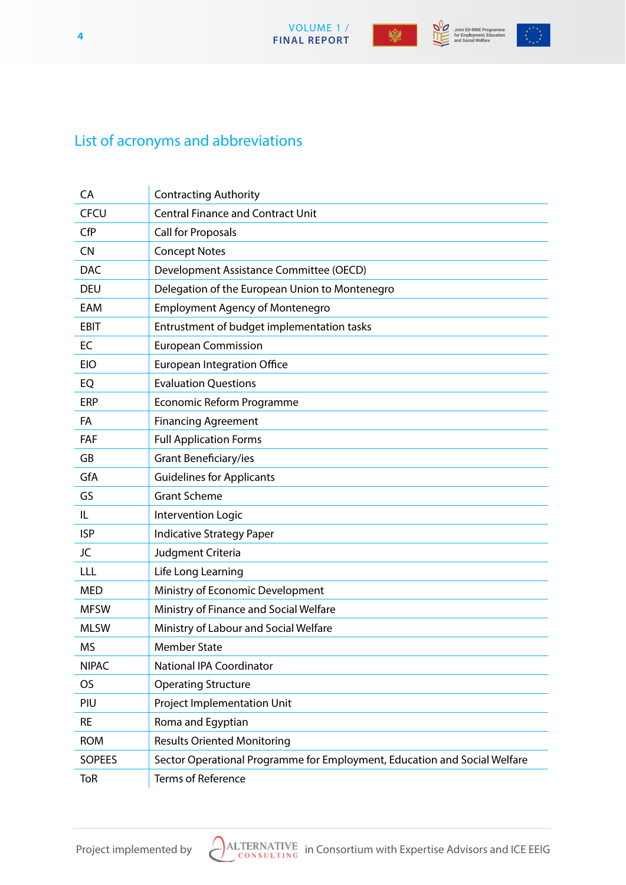VOLUME 1 /  **FINAL REPORT 4**



Joint EU-MNE Programme<br>for Employment, Education<br>and Social Welfare



# List of acronyms and abbreviations

| CA            | <b>Contracting Authority</b>                                              |
|---------------|---------------------------------------------------------------------------|
| <b>CFCU</b>   | <b>Central Finance and Contract Unit</b>                                  |
| CfP           | <b>Call for Proposals</b>                                                 |
| <b>CN</b>     | <b>Concept Notes</b>                                                      |
| <b>DAC</b>    | Development Assistance Committee (OECD)                                   |
| <b>DEU</b>    | Delegation of the European Union to Montenegro                            |
| EAM           | <b>Employment Agency of Montenegro</b>                                    |
| <b>EBIT</b>   | Entrustment of budget implementation tasks                                |
| EC            | <b>European Commission</b>                                                |
| <b>EIO</b>    | <b>European Integration Office</b>                                        |
| EQ            | <b>Evaluation Questions</b>                                               |
| ERP           | Economic Reform Programme                                                 |
| FA            | <b>Financing Agreement</b>                                                |
| FAF           | <b>Full Application Forms</b>                                             |
| GB            | Grant Beneficiary/ies                                                     |
| GfA           | <b>Guidelines for Applicants</b>                                          |
| GS            | <b>Grant Scheme</b>                                                       |
| IL            | Intervention Logic                                                        |
| <b>ISP</b>    | <b>Indicative Strategy Paper</b>                                          |
| JC            | Judgment Criteria                                                         |
| LLL           | Life Long Learning                                                        |
| <b>MED</b>    | Ministry of Economic Development                                          |
| <b>MFSW</b>   | Ministry of Finance and Social Welfare                                    |
| <b>MLSW</b>   | Ministry of Labour and Social Welfare                                     |
| <b>MS</b>     | <b>Member State</b>                                                       |
| <b>NIPAC</b>  | <b>National IPA Coordinator</b>                                           |
| OS            | <b>Operating Structure</b>                                                |
| PIU           | Project Implementation Unit                                               |
| <b>RE</b>     | Roma and Egyptian                                                         |
| <b>ROM</b>    | <b>Results Oriented Monitoring</b>                                        |
| <b>SOPEES</b> | Sector Operational Programme for Employment, Education and Social Welfare |
| <b>ToR</b>    | <b>Terms of Reference</b>                                                 |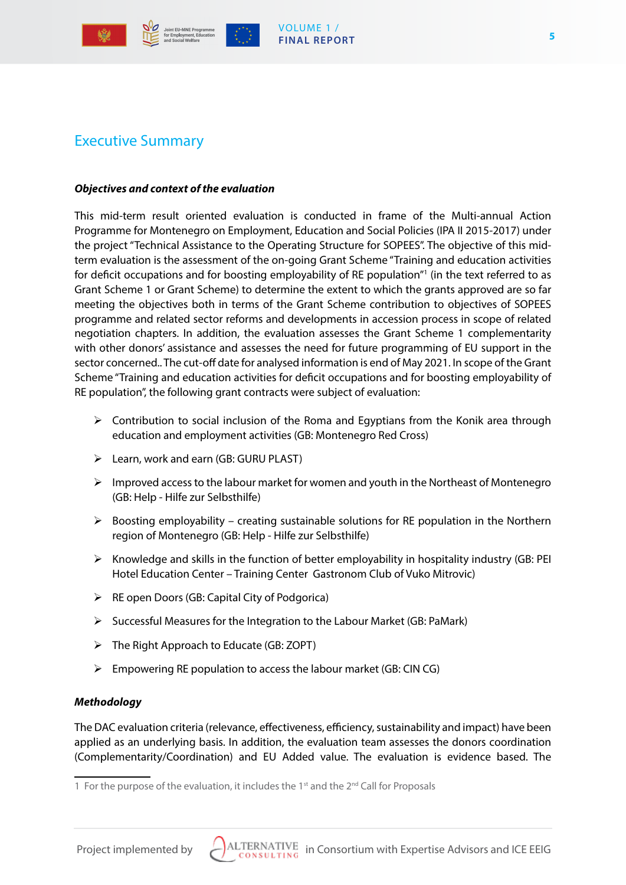



# Executive Summary

#### *Objectives and context of the evaluation*

This mid-term result oriented evaluation is conducted in frame of the Multi-annual Action Programme for Montenegro on Employment, Education and Social Policies (IPA II 2015-2017) under the project "Technical Assistance to the Operating Structure for SOPEES". The objective of this midterm evaluation is the assessment of the on-going Grant Scheme "Training and education activities for deficit occupations and for boosting employability of RE population"1 (in the text referred to as Grant Scheme 1 or Grant Scheme) to determine the extent to which the grants approved are so far meeting the objectives both in terms of the Grant Scheme contribution to objectives of SOPEES programme and related sector reforms and developments in accession process in scope of related negotiation chapters. In addition, the evaluation assesses the Grant Scheme 1 complementarity with other donors' assistance and assesses the need for future programming of EU support in the sector concerned.. The cut-off date for analysed information is end of May 2021. In scope of the Grant Scheme "Training and education activities for deficit occupations and for boosting employability of RE population", the following grant contracts were subject of evaluation:

- $\triangleright$  Contribution to social inclusion of the Roma and Egyptians from the Konik area through education and employment activities (GB: Montenegro Red Cross)
- Learn, work and earn (GB: GURU PLAST)
- $\triangleright$  Improved access to the labour market for women and youth in the Northeast of Montenegro (GB: Help - Hilfe zur Selbsthilfe)
- $\triangleright$  Boosting employability creating sustainable solutions for RE population in the Northern region of Montenegro (GB: Help - Hilfe zur Selbsthilfe)
- $\triangleright$  Knowledge and skills in the function of better employability in hospitality industry (GB: PEI Hotel Education Center – Training Center Gastronom Club of Vuko Mitrovic)
- $\triangleright$  RE open Doors (GB: Capital City of Podgorica)
- $\triangleright$  Successful Measures for the Integration to the Labour Market (GB: PaMark)
- The Right Approach to Educate (GB: ZOPT)
- $\triangleright$  Empowering RE population to access the labour market (GB: CIN CG)

#### *Methodology*

The DAC evaluation criteria (relevance, effectiveness, efficiency, sustainability and impact) have been applied as an underlying basis. In addition, the evaluation team assesses the donors coordination (Complementarity/Coordination) and EU Added value. The evaluation is evidence based. The

**5**



<sup>1</sup> For the purpose of the evaluation, it includes the  $1<sup>st</sup>$  and the  $2<sup>nd</sup>$  Call for Proposals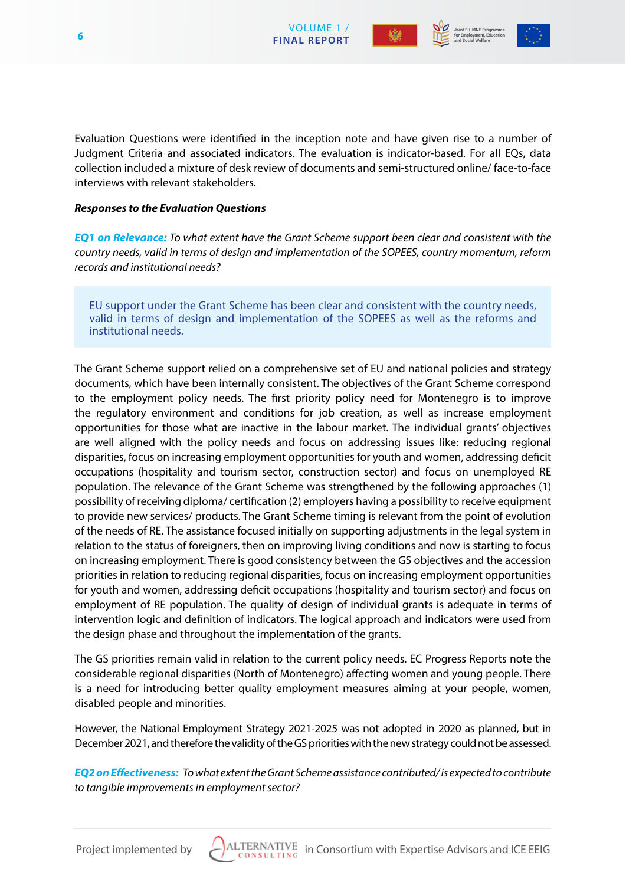



Evaluation Questions were identified in the inception note and have given rise to a number of Judgment Criteria and associated indicators. The evaluation is indicator-based. For all EQs, data collection included a mixture of desk review of documents and semi-structured online/ face-to-face interviews with relevant stakeholders.

#### *Responses to the Evaluation Questions*

*EQ1 on Relevance: To what extent have the Grant Scheme support been clear and consistent with the country needs, valid in terms of design and implementation of the SOPEES, country momentum, reform records and institutional needs?*

EU support under the Grant Scheme has been clear and consistent with the country needs, valid in terms of design and implementation of the SOPEES as well as the reforms and institutional needs.

The Grant Scheme support relied on a comprehensive set of EU and national policies and strategy documents, which have been internally consistent. The objectives of the Grant Scheme correspond to the employment policy needs. The first priority policy need for Montenegro is to improve the regulatory environment and conditions for job creation, as well as increase employment opportunities for those what are inactive in the labour market. The individual grants' objectives are well aligned with the policy needs and focus on addressing issues like: reducing regional disparities, focus on increasing employment opportunities for youth and women, addressing deficit occupations (hospitality and tourism sector, construction sector) and focus on unemployed RE population. The relevance of the Grant Scheme was strengthened by the following approaches (1) possibility of receiving diploma/ certification (2) employers having a possibility to receive equipment to provide new services/ products. The Grant Scheme timing is relevant from the point of evolution of the needs of RE. The assistance focused initially on supporting adjustments in the legal system in relation to the status of foreigners, then on improving living conditions and now is starting to focus on increasing employment. There is good consistency between the GS objectives and the accession priorities in relation to reducing regional disparities, focus on increasing employment opportunities for youth and women, addressing deficit occupations (hospitality and tourism sector) and focus on employment of RE population. The quality of design of individual grants is adequate in terms of intervention logic and definition of indicators. The logical approach and indicators were used from the design phase and throughout the implementation of the grants.

The GS priorities remain valid in relation to the current policy needs. EC Progress Reports note the considerable regional disparities (North of Montenegro) affecting women and young people. There is a need for introducing better quality employment measures aiming at your people, women, disabled people and minorities.

However, the National Employment Strategy 2021-2025 was not adopted in 2020 as planned, but in December 2021, and therefore the validity of the GS priorities with the new strategy could not be assessed.

*EQ2 on Effectiveness: To what extent the Grant Scheme assistance contributed/ is expected to contribute to tangible improvements in employment sector?*

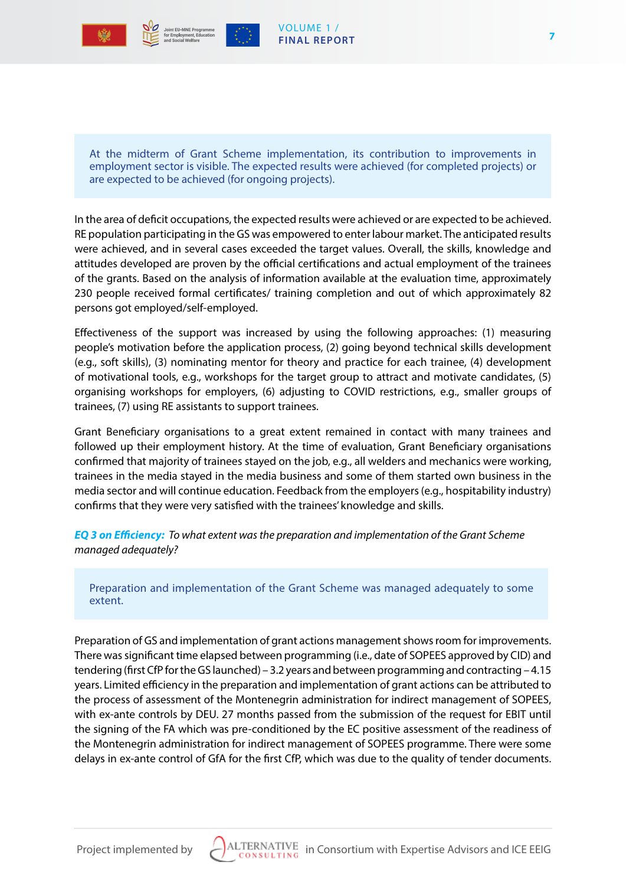

#### VOLUME 1 / **FINAL REPORT**

At the midterm of Grant Scheme implementation, its contribution to improvements in employment sector is visible. The expected results were achieved (for completed projects) or are expected to be achieved (for ongoing projects).

In the area of deficit occupations, the expected results were achieved or are expected to be achieved. RE population participating in the GS was empowered to enter labour market. The anticipated results were achieved, and in several cases exceeded the target values. Overall, the skills, knowledge and attitudes developed are proven by the official certifications and actual employment of the trainees of the grants. Based on the analysis of information available at the evaluation time, approximately 230 people received formal certificates/ training completion and out of which approximately 82 persons got employed/self-employed.

Effectiveness of the support was increased by using the following approaches: (1) measuring people's motivation before the application process, (2) going beyond technical skills development (e.g., soft skills), (3) nominating mentor for theory and practice for each trainee, (4) development of motivational tools, e.g., workshops for the target group to attract and motivate candidates, (5) organising workshops for employers, (6) adjusting to COVID restrictions, e.g., smaller groups of trainees, (7) using RE assistants to support trainees.

Grant Beneficiary organisations to a great extent remained in contact with many trainees and followed up their employment history. At the time of evaluation, Grant Beneficiary organisations confirmed that majority of trainees stayed on the job, e.g., all welders and mechanics were working, trainees in the media stayed in the media business and some of them started own business in the media sector and will continue education. Feedback from the employers (e.g., hospitability industry) confirms that they were very satisfied with the trainees' knowledge and skills.

*EQ 3 on Efficiency: To what extent was the preparation and implementation of the Grant Scheme managed adequately?*

Preparation and implementation of the Grant Scheme was managed adequately to some extent.

Preparation of GS and implementation of grant actions management shows room for improvements. There was significant time elapsed between programming (i.e., date of SOPEES approved by CID) and tendering (first CfP for the GS launched) – 3.2 years and between programming and contracting – 4.15 years. Limited efficiency in the preparation and implementation of grant actions can be attributed to the process of assessment of the Montenegrin administration for indirect management of SOPEES, with ex-ante controls by DEU. 27 months passed from the submission of the request for EBIT until the signing of the FA which was pre-conditioned by the EC positive assessment of the readiness of the Montenegrin administration for indirect management of SOPEES programme. There were some delays in ex-ante control of GfA for the first CfP, which was due to the quality of tender documents.

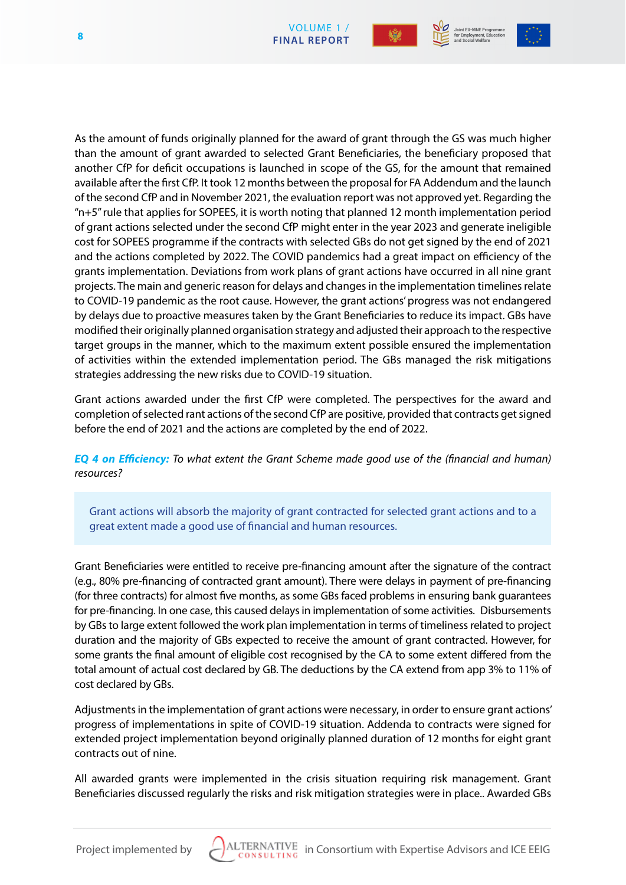



As the amount of funds originally planned for the award of grant through the GS was much higher than the amount of grant awarded to selected Grant Beneficiaries, the beneficiary proposed that another CfP for deficit occupations is launched in scope of the GS, for the amount that remained available after the first CfP. It took 12 months between the proposal for FA Addendum and the launch of the second CfP and in November 2021, the evaluation report was not approved yet. Regarding the "n+5" rule that applies for SOPEES, it is worth noting that planned 12 month implementation period of grant actions selected under the second CfP might enter in the year 2023 and generate ineligible cost for SOPEES programme if the contracts with selected GBs do not get signed by the end of 2021 and the actions completed by 2022. The COVID pandemics had a great impact on efficiency of the grants implementation. Deviations from work plans of grant actions have occurred in all nine grant projects. The main and generic reason for delays and changes in the implementation timelines relate to COVID-19 pandemic as the root cause. However, the grant actions' progress was not endangered by delays due to proactive measures taken by the Grant Beneficiaries to reduce its impact. GBs have modified their originally planned organisation strategy and adjusted their approach to the respective target groups in the manner, which to the maximum extent possible ensured the implementation of activities within the extended implementation period. The GBs managed the risk mitigations strategies addressing the new risks due to COVID-19 situation.

Grant actions awarded under the first CfP were completed. The perspectives for the award and completion of selected rant actions of the second CfP are positive, provided that contracts get signed before the end of 2021 and the actions are completed by the end of 2022.

*EQ 4 on Efficiency: To what extent the Grant Scheme made good use of the (financial and human) resources?*

Grant actions will absorb the majority of grant contracted for selected grant actions and to a great extent made a good use of financial and human resources.

Grant Beneficiaries were entitled to receive pre-financing amount after the signature of the contract (e.g., 80% pre-financing of contracted grant amount). There were delays in payment of pre-financing (for three contracts) for almost five months, as some GBs faced problems in ensuring bank guarantees for pre-financing. In one case, this caused delays in implementation of some activities. Disbursements by GBs to large extent followed the work plan implementation in terms of timeliness related to project duration and the majority of GBs expected to receive the amount of grant contracted. However, for some grants the final amount of eligible cost recognised by the CA to some extent differed from the total amount of actual cost declared by GB. The deductions by the CA extend from app 3% to 11% of cost declared by GBs.

Adjustments in the implementation of grant actions were necessary, in order to ensure grant actions' progress of implementations in spite of COVID-19 situation. Addenda to contracts were signed for extended project implementation beyond originally planned duration of 12 months for eight grant contracts out of nine.

All awarded grants were implemented in the crisis situation requiring risk management. Grant Beneficiaries discussed regularly the risks and risk mitigation strategies were in place.. Awarded GBs

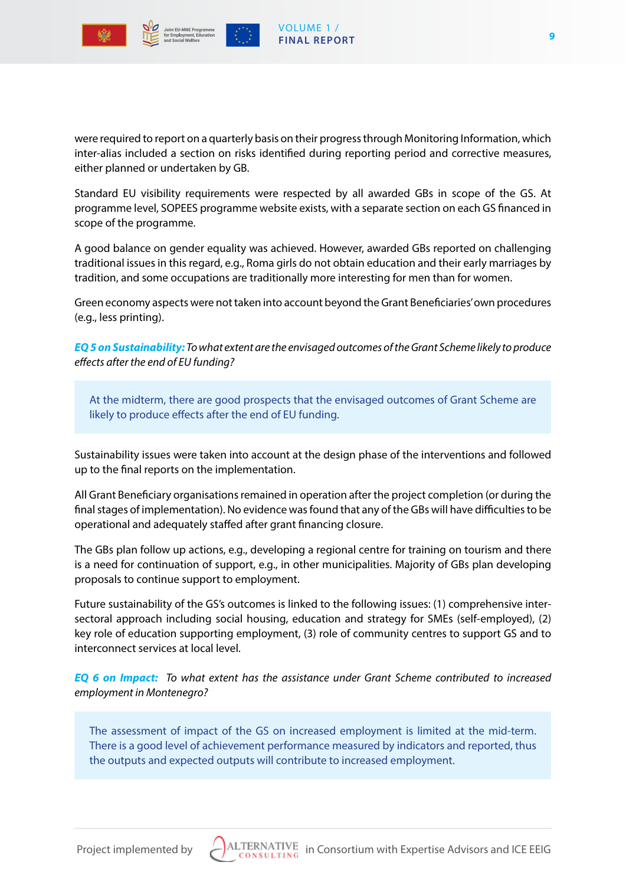



were required to report on a quarterly basis on their progress through Monitoring Information, which inter-alias included a section on risks identified during reporting period and corrective measures, either planned or undertaken by GB.

Standard EU visibility requirements were respected by all awarded GBs in scope of the GS. At programme level, SOPEES programme website exists, with a separate section on each GS financed in scope of the programme.

A good balance on gender equality was achieved. However, awarded GBs reported on challenging traditional issues in this regard, e.g., Roma girls do not obtain education and their early marriages by tradition, and some occupations are traditionally more interesting for men than for women.

Green economy aspects were not taken into account beyond the Grant Beneficiaries' own procedures (e.g., less printing).

*EQ 5 on Sustainability: To what extent are the envisaged outcomes of the Grant Scheme likely to produce effects after the end of EU funding?*

At the midterm, there are good prospects that the envisaged outcomes of Grant Scheme are likely to produce effects after the end of EU funding.

Sustainability issues were taken into account at the design phase of the interventions and followed up to the final reports on the implementation.

All Grant Beneficiary organisations remained in operation after the project completion (or during the final stages of implementation). No evidence was found that any of the GBs will have difficulties to be operational and adequately staffed after grant financing closure.

The GBs plan follow up actions, e.g., developing a regional centre for training on tourism and there is a need for continuation of support, e.g., in other municipalities. Majority of GBs plan developing proposals to continue support to employment.

Future sustainability of the GS's outcomes is linked to the following issues: (1) comprehensive intersectoral approach including social housing, education and strategy for SMEs (self-employed), (2) key role of education supporting employment, (3) role of community centres to support GS and to interconnect services at local level.

*EQ 6 on Impact: To what extent has the assistance under Grant Scheme contributed to increased employment in Montenegro?*

The assessment of impact of the GS on increased employment is limited at the mid-term. There is a good level of achievement performance measured by indicators and reported, thus the outputs and expected outputs will contribute to increased employment.

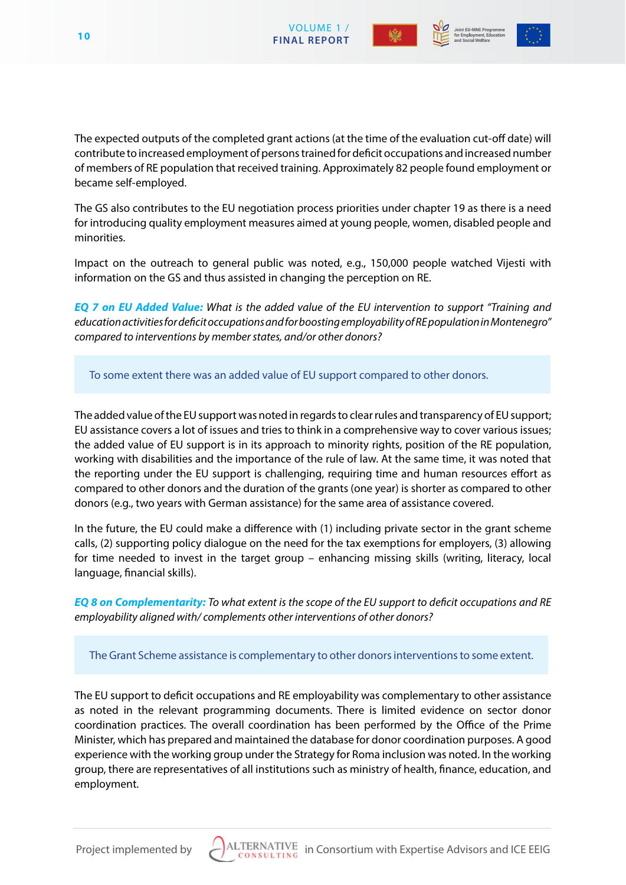





The expected outputs of the completed grant actions (at the time of the evaluation cut-off date) will contribute to increased employment of persons trained for deficit occupations and increased number of members of RE population that received training. Approximately 82 people found employment or became self-employed.

The GS also contributes to the EU negotiation process priorities under chapter 19 as there is a need for introducing quality employment measures aimed at young people, women, disabled people and minorities.

Impact on the outreach to general public was noted, e.g., 150,000 people watched Vijesti with information on the GS and thus assisted in changing the perception on RE.

*EQ 7 on EU Added Value: What is the added value of the EU intervention to support "Training and education activities for deficit occupations and for boosting employability of RE population in Montenegro" compared to interventions by member states, and/or other donors?*

To some extent there was an added value of EU support compared to other donors.

The added value of the EU support was noted in regards to clear rules and transparency of EU support; EU assistance covers a lot of issues and tries to think in a comprehensive way to cover various issues; the added value of EU support is in its approach to minority rights, position of the RE population, working with disabilities and the importance of the rule of law. At the same time, it was noted that the reporting under the EU support is challenging, requiring time and human resources effort as compared to other donors and the duration of the grants (one year) is shorter as compared to other donors (e.g., two years with German assistance) for the same area of assistance covered.

In the future, the EU could make a difference with (1) including private sector in the grant scheme calls, (2) supporting policy dialogue on the need for the tax exemptions for employers, (3) allowing for time needed to invest in the target group – enhancing missing skills (writing, literacy, local language, financial skills).

*EQ 8 on Complementarity: To what extent is the scope of the EU support to deficit occupations and RE employability aligned with/ complements other interventions of other donors?* 

The Grant Scheme assistance is complementary to other donors interventions to some extent.

The EU support to deficit occupations and RE employability was complementary to other assistance as noted in the relevant programming documents. There is limited evidence on sector donor coordination practices. The overall coordination has been performed by the Office of the Prime Minister, which has prepared and maintained the database for donor coordination purposes. A good experience with the working group under the Strategy for Roma inclusion was noted. In the working group, there are representatives of all institutions such as ministry of health, finance, education, and employment.

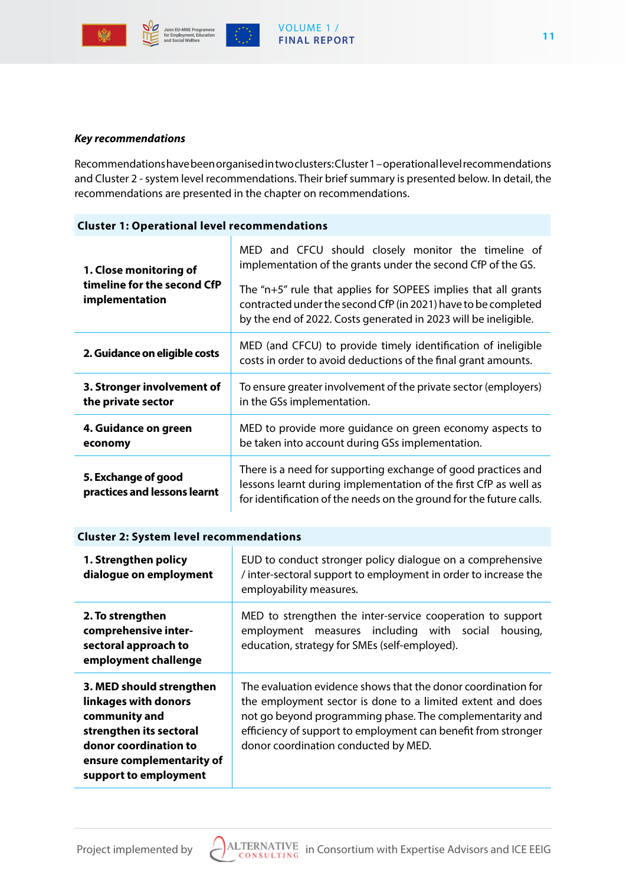

#### *Key recommendations*

Recommendations have been organised in two clusters: Cluster 1 – operational level recommendations and Cluster 2 - system level recommendations. Their brief summary is presented below. In detail, the recommendations are presented in the chapter on recommendations.

#### **Cluster 1: Operational level recommendations**

| 1. Close monitoring of                           | MED and CFCU should closely monitor the timeline of<br>implementation of the grants under the second CfP of the GS.                                                                                     |
|--------------------------------------------------|---------------------------------------------------------------------------------------------------------------------------------------------------------------------------------------------------------|
| timeline for the second CfP<br>implementation    | The " $n+5$ " rule that applies for SOPEES implies that all grants<br>contracted under the second CfP (in 2021) have to be completed<br>by the end of 2022. Costs generated in 2023 will be ineligible. |
| 2. Guidance on eligible costs                    | MED (and CFCU) to provide timely identification of ineligible<br>costs in order to avoid deductions of the final grant amounts.                                                                         |
| 3. Stronger involvement of<br>the private sector | To ensure greater involvement of the private sector (employers)<br>in the GSs implementation.                                                                                                           |
| 4. Guidance on green<br>economy                  | MED to provide more guidance on green economy aspects to<br>be taken into account during GSs implementation.                                                                                            |
|                                                  | There is a need for supporting exchange of good practices and                                                                                                                                           |

#### **Cluster 2: System level recommendations**

| 1. Strengthen policy<br>dialogue on employment                                                                                                                              | EUD to conduct stronger policy dialogue on a comprehensive<br>/ inter-sectoral support to employment in order to increase the<br>employability measures.                                                                                                                                         |
|-----------------------------------------------------------------------------------------------------------------------------------------------------------------------------|--------------------------------------------------------------------------------------------------------------------------------------------------------------------------------------------------------------------------------------------------------------------------------------------------|
| 2. To strengthen<br>comprehensive inter-<br>sectoral approach to<br>employment challenge                                                                                    | MED to strengthen the inter-service cooperation to support<br>employment measures including with social<br>housing,<br>education, strategy for SMEs (self-employed).                                                                                                                             |
| 3. MED should strengthen<br>linkages with donors<br>community and<br>strengthen its sectoral<br>donor coordination to<br>ensure complementarity of<br>support to employment | The evaluation evidence shows that the donor coordination for<br>the employment sector is done to a limited extent and does<br>not go beyond programming phase. The complementarity and<br>efficiency of support to employment can benefit from stronger<br>donor coordination conducted by MED. |

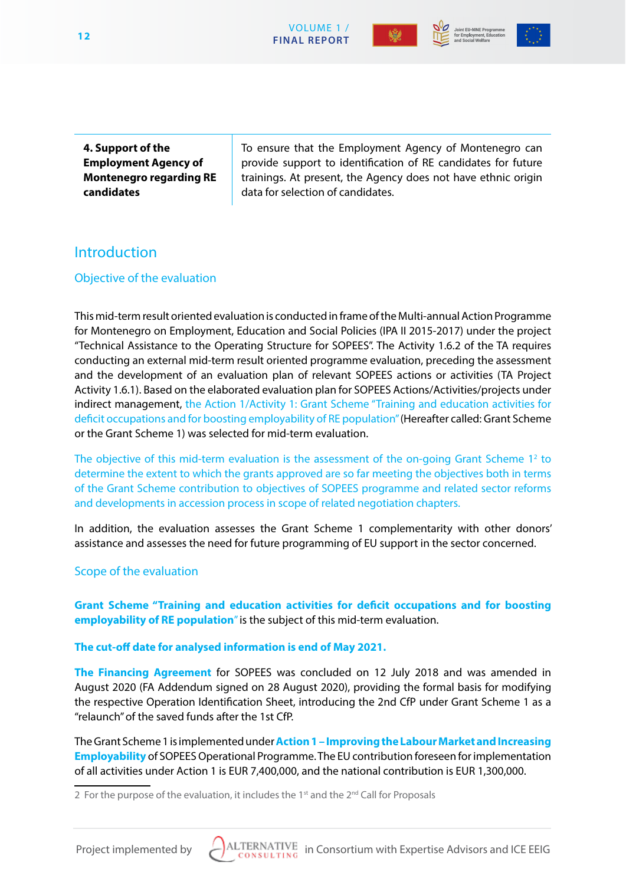





**4. Support of the Employment Agency of Montenegro regarding RE candidates**

To ensure that the Employment Agency of Montenegro can provide support to identification of RE candidates for future trainings. At present, the Agency does not have ethnic origin data for selection of candidates.

# **Introduction**

# Objective of the evaluation

This mid-term result oriented evaluation is conducted in frame of the Multi-annual Action Programme for Montenegro on Employment, Education and Social Policies (IPA II 2015-2017) under the project "Technical Assistance to the Operating Structure for SOPEES". The Activity 1.6.2 of the TA requires conducting an external mid-term result oriented programme evaluation, preceding the assessment and the development of an evaluation plan of relevant SOPEES actions or activities (TA Project Activity 1.6.1). Based on the elaborated evaluation plan for SOPEES Actions/Activities/projects under indirect management, the Action 1/Activity 1: Grant Scheme "Training and education activities for deficit occupations and for boosting employability of RE population" (Hereafter called: Grant Scheme or the Grant Scheme 1) was selected for mid-term evaluation.

The objective of this mid-term evaluation is the assessment of the on-going Grant Scheme  $1<sup>2</sup>$  to determine the extent to which the grants approved are so far meeting the objectives both in terms of the Grant Scheme contribution to objectives of SOPEES programme and related sector reforms and developments in accession process in scope of related negotiation chapters.

In addition, the evaluation assesses the Grant Scheme 1 complementarity with other donors' assistance and assesses the need for future programming of EU support in the sector concerned.

# Scope of the evaluation

**Grant Scheme "Training and education activities for deficit occupations and for boosting employability of RE population**" is the subject of this mid-term evaluation.

#### **The cut-off date for analysed information is end of May 2021.**

**The Financing Agreement** for SOPEES was concluded on 12 July 2018 and was amended in August 2020 (FA Addendum signed on 28 August 2020), providing the formal basis for modifying the respective Operation Identification Sheet, introducing the 2nd CfP under Grant Scheme 1 as a "relaunch" of the saved funds after the 1st CfP.

The Grant Scheme 1 is implemented under**Action 1 – Improving the Labour Market and Increasing Employability** of SOPEES Operational Programme. The EU contribution foreseen for implementation of all activities under Action 1 is EUR 7,400,000, and the national contribution is EUR 1,300,000.



<sup>2</sup> For the purpose of the evaluation, it includes the  $1<sup>st</sup>$  and the  $2<sup>nd</sup>$  Call for Proposals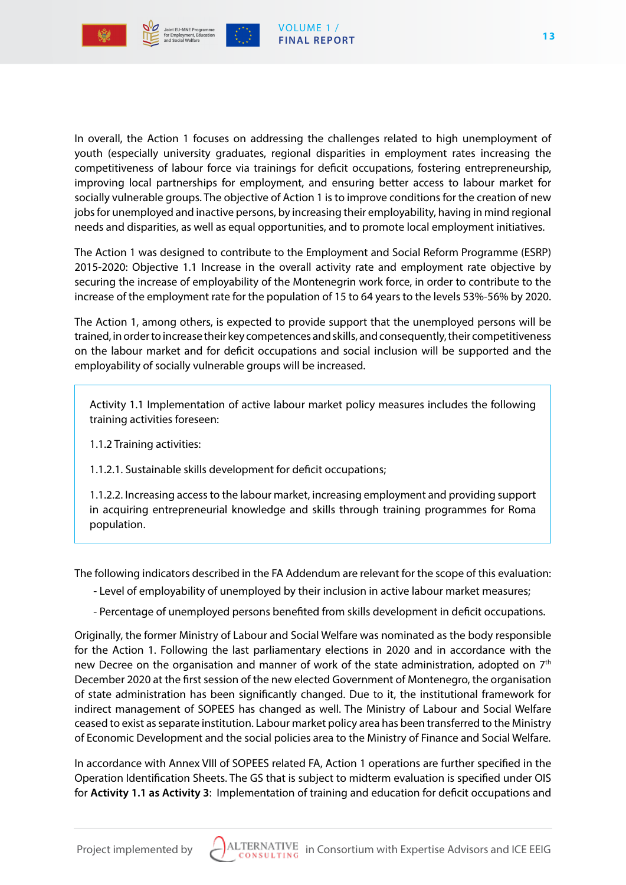

In overall, the Action 1 focuses on addressing the challenges related to high unemployment of youth (especially university graduates, regional disparities in employment rates increasing the competitiveness of labour force via trainings for deficit occupations, fostering entrepreneurship, improving local partnerships for employment, and ensuring better access to labour market for socially vulnerable groups. The objective of Action 1 is to improve conditions for the creation of new jobs for unemployed and inactive persons, by increasing their employability, having in mind regional needs and disparities, as well as equal opportunities, and to promote local employment initiatives.

The Action 1 was designed to contribute to the Employment and Social Reform Programme (ESRP) 2015-2020: Objective 1.1 Increase in the overall activity rate and employment rate objective by securing the increase of employability of the Montenegrin work force, in order to contribute to the increase of the employment rate for the population of 15 to 64 years to the levels 53%-56% by 2020.

The Action 1, among others, is expected to provide support that the unemployed persons will be trained, in order to increase their key competences and skills, and consequently, their competitiveness on the labour market and for deficit occupations and social inclusion will be supported and the employability of socially vulnerable groups will be increased.

Activity 1.1 Implementation of active labour market policy measures includes the following training activities foreseen:

1.1.2 Training activities:

1.1.2.1. Sustainable skills development for deficit occupations;

1.1.2.2. Increasing access to the labour market, increasing employment and providing support in acquiring entrepreneurial knowledge and skills through training programmes for Roma population.

The following indicators described in the FA Addendum are relevant for the scope of this evaluation:

- Level of employability of unemployed by their inclusion in active labour market measures;
- Percentage of unemployed persons benefited from skills development in deficit occupations.

Originally, the former Ministry of Labour and Social Welfare was nominated as the body responsible for the Action 1. Following the last parliamentary elections in 2020 and in accordance with the new Decree on the organisation and manner of work of the state administration, adopted on 7<sup>th</sup> December 2020 at the first session of the new elected Government of Montenegro, the organisation of state administration has been significantly changed. Due to it, the institutional framework for indirect management of SOPEES has changed as well. The Ministry of Labour and Social Welfare ceased to exist as separate institution. Labour market policy area has been transferred to the Ministry of Economic Development and the social policies area to the Ministry of Finance and Social Welfare.

In accordance with Annex VIII of SOPEES related FA, Action 1 operations are further specified in the Operation Identification Sheets. The GS that is subject to midterm evaluation is specified under OIS for **Activity 1.1 as Activity 3**: Implementation of training and education for deficit occupations and

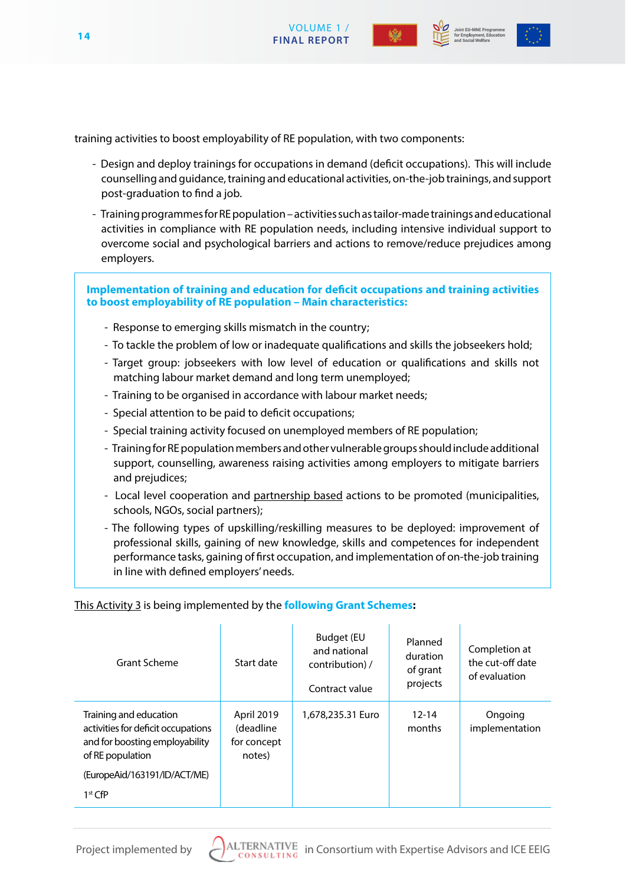



Joint EU-MNE Programme



training activities to boost employability of RE population, with two components:

- Design and deploy trainings for occupations in demand (deficit occupations). This will include counselling and guidance, training and educational activities, on-the-job trainings, and support post-graduation to find a job.
- Training programmes for RE population activities such as tailor-made trainings and educational activities in compliance with RE population needs, including intensive individual support to overcome social and psychological barriers and actions to remove/reduce prejudices among employers.

**Implementation of training and education for deficit occupations and training activities to boost employability of RE population – Main characteristics:**

- Response to emerging skills mismatch in the country;
- To tackle the problem of low or inadequate qualifications and skills the jobseekers hold;
- Target group: jobseekers with low level of education or qualifications and skills not matching labour market demand and long term unemployed;
- Training to be organised in accordance with labour market needs;
- Special attention to be paid to deficit occupations;
- Special training activity focused on unemployed members of RE population;
- Training for RE population members and other vulnerable groups should include additional support, counselling, awareness raising activities among employers to mitigate barriers and prejudices;
- Local level cooperation and partnership based actions to be promoted (municipalities, schools, NGOs, social partners);
- The following types of upskilling/reskilling measures to be deployed: improvement of professional skills, gaining of new knowledge, skills and competences for independent performance tasks, gaining of first occupation, and implementation of on-the-job training in line with defined employers' needs.

#### This Activity 3 is being implemented by the **following Grant Schemes:**

| <b>Grant Scheme</b>                                                                                                                                             | Start date                                       | <b>Budget (EU</b><br>and national<br>contribution) /<br>Contract value | Planned<br>duration<br>of grant<br>projects | Completion at<br>the cut-off date<br>of evaluation |
|-----------------------------------------------------------------------------------------------------------------------------------------------------------------|--------------------------------------------------|------------------------------------------------------------------------|---------------------------------------------|----------------------------------------------------|
| Training and education<br>activities for deficit occupations<br>and for boosting employability<br>of RE population<br>(EuropeAid/163191/ID/ACT/ME)<br>$1st$ CfP | April 2019<br>(deadline<br>for concept<br>notes) | 1,678,235.31 Euro                                                      | $12 - 14$<br>months                         | Ongoing<br>implementation                          |

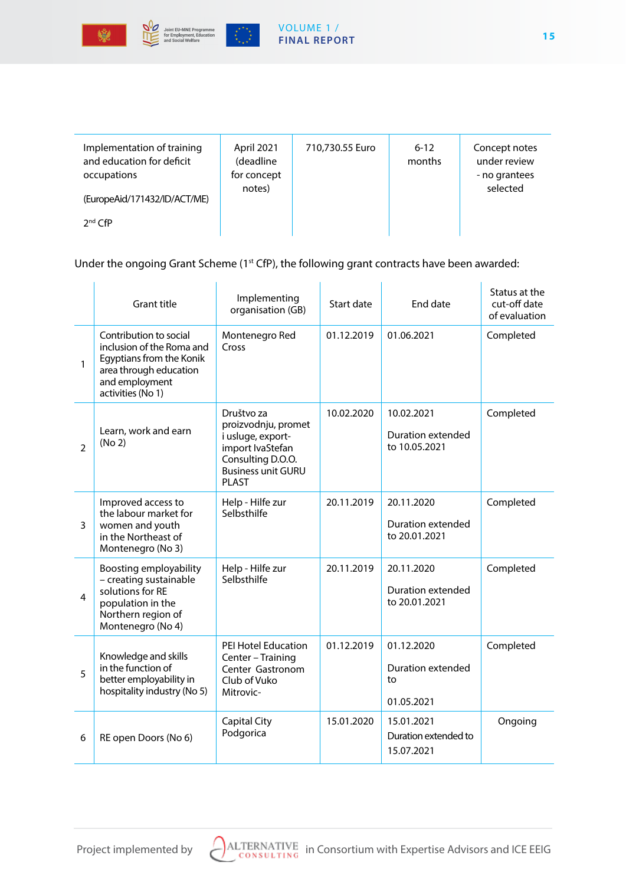



 $\begin{pmatrix} \frac{1}{2} & \frac{1}{2} & \frac{1}{2} \\ \frac{1}{2} & \frac{1}{2} & \frac{1}{2} \\ \frac{1}{2} & \frac{1}{2} & \frac{1}{2} \end{pmatrix}$ 

#### VOLUME 1 / **FINAL REPORT**

| Implementation of training<br>and education for deficit<br>occupations<br>(EuropeAid/171432/ID/ACT/ME)<br>$2nd$ CfP | April 2021<br>(deadline<br>for concept<br>notes) | 710,730.55 Euro | $6 - 12$<br>months | Concept notes<br>under review<br>- no grantees<br>selected |
|---------------------------------------------------------------------------------------------------------------------|--------------------------------------------------|-----------------|--------------------|------------------------------------------------------------|
|                                                                                                                     |                                                  |                 |                    |                                                            |

# Under the ongoing Grant Scheme (1<sup>st</sup> CfP), the following grant contracts have been awarded:

|                | <b>Grant title</b>                                                                                                                               | Implementing<br>organisation (GB)                                                                                                      | Start date | End date                                            | Status at the<br>cut-off date<br>of evaluation |
|----------------|--------------------------------------------------------------------------------------------------------------------------------------------------|----------------------------------------------------------------------------------------------------------------------------------------|------------|-----------------------------------------------------|------------------------------------------------|
| 1              | Contribution to social<br>inclusion of the Roma and<br>Egyptians from the Konik<br>area through education<br>and employment<br>activities (No 1) | Montenegro Red<br>Cross                                                                                                                | 01.12.2019 | 01.06.2021                                          | Completed                                      |
| $\mathfrak{D}$ | Learn, work and earn<br>(No 2)                                                                                                                   | Društvo za<br>proizvodnju, promet<br>i usluge, export-<br>import IvaStefan<br>Consulting D.O.O.<br><b>Business unit GURU</b><br>PI AST | 10.02.2020 | 10.02.2021<br>Duration extended<br>to 10.05.2021    | Completed                                      |
| 3              | Improved access to<br>the labour market for<br>women and youth<br>in the Northeast of<br>Montenegro (No 3)                                       | Help - Hilfe zur<br>Selbsthilfe                                                                                                        | 20.11.2019 | 20.11.2020<br>Duration extended<br>to 20.01.2021    | Completed                                      |
| 4              | Boosting employability<br>- creating sustainable<br>solutions for RE<br>population in the<br>Northern region of<br>Montenegro (No 4)             | Help - Hilfe zur<br>Selbsthilfe                                                                                                        | 20.11.2019 | 20.11.2020<br>Duration extended<br>to 20.01.2021    | Completed                                      |
| 5              | Knowledge and skills<br>in the function of<br>better employability in<br>hospitality industry (No 5)                                             | PEI Hotel Education<br>Center - Training<br>Center Gastronom<br>Club of Vuko<br>Mitrovic-                                              | 01.12.2019 | 01.12.2020<br>Duration extended<br>to<br>01.05.2021 | Completed                                      |
| 6              | RE open Doors (No 6)                                                                                                                             | <b>Capital City</b><br>Podgorica                                                                                                       | 15.01.2020 | 15.01.2021<br>Duration extended to<br>15.07.2021    | Ongoing                                        |

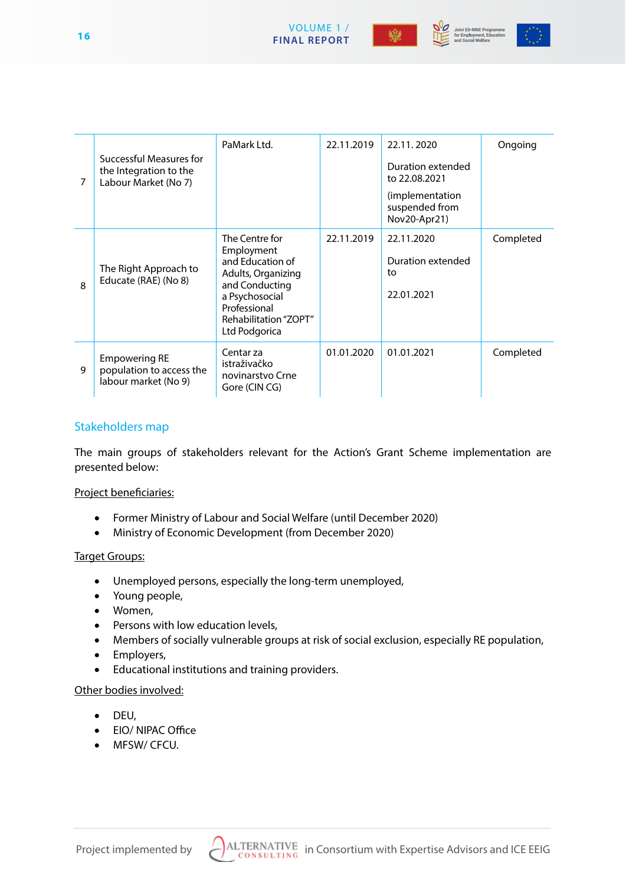





| 7            | Successful Measures for<br>the Integration to the<br>Labour Market (No 7) | PaMark Ltd.                                                                                                                                                          | 22.11.2019 | 22.11.2020<br>Duration extended<br>to 22.08.2021<br>(implementation)<br>suspended from<br>Nov20-Apr21) | Ongoing   |
|--------------|---------------------------------------------------------------------------|----------------------------------------------------------------------------------------------------------------------------------------------------------------------|------------|--------------------------------------------------------------------------------------------------------|-----------|
| $\mathsf{R}$ | The Right Approach to<br>Educate (RAE) (No 8)                             | The Centre for<br>Employment<br>and Education of<br>Adults, Organizing<br>and Conducting<br>a Psychosocial<br>Professional<br>Rehabilitation "ZOPT"<br>Ltd Podgorica | 22.11.2019 | 22.11.2020<br>Duration extended<br>to<br>22.01.2021                                                    | Completed |
| 9            | <b>Empowering RE</b><br>population to access the<br>labour market (No 9)  | Centar za<br>istraživačko<br>novinarstvo Crne<br>Gore (CIN CG)                                                                                                       | 01.01.2020 | 01.01.2021                                                                                             | Completed |

VOLUME 1 /

# Stakeholders map

The main groups of stakeholders relevant for the Action's Grant Scheme implementation are presented below:

#### Project beneficiaries:

- Former Ministry of Labour and Social Welfare (until December 2020)
- • Ministry of Economic Development (from December 2020)

#### Target Groups:

- • Unemployed persons, especially the long-term unemployed,
- Young people,
- • Women,
- • Persons with low education levels,
- Members of socially vulnerable groups at risk of social exclusion, especially RE population,
- • Employers,
- • Educational institutions and training providers.

#### Other bodies involved:

- • DEU,
- EIO/ NIPAC Office
- • MFSW/ CFCU.

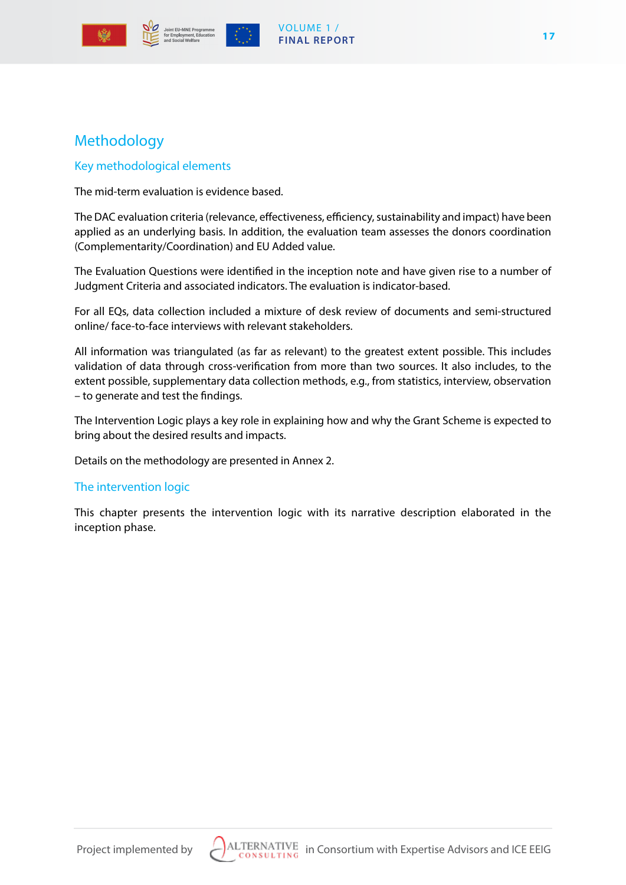



## VOLUME 1 / **FINAL REPORT**

# Methodology

# Key methodological elements

The mid-term evaluation is evidence based.

The DAC evaluation criteria (relevance, effectiveness, efficiency, sustainability and impact) have been applied as an underlying basis. In addition, the evaluation team assesses the donors coordination (Complementarity/Coordination) and EU Added value.

The Evaluation Questions were identified in the inception note and have given rise to a number of Judgment Criteria and associated indicators. The evaluation is indicator-based.

For all EQs, data collection included a mixture of desk review of documents and semi-structured online/ face-to-face interviews with relevant stakeholders.

All information was triangulated (as far as relevant) to the greatest extent possible. This includes validation of data through cross-verification from more than two sources. It also includes, to the extent possible, supplementary data collection methods, e.g., from statistics, interview, observation – to generate and test the findings.

The Intervention Logic plays a key role in explaining how and why the Grant Scheme is expected to bring about the desired results and impacts.

Details on the methodology are presented in Annex 2.

# The intervention logic

This chapter presents the intervention logic with its narrative description elaborated in the inception phase.



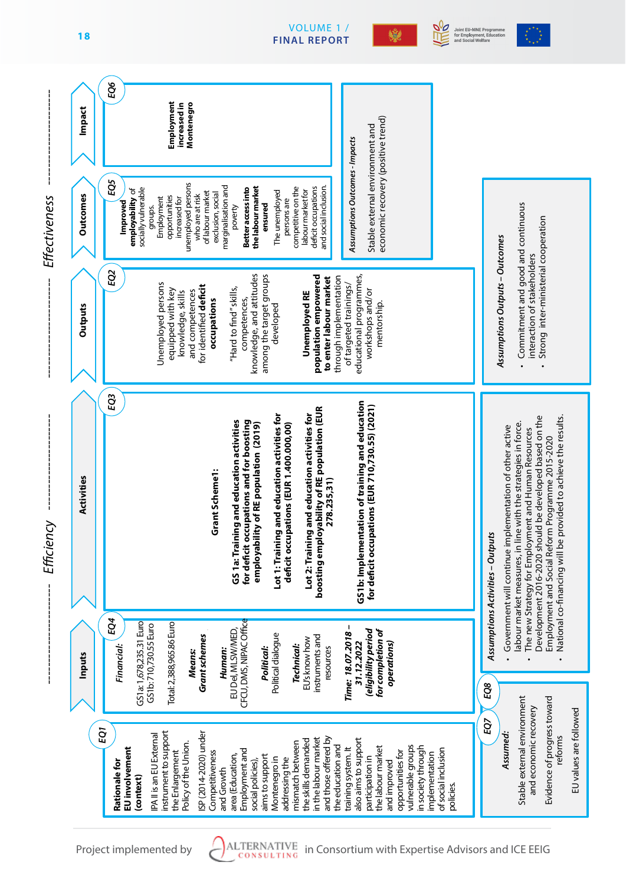

VOLUME 1 /

**THE** 

變

Joint EU-MNE Programme<br>for Employment, Educatior<br>and Social Welfare

ام<br>م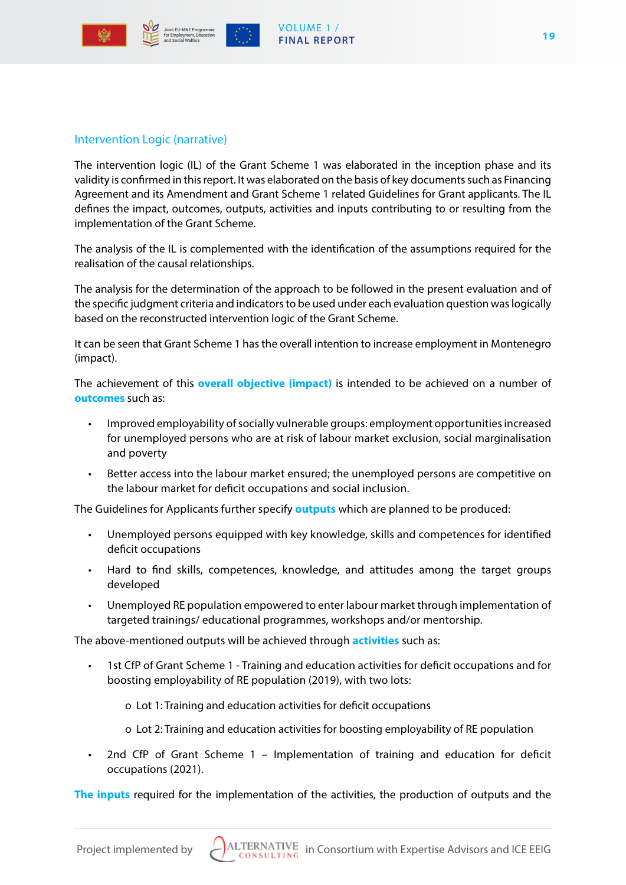



# Intervention Logic (narrative)

The intervention logic (IL) of the Grant Scheme 1 was elaborated in the inception phase and its validity is confirmed in this report. It was elaborated on the basis of key documents such as Financing Agreement and its Amendment and Grant Scheme 1 related Guidelines for Grant applicants. The IL defines the impact, outcomes, outputs, activities and inputs contributing to or resulting from the implementation of the Grant Scheme.

The analysis of the IL is complemented with the identification of the assumptions required for the realisation of the causal relationships.

The analysis for the determination of the approach to be followed in the present evaluation and of the specific judgment criteria and indicators to be used under each evaluation question was logically based on the reconstructed intervention logic of the Grant Scheme.

It can be seen that Grant Scheme 1 has the overall intention to increase employment in Montenegro (impact).

The achievement of this **overall objective (impact)** is intended to be achieved on a number of **outcomes** such as:

- Improved employability of socially vulnerable groups: employment opportunities increased for unemployed persons who are at risk of labour market exclusion, social marginalisation and poverty
- Better access into the labour market ensured; the unemployed persons are competitive on the labour market for deficit occupations and social inclusion.

The Guidelines for Applicants further specify **outputs** which are planned to be produced:

- Unemployed persons equipped with key knowledge, skills and competences for identified deficit occupations
- Hard to find skills, competences, knowledge, and attitudes among the target groups developed
- Unemployed RE population empowered to enter labour market through implementation of targeted trainings/ educational programmes, workshops and/or mentorship.

The above-mentioned outputs will be achieved through **activities** such as:

- 1st CfP of Grant Scheme 1 Training and education activities for deficit occupations and for boosting employability of RE population (2019), with two lots:
	- o Lot 1: Training and education activities for deficit occupations
	- o Lot 2: Training and education activities for boosting employability of RE population
- 2nd CfP of Grant Scheme  $1 -$  Implementation of training and education for deficit occupations (2021).

**The inputs** required for the implementation of the activities, the production of outputs and the

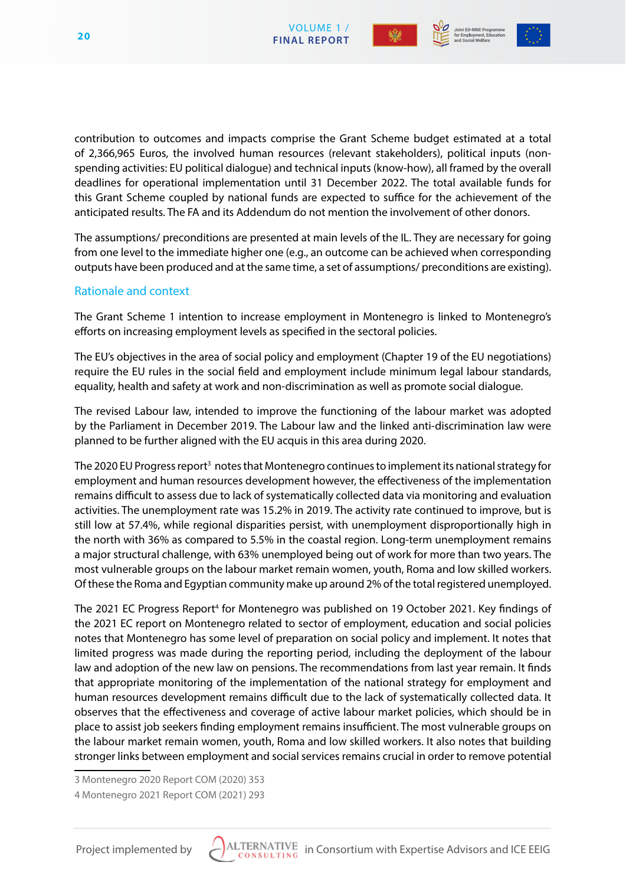



contribution to outcomes and impacts comprise the Grant Scheme budget estimated at a total of 2,366,965 Euros, the involved human resources (relevant stakeholders), political inputs (nonspending activities: EU political dialogue) and technical inputs (know-how), all framed by the overall deadlines for operational implementation until 31 December 2022. The total available funds for this Grant Scheme coupled by national funds are expected to suffice for the achievement of the anticipated results. The FA and its Addendum do not mention the involvement of other donors.

The assumptions/ preconditions are presented at main levels of the IL. They are necessary for going from one level to the immediate higher one (e.g., an outcome can be achieved when corresponding outputs have been produced and at the same time, a set of assumptions/ preconditions are existing).

# Rationale and context

The Grant Scheme 1 intention to increase employment in Montenegro is linked to Montenegro's efforts on increasing employment levels as specified in the sectoral policies.

The EU's objectives in the area of social policy and employment (Chapter 19 of the EU negotiations) require the EU rules in the social field and employment include minimum legal labour standards, equality, health and safety at work and non-discrimination as well as promote social dialogue.

The revised Labour law, intended to improve the functioning of the labour market was adopted by the Parliament in December 2019. The Labour law and the linked anti-discrimination law were planned to be further aligned with the EU acquis in this area during 2020.

The 2020 EU Progress report<sup>3</sup> notes that Montenegro continues to implement its national strategy for employment and human resources development however, the effectiveness of the implementation remains difficult to assess due to lack of systematically collected data via monitoring and evaluation activities. The unemployment rate was 15.2% in 2019. The activity rate continued to improve, but is still low at 57.4%, while regional disparities persist, with unemployment disproportionally high in the north with 36% as compared to 5.5% in the coastal region. Long-term unemployment remains a major structural challenge, with 63% unemployed being out of work for more than two years. The most vulnerable groups on the labour market remain women, youth, Roma and low skilled workers. Of these the Roma and Egyptian community make up around 2% of the total registered unemployed.

The 2021 EC Progress Report<sup>4</sup> for Montenegro was published on 19 October 2021. Key findings of the 2021 EC report on Montenegro related to sector of employment, education and social policies notes that Montenegro has some level of preparation on social policy and implement. It notes that limited progress was made during the reporting period, including the deployment of the labour law and adoption of the new law on pensions. The recommendations from last year remain. It finds that appropriate monitoring of the implementation of the national strategy for employment and human resources development remains difficult due to the lack of systematically collected data. It observes that the effectiveness and coverage of active labour market policies, which should be in place to assist job seekers finding employment remains insufficient. The most vulnerable groups on the labour market remain women, youth, Roma and low skilled workers. It also notes that building stronger links between employment and social services remains crucial in order to remove potential

3 Montenegro 2020 Report COM (2020) 353



<sup>4</sup> Montenegro 2021 Report COM (2021) 293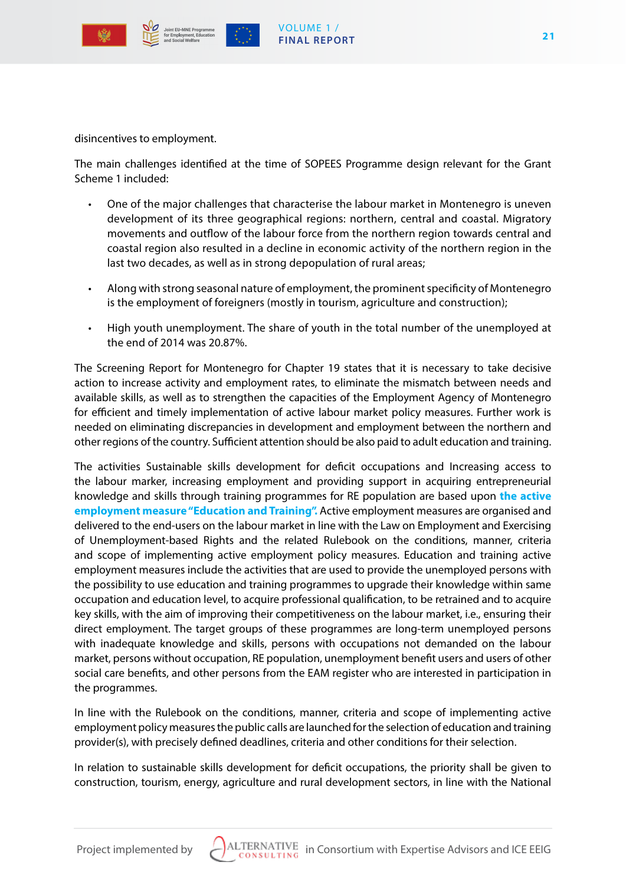



disincentives to employment.

The main challenges identified at the time of SOPEES Programme design relevant for the Grant Scheme 1 included:

- One of the major challenges that characterise the labour market in Montenegro is uneven development of its three geographical regions: northern, central and coastal. Migratory movements and outflow of the labour force from the northern region towards central and coastal region also resulted in a decline in economic activity of the northern region in the last two decades, as well as in strong depopulation of rural areas;
- Along with strong seasonal nature of employment, the prominent specificity of Montenegro is the employment of foreigners (mostly in tourism, agriculture and construction);
- High youth unemployment. The share of youth in the total number of the unemployed at the end of 2014 was 20.87%.

The Screening Report for Montenegro for Chapter 19 states that it is necessary to take decisive action to increase activity and employment rates, to eliminate the mismatch between needs and available skills, as well as to strengthen the capacities of the Employment Agency of Montenegro for efficient and timely implementation of active labour market policy measures. Further work is needed on eliminating discrepancies in development and employment between the northern and other regions of the country. Sufficient attention should be also paid to adult education and training.

The activities Sustainable skills development for deficit occupations and Increasing access to the labour marker, increasing employment and providing support in acquiring entrepreneurial knowledge and skills through training programmes for RE population are based upon **the active employment measure "Education and Training".** Active employment measures are organised and delivered to the end-users on the labour market in line with the Law on Employment and Exercising of Unemployment-based Rights and the related Rulebook on the conditions, manner, criteria and scope of implementing active employment policy measures. Education and training active employment measures include the activities that are used to provide the unemployed persons with the possibility to use education and training programmes to upgrade their knowledge within same occupation and education level, to acquire professional qualification, to be retrained and to acquire key skills, with the aim of improving their competitiveness on the labour market, i.e., ensuring their direct employment. The target groups of these programmes are long-term unemployed persons with inadequate knowledge and skills, persons with occupations not demanded on the labour market, persons without occupation, RE population, unemployment benefit users and users of other social care benefits, and other persons from the EAM register who are interested in participation in the programmes.

In line with the Rulebook on the conditions, manner, criteria and scope of implementing active employment policy measures the public calls are launched for the selection of education and training provider(s), with precisely defined deadlines, criteria and other conditions for their selection.

In relation to sustainable skills development for deficit occupations, the priority shall be given to construction, tourism, energy, agriculture and rural development sectors, in line with the National

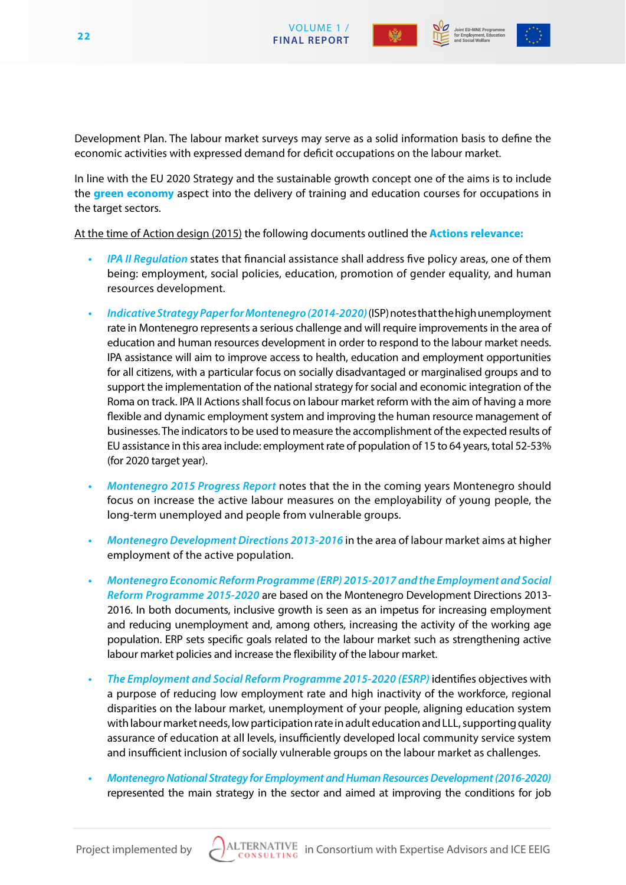



Development Plan. The labour market surveys may serve as a solid information basis to define the economic activities with expressed demand for deficit occupations on the labour market.

In line with the EU 2020 Strategy and the sustainable growth concept one of the aims is to include the **green economy** aspect into the delivery of training and education courses for occupations in the target sectors.

At the time of Action design (2015) the following documents outlined the **Actions relevance:**

- *• IPA II Regulation* states that financial assistance shall address five policy areas, one of them being: employment, social policies, education, promotion of gender equality, and human resources development.
- *• Indicative Strategy Paper for Montenegro (2014-2020)* (ISP) notes that the high unemployment rate in Montenegro represents a serious challenge and will require improvements in the area of education and human resources development in order to respond to the labour market needs. IPA assistance will aim to improve access to health, education and employment opportunities for all citizens, with a particular focus on socially disadvantaged or marginalised groups and to support the implementation of the national strategy for social and economic integration of the Roma on track. IPA II Actions shall focus on labour market reform with the aim of having a more flexible and dynamic employment system and improving the human resource management of businesses. The indicators to be used to measure the accomplishment of the expected results of EU assistance in this area include: employment rate of population of 15 to 64 years, total 52-53% (for 2020 target year).
- *• Montenegro 2015 Progress Report* notes that the in the coming years Montenegro should focus on increase the active labour measures on the employability of young people, the long-term unemployed and people from vulnerable groups.
- *• Montenegro Development Directions 2013-2016* in the area of labour market aims at higher employment of the active population.
- *• Montenegro Economic Reform Programme (ERP) 2015-2017 and the Employment and Social Reform Programme 2015-2020* are based on the Montenegro Development Directions 2013- 2016. In both documents, inclusive growth is seen as an impetus for increasing employment and reducing unemployment and, among others, increasing the activity of the working age population. ERP sets specific goals related to the labour market such as strengthening active labour market policies and increase the flexibility of the labour market.
- *• The Employment and Social Reform Programme 2015-2020 (ESRP)* identifies objectives with a purpose of reducing low employment rate and high inactivity of the workforce, regional disparities on the labour market, unemployment of your people, aligning education system with labour market needs, low participation rate in adult education and LLL, supporting quality assurance of education at all levels, insufficiently developed local community service system and insufficient inclusion of socially vulnerable groups on the labour market as challenges.
- *• Montenegro National Strategy for Employment and Human Resources Development (2016-2020)*  represented the main strategy in the sector and aimed at improving the conditions for job

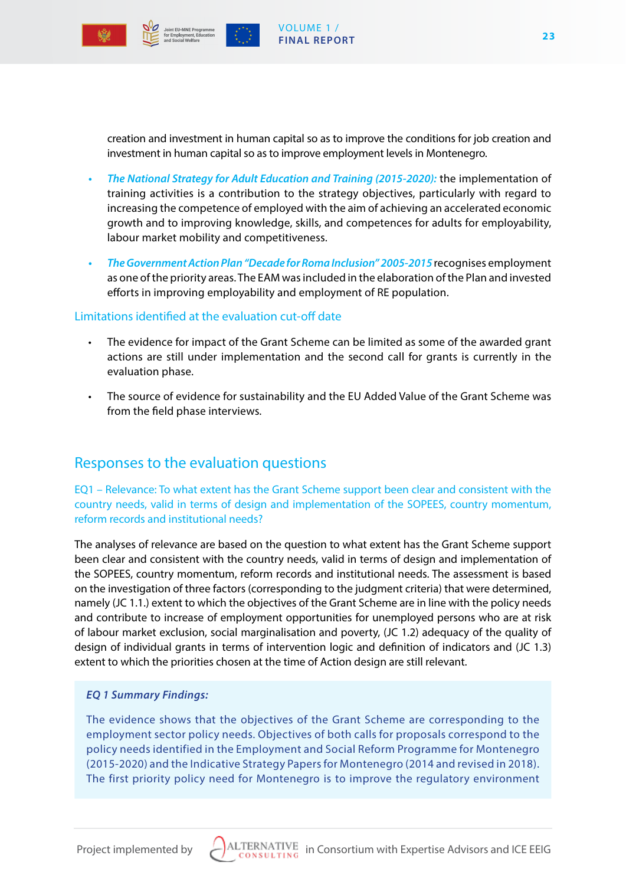

creation and investment in human capital so as to improve the conditions for job creation and investment in human capital so as to improve employment levels in Montenegro.

VOLUME 1 / **FINAL REPORT**

- *• The National Strategy for Adult Education and Training (2015-2020):* the implementation of training activities is a contribution to the strategy objectives, particularly with regard to increasing the competence of employed with the aim of achieving an accelerated economic growth and to improving knowledge, skills, and competences for adults for employability, labour market mobility and competitiveness.
- *• The Government Action Plan "Decade for Roma Inclusion" 2005-2015* recognises employment as one of the priority areas. The EAM was included in the elaboration of the Plan and invested efforts in improving employability and employment of RE population.

#### Limitations identified at the evaluation cut-off date

- The evidence for impact of the Grant Scheme can be limited as some of the awarded grant actions are still under implementation and the second call for grants is currently in the evaluation phase.
- The source of evidence for sustainability and the EU Added Value of the Grant Scheme was from the field phase interviews.

# Responses to the evaluation questions

EQ1 – Relevance: To what extent has the Grant Scheme support been clear and consistent with the country needs, valid in terms of design and implementation of the SOPEES, country momentum, reform records and institutional needs?

The analyses of relevance are based on the question to what extent has the Grant Scheme support been clear and consistent with the country needs, valid in terms of design and implementation of the SOPEES, country momentum, reform records and institutional needs. The assessment is based on the investigation of three factors (corresponding to the judgment criteria) that were determined, namely (JC 1.1.) extent to which the objectives of the Grant Scheme are in line with the policy needs and contribute to increase of employment opportunities for unemployed persons who are at risk of labour market exclusion, social marginalisation and poverty, (JC 1.2) adequacy of the quality of design of individual grants in terms of intervention logic and definition of indicators and (JC 1.3) extent to which the priorities chosen at the time of Action design are still relevant.

#### *EQ 1 Summary Findings:*

The evidence shows that the objectives of the Grant Scheme are corresponding to the employment sector policy needs. Objectives of both calls for proposals correspond to the policy needs identified in the Employment and Social Reform Programme for Montenegro (2015-2020) and the Indicative Strategy Papers for Montenegro (2014 and revised in 2018). The first priority policy need for Montenegro is to improve the regulatory environment

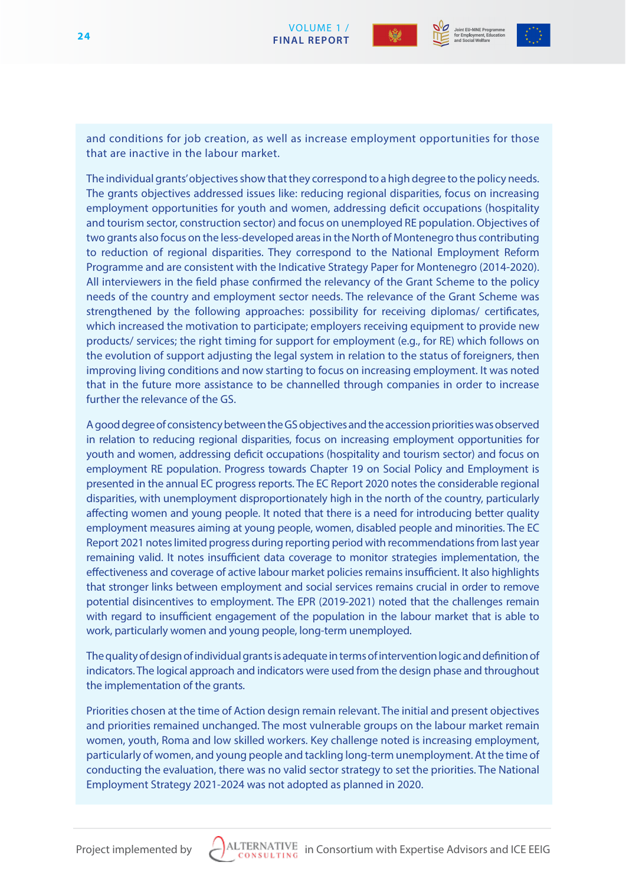



VOLUME 1 /  **FINAL REPORT 24**

and conditions for job creation, as well as increase employment opportunities for those that are inactive in the labour market.

The individual grants' objectives show that they correspond to a high degree to the policy needs. The grants objectives addressed issues like: reducing regional disparities, focus on increasing employment opportunities for youth and women, addressing deficit occupations (hospitality and tourism sector, construction sector) and focus on unemployed RE population. Objectives of two grants also focus on the less-developed areas in the North of Montenegro thus contributing to reduction of regional disparities. They correspond to the National Employment Reform Programme and are consistent with the Indicative Strategy Paper for Montenegro (2014-2020). All interviewers in the field phase confirmed the relevancy of the Grant Scheme to the policy needs of the country and employment sector needs. The relevance of the Grant Scheme was strengthened by the following approaches: possibility for receiving diplomas/ certificates, which increased the motivation to participate; employers receiving equipment to provide new products/ services; the right timing for support for employment (e.g., for RE) which follows on the evolution of support adjusting the legal system in relation to the status of foreigners, then improving living conditions and now starting to focus on increasing employment. It was noted that in the future more assistance to be channelled through companies in order to increase further the relevance of the GS.

A good degree of consistency between the GS objectives and the accession priorities was observed in relation to reducing regional disparities, focus on increasing employment opportunities for youth and women, addressing deficit occupations (hospitality and tourism sector) and focus on employment RE population. Progress towards Chapter 19 on Social Policy and Employment is presented in the annual EC progress reports. The EC Report 2020 notes the considerable regional disparities, with unemployment disproportionately high in the north of the country, particularly affecting women and young people. It noted that there is a need for introducing better quality employment measures aiming at young people, women, disabled people and minorities. The EC Report 2021 notes limited progress during reporting period with recommendations from last year remaining valid. It notes insufficient data coverage to monitor strategies implementation, the effectiveness and coverage of active labour market policies remains insufficient. It also highlights that stronger links between employment and social services remains crucial in order to remove potential disincentives to employment. The EPR (2019-2021) noted that the challenges remain with regard to insufficient engagement of the population in the labour market that is able to work, particularly women and young people, long-term unemployed.

The quality of design of individual grants is adequate in terms of intervention logic and definition of indicators. The logical approach and indicators were used from the design phase and throughout the implementation of the grants.

Priorities chosen at the time of Action design remain relevant. The initial and present objectives and priorities remained unchanged. The most vulnerable groups on the labour market remain women, youth, Roma and low skilled workers. Key challenge noted is increasing employment, particularly of women, and young people and tackling long-term unemployment. At the time of conducting the evaluation, there was no valid sector strategy to set the priorities. The National Employment Strategy 2021-2024 was not adopted as planned in 2020.

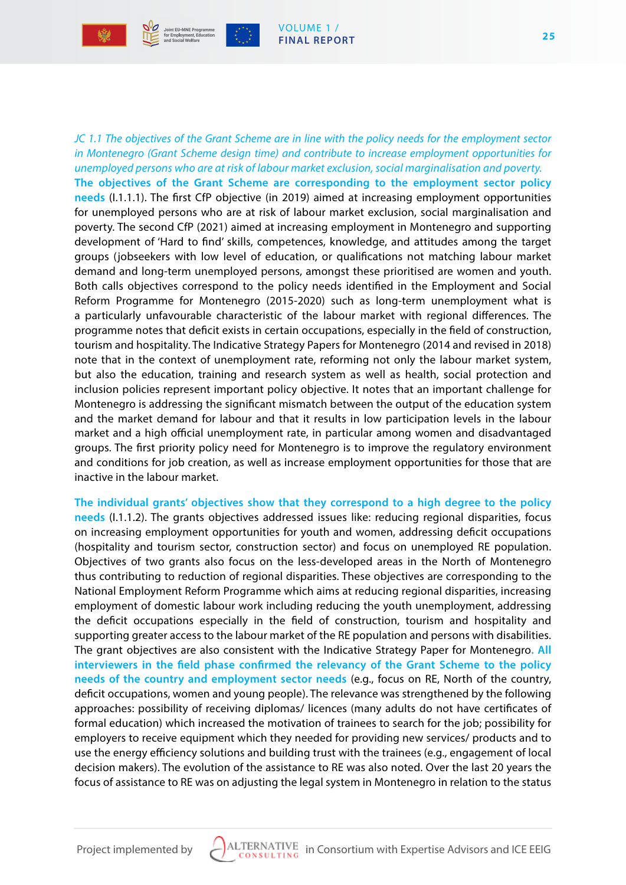



*JC 1.1 The objectives of the Grant Scheme are in line with the policy needs for the employment sector in Montenegro (Grant Scheme design time) and contribute to increase employment opportunities for unemployed persons who are at risk of labour market exclusion, social marginalisation and poverty.* **The objectives of the Grant Scheme are corresponding to the employment sector policy needs** (I.1.1.1). The first CfP objective (in 2019) aimed at increasing employment opportunities for unemployed persons who are at risk of labour market exclusion, social marginalisation and poverty. The second CfP (2021) aimed at increasing employment in Montenegro and supporting development of 'Hard to find' skills, competences, knowledge, and attitudes among the target groups (jobseekers with low level of education, or qualifications not matching labour market demand and long-term unemployed persons, amongst these prioritised are women and youth. Both calls objectives correspond to the policy needs identified in the Employment and Social Reform Programme for Montenegro (2015-2020) such as long-term unemployment what is a particularly unfavourable characteristic of the labour market with regional differences. The programme notes that deficit exists in certain occupations, especially in the field of construction, tourism and hospitality. The Indicative Strategy Papers for Montenegro (2014 and revised in 2018) note that in the context of unemployment rate, reforming not only the labour market system, but also the education, training and research system as well as health, social protection and inclusion policies represent important policy objective. It notes that an important challenge for Montenegro is addressing the significant mismatch between the output of the education system and the market demand for labour and that it results in low participation levels in the labour market and a high official unemployment rate, in particular among women and disadvantaged groups. The first priority policy need for Montenegro is to improve the regulatory environment and conditions for job creation, as well as increase employment opportunities for those that are inactive in the labour market.

VOLUME 1 / **FINAL REPORT**

**The individual grants' objectives show that they correspond to a high degree to the policy needs** (I.1.1.2). The grants objectives addressed issues like: reducing regional disparities, focus on increasing employment opportunities for youth and women, addressing deficit occupations (hospitality and tourism sector, construction sector) and focus on unemployed RE population. Objectives of two grants also focus on the less-developed areas in the North of Montenegro thus contributing to reduction of regional disparities. These objectives are corresponding to the National Employment Reform Programme which aims at reducing regional disparities, increasing employment of domestic labour work including reducing the youth unemployment, addressing the deficit occupations especially in the field of construction, tourism and hospitality and supporting greater access to the labour market of the RE population and persons with disabilities. The grant objectives are also consistent with the Indicative Strategy Paper for Montenegro**. All interviewers in the field phase confirmed the relevancy of the Grant Scheme to the policy needs of the country and employment sector needs** (e.g., focus on RE, North of the country, deficit occupations, women and young people). The relevance was strengthened by the following approaches: possibility of receiving diplomas/ licences (many adults do not have certificates of formal education) which increased the motivation of trainees to search for the job; possibility for employers to receive equipment which they needed for providing new services/ products and to use the energy efficiency solutions and building trust with the trainees (e.g., engagement of local decision makers). The evolution of the assistance to RE was also noted. Over the last 20 years the focus of assistance to RE was on adjusting the legal system in Montenegro in relation to the status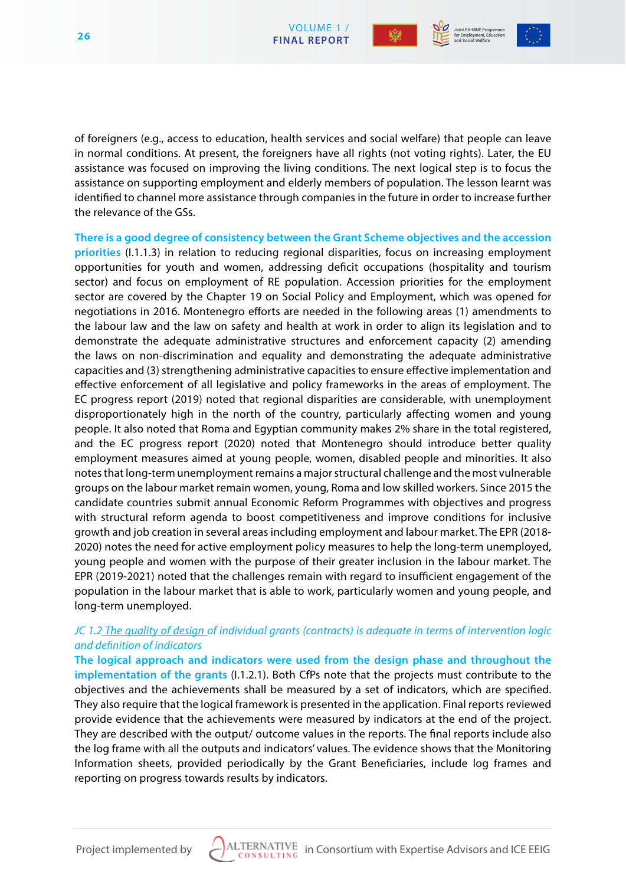



of foreigners (e.g., access to education, health services and social welfare) that people can leave in normal conditions. At present, the foreigners have all rights (not voting rights). Later, the EU assistance was focused on improving the living conditions. The next logical step is to focus the assistance on supporting employment and elderly members of population. The lesson learnt was identified to channel more assistance through companies in the future in order to increase further the relevance of the GSs.

**There is a good degree of consistency between the Grant Scheme objectives and the accession priorities** (I.1.1.3) in relation to reducing regional disparities, focus on increasing employment opportunities for youth and women, addressing deficit occupations (hospitality and tourism sector) and focus on employment of RE population. Accession priorities for the employment sector are covered by the Chapter 19 on Social Policy and Employment, which was opened for negotiations in 2016. Montenegro efforts are needed in the following areas (1) amendments to the labour law and the law on safety and health at work in order to align its legislation and to demonstrate the adequate administrative structures and enforcement capacity (2) amending the laws on non-discrimination and equality and demonstrating the adequate administrative capacities and (3) strengthening administrative capacities to ensure effective implementation and effective enforcement of all legislative and policy frameworks in the areas of employment. The EC progress report (2019) noted that regional disparities are considerable, with unemployment disproportionately high in the north of the country, particularly affecting women and young people. It also noted that Roma and Egyptian community makes 2% share in the total registered, and the EC progress report (2020) noted that Montenegro should introduce better quality employment measures aimed at young people, women, disabled people and minorities. It also notes that long-term unemployment remains a major structural challenge and the most vulnerable groups on the labour market remain women, young, Roma and low skilled workers. Since 2015 the candidate countries submit annual Economic Reform Programmes with objectives and progress with structural reform agenda to boost competitiveness and improve conditions for inclusive growth and job creation in several areas including employment and labour market. The EPR (2018- 2020) notes the need for active employment policy measures to help the long-term unemployed, young people and women with the purpose of their greater inclusion in the labour market. The EPR (2019-2021) noted that the challenges remain with regard to insufficient engagement of the population in the labour market that is able to work, particularly women and young people, and long-term unemployed.

# *JC 1.2 The quality of design of individual grants (contracts) is adequate in terms of intervention logic and definition of indicators*

**The logical approach and indicators were used from the design phase and throughout the implementation of the grants** (I.1.2.1). Both CfPs note that the projects must contribute to the objectives and the achievements shall be measured by a set of indicators, which are specified. They also require that the logical framework is presented in the application. Final reports reviewed provide evidence that the achievements were measured by indicators at the end of the project. They are described with the output/ outcome values in the reports. The final reports include also the log frame with all the outputs and indicators' values. The evidence shows that the Monitoring Information sheets, provided periodically by the Grant Beneficiaries, include log frames and reporting on progress towards results by indicators.

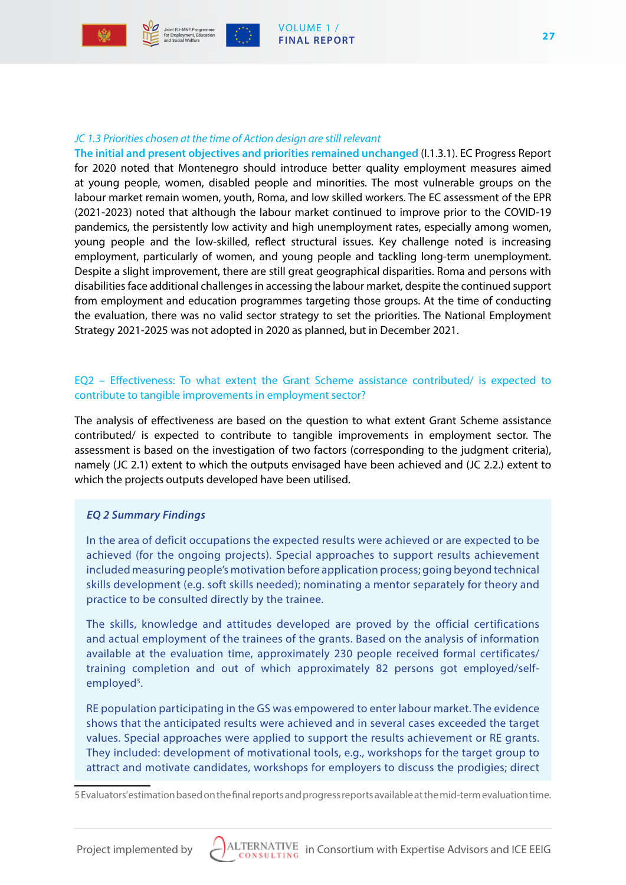

#### VOLUME 1 / **FINAL REPORT**

#### *JC 1.3 Priorities chosen at the time of Action design are still relevant*

**The initial and present objectives and priorities remained unchanged** (I.1.3.1). EC Progress Report for 2020 noted that Montenegro should introduce better quality employment measures aimed at young people, women, disabled people and minorities. The most vulnerable groups on the labour market remain women, youth, Roma, and low skilled workers. The EC assessment of the EPR (2021-2023) noted that although the labour market continued to improve prior to the COVID-19 pandemics, the persistently low activity and high unemployment rates, especially among women, young people and the low-skilled, reflect structural issues. Key challenge noted is increasing employment, particularly of women, and young people and tackling long-term unemployment. Despite a slight improvement, there are still great geographical disparities. Roma and persons with disabilities face additional challenges in accessing the labour market, despite the continued support from employment and education programmes targeting those groups. At the time of conducting the evaluation, there was no valid sector strategy to set the priorities. The National Employment Strategy 2021-2025 was not adopted in 2020 as planned, but in December 2021.

#### EQ2 – Effectiveness: To what extent the Grant Scheme assistance contributed/ is expected to contribute to tangible improvements in employment sector?

The analysis of effectiveness are based on the question to what extent Grant Scheme assistance contributed/ is expected to contribute to tangible improvements in employment sector. The assessment is based on the investigation of two factors (corresponding to the judgment criteria), namely (JC 2.1) extent to which the outputs envisaged have been achieved and (JC 2.2.) extent to which the projects outputs developed have been utilised.

#### *EQ 2 Summary Findings*

In the area of deficit occupations the expected results were achieved or are expected to be achieved (for the ongoing projects). Special approaches to support results achievement included measuring people's motivation before application process; going beyond technical skills development (e.g. soft skills needed); nominating a mentor separately for theory and practice to be consulted directly by the trainee.

The skills, knowledge and attitudes developed are proved by the official certifications and actual employment of the trainees of the grants. Based on the analysis of information available at the evaluation time, approximately 230 people received formal certificates/ training completion and out of which approximately 82 persons got employed/selfemployed<sup>5</sup>.

RE population participating in the GS was empowered to enter labour market. The evidence shows that the anticipated results were achieved and in several cases exceeded the target values. Special approaches were applied to support the results achievement or RE grants. They included: development of motivational tools, e.g., workshops for the target group to attract and motivate candidates, workshops for employers to discuss the prodigies; direct

5 Evaluators' estimation based on the final reports and progress reports available at the mid-term evaluation time.

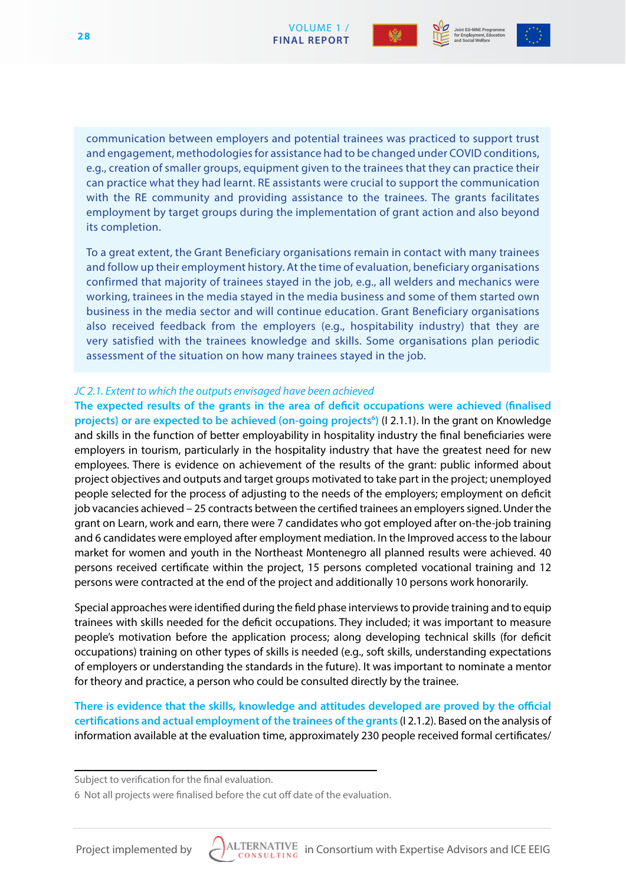



communication between employers and potential trainees was practiced to support trust and engagement, methodologies for assistance had to be changed under COVID conditions, e.g., creation of smaller groups, equipment given to the trainees that they can practice their can practice what they had learnt. RE assistants were crucial to support the communication with the RE community and providing assistance to the trainees. The grants facilitates employment by target groups during the implementation of grant action and also beyond its completion.

To a great extent, the Grant Beneficiary organisations remain in contact with many trainees and follow up their employment history. At the time of evaluation, beneficiary organisations confirmed that majority of trainees stayed in the job, e.g., all welders and mechanics were working, trainees in the media stayed in the media business and some of them started own business in the media sector and will continue education. Grant Beneficiary organisations also received feedback from the employers (e.g., hospitability industry) that they are very satisfied with the trainees knowledge and skills. Some organisations plan periodic assessment of the situation on how many trainees stayed in the job.

#### *JC 2.1. Extent to which the outputs envisaged have been achieved*

**The expected results of the grants in the area of deficit occupations were achieved (finalised**  projects) or are expected to be achieved (on-going projects<sup>6</sup>) (I 2.1.1). In the grant on Knowledge and skills in the function of better employability in hospitality industry the final beneficiaries were employers in tourism, particularly in the hospitality industry that have the greatest need for new employees. There is evidence on achievement of the results of the grant: public informed about project objectives and outputs and target groups motivated to take part in the project; unemployed people selected for the process of adjusting to the needs of the employers; employment on deficit job vacancies achieved – 25 contracts between the certified trainees an employers signed. Under the grant on Learn, work and earn, there were 7 candidates who got employed after on-the-job training and 6 candidates were employed after employment mediation. In the Improved access to the labour market for women and youth in the Northeast Montenegro all planned results were achieved. 40 persons received certificate within the project, 15 persons completed vocational training and 12 persons were contracted at the end of the project and additionally 10 persons work honorarily.

Special approaches were identified during the field phase interviews to provide training and to equip trainees with skills needed for the deficit occupations. They included; it was important to measure people's motivation before the application process; along developing technical skills (for deficit occupations) training on other types of skills is needed (e.g., soft skills, understanding expectations of employers or understanding the standards in the future). It was important to nominate a mentor for theory and practice, a person who could be consulted directly by the trainee.

**There is evidence that the skills, knowledge and attitudes developed are proved by the official certifications and actual employment of the trainees of the grants** (I 2.1.2). Based on the analysis of information available at the evaluation time, approximately 230 people received formal certificates/



Subject to verification for the final evaluation.

<sup>6</sup> Not all projects were finalised before the cut off date of the evaluation.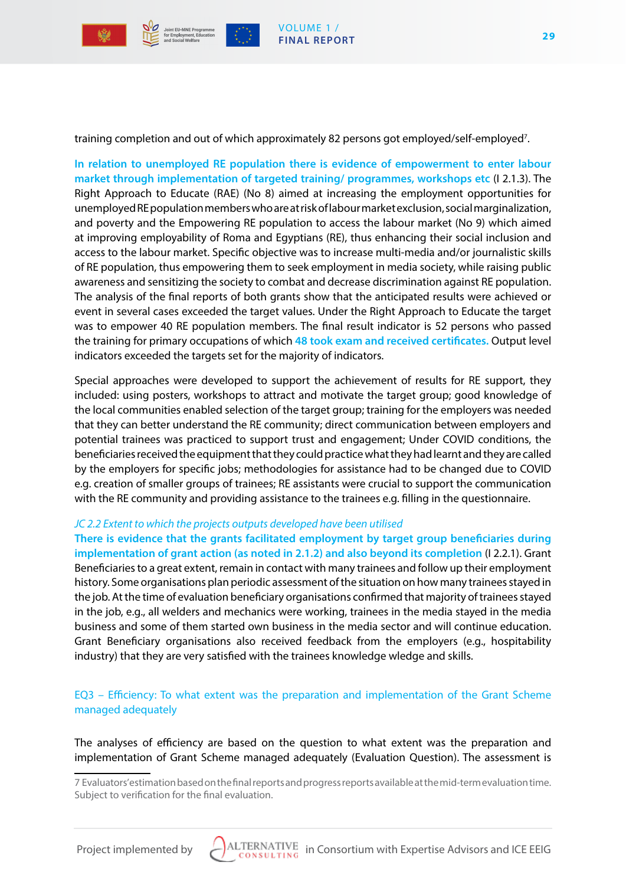

**29**

training completion and out of which approximately 82 persons got employed/self-employed<sup>7</sup>.

**In relation to unemployed RE population there is evidence of empowerment to enter labour market through implementation of targeted training/ programmes, workshops etc** (I 2.1.3). The Right Approach to Educate (RAE) (No 8) aimed at increasing the employment opportunities for unemployed RE population members who are at risk of labour market exclusion, social marginalization, and poverty and the Empowering RE population to access the labour market (No 9) which aimed at improving employability of Roma and Egyptians (RE), thus enhancing their social inclusion and access to the labour market. Specific objective was to increase multi-media and/or journalistic skills of RE population, thus empowering them to seek employment in media society, while raising public awareness and sensitizing the society to combat and decrease discrimination against RE population. The analysis of the final reports of both grants show that the anticipated results were achieved or event in several cases exceeded the target values. Under the Right Approach to Educate the target was to empower 40 RE population members. The final result indicator is 52 persons who passed the training for primary occupations of which **48 took exam and received certificates.** Output level indicators exceeded the targets set for the majority of indicators.

Special approaches were developed to support the achievement of results for RE support, they included: using posters, workshops to attract and motivate the target group; good knowledge of the local communities enabled selection of the target group; training for the employers was needed that they can better understand the RE community; direct communication between employers and potential trainees was practiced to support trust and engagement; Under COVID conditions, the beneficiaries received the equipment that they could practice what they had learnt and they are called by the employers for specific jobs; methodologies for assistance had to be changed due to COVID e.g. creation of smaller groups of trainees; RE assistants were crucial to support the communication with the RE community and providing assistance to the trainees e.g. filling in the questionnaire.

#### *JC 2.2 Extent to which the projects outputs developed have been utilised*

**There is evidence that the grants facilitated employment by target group beneficiaries during implementation of grant action (as noted in 2.1.2) and also beyond its completion** (I 2.2.1). Grant Beneficiaries to a great extent, remain in contact with many trainees and follow up their employment history. Some organisations plan periodic assessment of the situation on how many trainees stayed in the job. At the time of evaluation beneficiary organisations confirmed that majority of trainees stayed in the job, e.g., all welders and mechanics were working, trainees in the media stayed in the media business and some of them started own business in the media sector and will continue education. Grant Beneficiary organisations also received feedback from the employers (e.g., hospitability industry) that they are very satisfied with the trainees knowledge wledge and skills.

EQ3 – Efficiency: To what extent was the preparation and implementation of the Grant Scheme managed adequately

The analyses of efficiency are based on the question to what extent was the preparation and implementation of Grant Scheme managed adequately (Evaluation Question). The assessment is



<sup>7</sup> Evaluators' estimation based on the final reports and progress reports available at the mid-term evaluation time. Subject to verification for the final evaluation.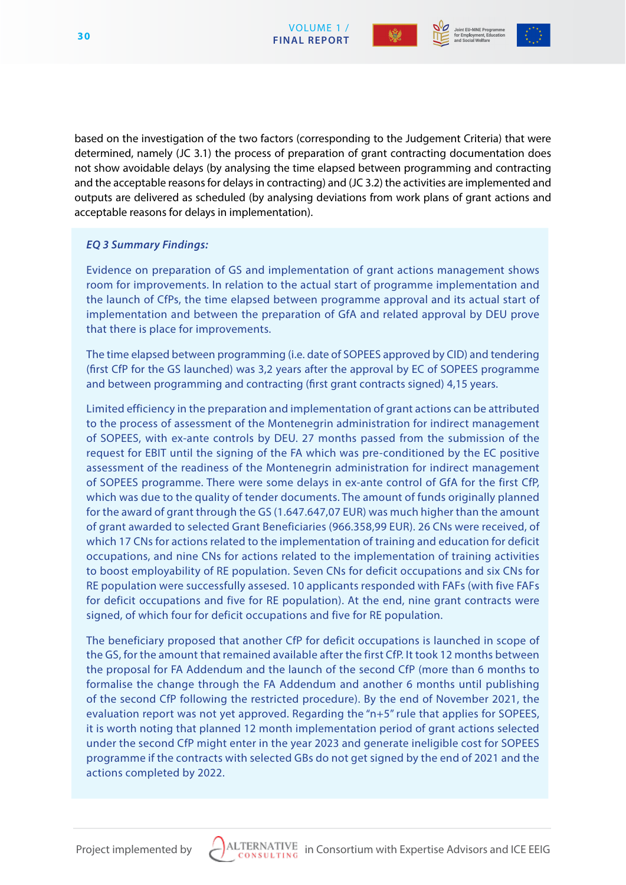



based on the investigation of the two factors (corresponding to the Judgement Criteria) that were determined, namely (JC 3.1) the process of preparation of grant contracting documentation does not show avoidable delays (by analysing the time elapsed between programming and contracting and the acceptable reasons for delays in contracting) and (JC 3.2) the activities are implemented and outputs are delivered as scheduled (by analysing deviations from work plans of grant actions and acceptable reasons for delays in implementation).

# *EQ 3 Summary Findings:*

Evidence on preparation of GS and implementation of grant actions management shows room for improvements. In relation to the actual start of programme implementation and the launch of CfPs, the time elapsed between programme approval and its actual start of implementation and between the preparation of GfA and related approval by DEU prove that there is place for improvements.

The time elapsed between programming (i.e. date of SOPEES approved by CID) and tendering (first CfP for the GS launched) was 3,2 years after the approval by EC of SOPEES programme and between programming and contracting (first grant contracts signed) 4,15 years.

Limited efficiency in the preparation and implementation of grant actions can be attributed to the process of assessment of the Montenegrin administration for indirect management of SOPEES, with ex-ante controls by DEU. 27 months passed from the submission of the request for EBIT until the signing of the FA which was pre-conditioned by the EC positive assessment of the readiness of the Montenegrin administration for indirect management of SOPEES programme. There were some delays in ex-ante control of GfA for the first CfP, which was due to the quality of tender documents. The amount of funds originally planned for the award of grant through the GS (1.647.647,07 EUR) was much higher than the amount of grant awarded to selected Grant Beneficiaries (966.358,99 EUR). 26 CNs were received, of which 17 CNs for actions related to the implementation of training and education for deficit occupations, and nine CNs for actions related to the implementation of training activities to boost employability of RE population. Seven CNs for deficit occupations and six CNs for RE population were successfully assesed. 10 applicants responded with FAFs (with five FAFs for deficit occupations and five for RE population). At the end, nine grant contracts were signed, of which four for deficit occupations and five for RE population.

The beneficiary proposed that another CfP for deficit occupations is launched in scope of the GS, for the amount that remained available after the first CfP. It took 12 months between the proposal for FA Addendum and the launch of the second CfP (more than 6 months to formalise the change through the FA Addendum and another 6 months until publishing of the second CfP following the restricted procedure). By the end of November 2021, the evaluation report was not yet approved. Regarding the "n+5" rule that applies for SOPEES, it is worth noting that planned 12 month implementation period of grant actions selected under the second CfP might enter in the year 2023 and generate ineligible cost for SOPEES programme if the contracts with selected GBs do not get signed by the end of 2021 and the actions completed by 2022.

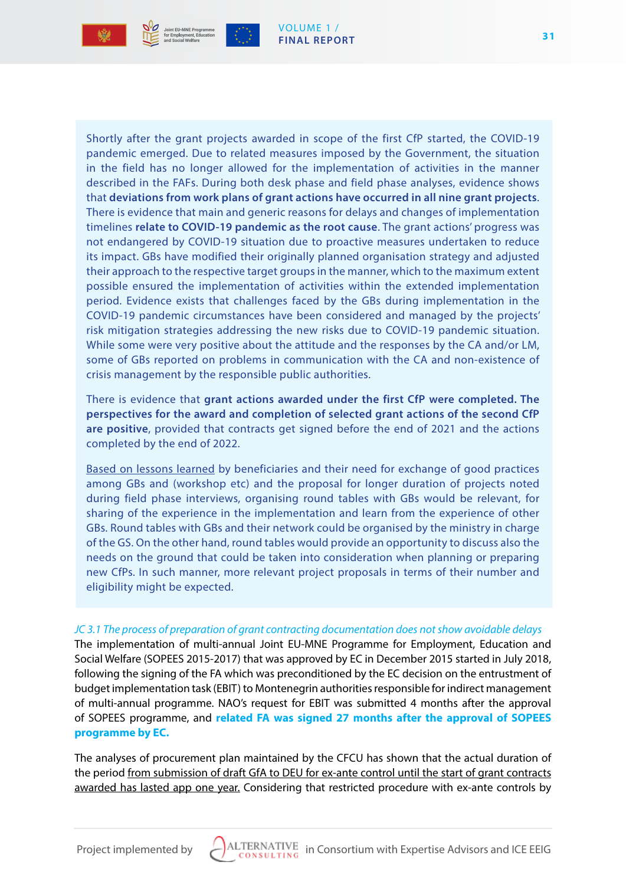

#### VOLUME 1 / **FINAL REPORT**

Shortly after the grant projects awarded in scope of the first CfP started, the COVID-19 pandemic emerged. Due to related measures imposed by the Government, the situation in the field has no longer allowed for the implementation of activities in the manner described in the FAFs. During both desk phase and field phase analyses, evidence shows that **deviations from work plans of grant actions have occurred in all nine grant projects**. There is evidence that main and generic reasons for delays and changes of implementation timelines **relate to COVID-19 pandemic as the root cause**. The grant actions' progress was not endangered by COVID-19 situation due to proactive measures undertaken to reduce its impact. GBs have modified their originally planned organisation strategy and adjusted their approach to the respective target groups in the manner, which to the maximum extent possible ensured the implementation of activities within the extended implementation period. Evidence exists that challenges faced by the GBs during implementation in the COVID-19 pandemic circumstances have been considered and managed by the projects' risk mitigation strategies addressing the new risks due to COVID-19 pandemic situation. While some were very positive about the attitude and the responses by the CA and/or LM, some of GBs reported on problems in communication with the CA and non-existence of crisis management by the responsible public authorities.

There is evidence that **grant actions awarded under the first CfP were completed. The perspectives for the award and completion of selected grant actions of the second CfP are positive**, provided that contracts get signed before the end of 2021 and the actions completed by the end of 2022.

Based on lessons learned by beneficiaries and their need for exchange of good practices among GBs and (workshop etc) and the proposal for longer duration of projects noted during field phase interviews, organising round tables with GBs would be relevant, for sharing of the experience in the implementation and learn from the experience of other GBs. Round tables with GBs and their network could be organised by the ministry in charge of the GS. On the other hand, round tables would provide an opportunity to discuss also the needs on the ground that could be taken into consideration when planning or preparing new CfPs. In such manner, more relevant project proposals in terms of their number and eligibility might be expected.

# *JC 3.1 The process of preparation of grant contracting documentation does not show avoidable delays*

The implementation of multi-annual Joint EU-MNE Programme for Employment, Education and Social Welfare (SOPEES 2015-2017) that was approved by EC in December 2015 started in July 2018, following the signing of the FA which was preconditioned by the EC decision on the entrustment of budget implementation task (EBIT) to Montenegrin authorities responsible for indirect management of multi-annual programme. NAO's request for EBIT was submitted 4 months after the approval of SOPEES programme, and **related FA was signed 27 months after the approval of SOPEES programme by EC.**

The analyses of procurement plan maintained by the CFCU has shown that the actual duration of the period from submission of draft GfA to DEU for ex-ante control until the start of grant contracts awarded has lasted app one year. Considering that restricted procedure with ex-ante controls by

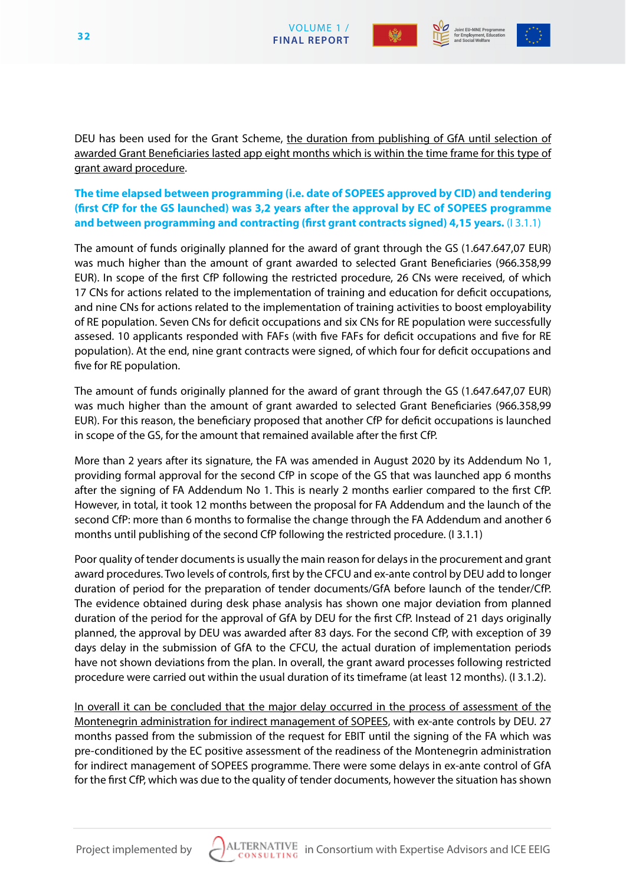







DEU has been used for the Grant Scheme, the duration from publishing of GfA until selection of awarded Grant Beneficiaries lasted app eight months which is within the time frame for this type of grant award procedure.

**The time elapsed between programming (i.e. date of SOPEES approved by CID) and tendering (first CfP for the GS launched) was 3,2 years after the approval by EC of SOPEES programme and between programming and contracting (first grant contracts signed) 4,15 years.** (I 3.1.1)

The amount of funds originally planned for the award of grant through the GS (1.647.647,07 EUR) was much higher than the amount of grant awarded to selected Grant Beneficiaries (966.358,99 EUR). In scope of the first CfP following the restricted procedure, 26 CNs were received, of which 17 CNs for actions related to the implementation of training and education for deficit occupations, and nine CNs for actions related to the implementation of training activities to boost employability of RE population. Seven CNs for deficit occupations and six CNs for RE population were successfully assesed. 10 applicants responded with FAFs (with five FAFs for deficit occupations and five for RE population). At the end, nine grant contracts were signed, of which four for deficit occupations and five for RE population.

The amount of funds originally planned for the award of grant through the GS (1.647.647,07 EUR) was much higher than the amount of grant awarded to selected Grant Beneficiaries (966.358,99 EUR). For this reason, the beneficiary proposed that another CfP for deficit occupations is launched in scope of the GS, for the amount that remained available after the first CfP.

More than 2 years after its signature, the FA was amended in August 2020 by its Addendum No 1, providing formal approval for the second CfP in scope of the GS that was launched app 6 months after the signing of FA Addendum No 1. This is nearly 2 months earlier compared to the first CfP. However, in total, it took 12 months between the proposal for FA Addendum and the launch of the second CfP: more than 6 months to formalise the change through the FA Addendum and another 6 months until publishing of the second CfP following the restricted procedure. (I 3.1.1)

Poor quality of tender documents is usually the main reason for delays in the procurement and grant award procedures. Two levels of controls, first by the CFCU and ex-ante control by DEU add to longer duration of period for the preparation of tender documents/GfA before launch of the tender/CfP. The evidence obtained during desk phase analysis has shown one major deviation from planned duration of the period for the approval of GfA by DEU for the first CfP. Instead of 21 days originally planned, the approval by DEU was awarded after 83 days. For the second CfP, with exception of 39 days delay in the submission of GfA to the CFCU, the actual duration of implementation periods have not shown deviations from the plan. In overall, the grant award processes following restricted procedure were carried out within the usual duration of its timeframe (at least 12 months). (I 3.1.2).

In overall it can be concluded that the major delay occurred in the process of assessment of the Montenegrin administration for indirect management of SOPEES, with ex-ante controls by DEU. 27 months passed from the submission of the request for EBIT until the signing of the FA which was pre-conditioned by the EC positive assessment of the readiness of the Montenegrin administration for indirect management of SOPEES programme. There were some delays in ex-ante control of GfA for the first CfP, which was due to the quality of tender documents, however the situation has shown

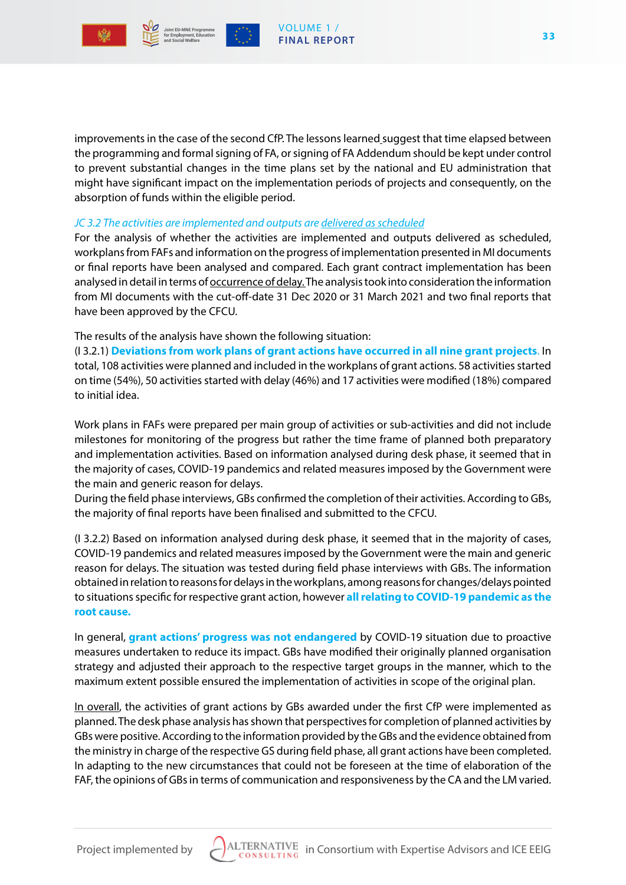





improvements in the case of the second CfP. The lessons learned suggest that time elapsed between the programming and formal signing of FA, or signing of FA Addendum should be kept under control to prevent substantial changes in the time plans set by the national and EU administration that might have significant impact on the implementation periods of projects and consequently, on the absorption of funds within the eligible period.

#### *JC 3.2 The activities are implemented and outputs are delivered as scheduled*

For the analysis of whether the activities are implemented and outputs delivered as scheduled, workplans from FAFs and information on the progress of implementation presented in MI documents or final reports have been analysed and compared. Each grant contract implementation has been analysed in detail in terms of occurrence of delay. The analysis took into consideration the information from MI documents with the cut-off-date 31 Dec 2020 or 31 March 2021 and two final reports that have been approved by the CFCU.

The results of the analysis have shown the following situation:

(I 3.2.1) **Deviations from work plans of grant actions have occurred in all nine grant projects**. In total, 108 activities were planned and included in the workplans of grant actions. 58 activities started on time (54%), 50 activities started with delay (46%) and 17 activities were modified (18%) compared to initial idea.

Work plans in FAFs were prepared per main group of activities or sub-activities and did not include milestones for monitoring of the progress but rather the time frame of planned both preparatory and implementation activities. Based on information analysed during desk phase, it seemed that in the majority of cases, COVID-19 pandemics and related measures imposed by the Government were the main and generic reason for delays.

During the field phase interviews, GBs confirmed the completion of their activities. According to GBs, the majority of final reports have been finalised and submitted to the CFCU.

(I 3.2.2) Based on information analysed during desk phase, it seemed that in the majority of cases, COVID-19 pandemics and related measures imposed by the Government were the main and generic reason for delays. The situation was tested during field phase interviews with GBs. The information obtained in relation to reasons for delays in the workplans, among reasons for changes/delays pointed to situations specific for respective grant action, however **all relating to COVID-19 pandemic as the root cause.**

In general, **grant actions' progress was not endangered** by COVID-19 situation due to proactive measures undertaken to reduce its impact. GBs have modified their originally planned organisation strategy and adjusted their approach to the respective target groups in the manner, which to the maximum extent possible ensured the implementation of activities in scope of the original plan.

In overall, the activities of grant actions by GBs awarded under the first CfP were implemented as planned. The desk phase analysis has shown that perspectives for completion of planned activities by GBs were positive. According to the information provided by the GBs and the evidence obtained from the ministry in charge of the respective GS during field phase, all grant actions have been completed. In adapting to the new circumstances that could not be foreseen at the time of elaboration of the FAF, the opinions of GBs in terms of communication and responsiveness by the CA and the LM varied.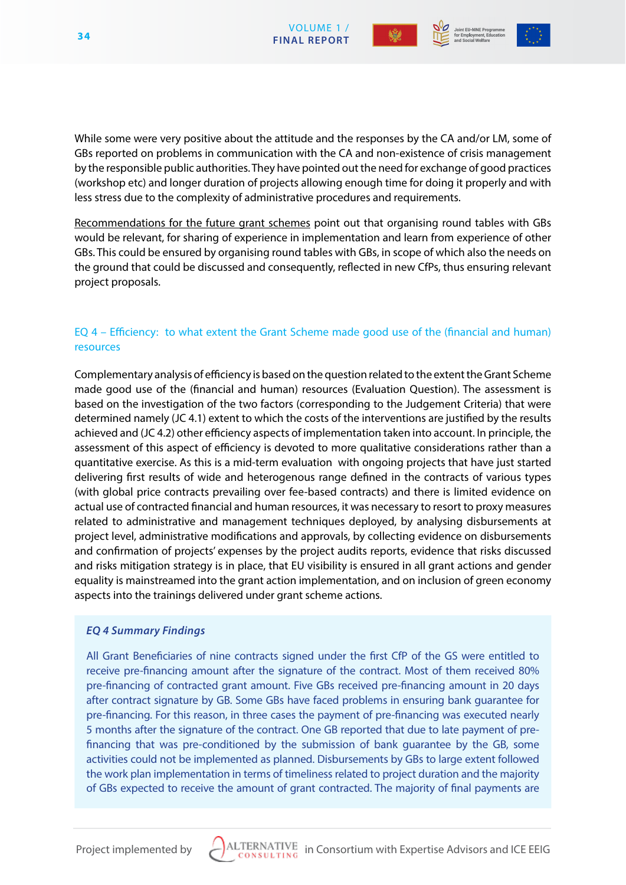





While some were very positive about the attitude and the responses by the CA and/or LM, some of GBs reported on problems in communication with the CA and non-existence of crisis management by the responsible public authorities. They have pointed out the need for exchange of good practices (workshop etc) and longer duration of projects allowing enough time for doing it properly and with less stress due to the complexity of administrative procedures and requirements.

Recommendations for the future grant schemes point out that organising round tables with GBs would be relevant, for sharing of experience in implementation and learn from experience of other GBs. This could be ensured by organising round tables with GBs, in scope of which also the needs on the ground that could be discussed and consequently, reflected in new CfPs, thus ensuring relevant project proposals.

## EQ 4 – Efficiency: to what extent the Grant Scheme made good use of the (financial and human) resources

Complementary analysis of efficiency is based on the question related to the extent the Grant Scheme made good use of the (financial and human) resources (Evaluation Question). The assessment is based on the investigation of the two factors (corresponding to the Judgement Criteria) that were determined namely (JC 4.1) extent to which the costs of the interventions are justified by the results achieved and (JC 4.2) other efficiency aspects of implementation taken into account. In principle, the assessment of this aspect of efficiency is devoted to more qualitative considerations rather than a quantitative exercise. As this is a mid-term evaluation with ongoing projects that have just started delivering first results of wide and heterogenous range defined in the contracts of various types (with global price contracts prevailing over fee-based contracts) and there is limited evidence on actual use of contracted financial and human resources, it was necessary to resort to proxy measures related to administrative and management techniques deployed, by analysing disbursements at project level, administrative modifications and approvals, by collecting evidence on disbursements and confirmation of projects' expenses by the project audits reports, evidence that risks discussed and risks mitigation strategy is in place, that EU visibility is ensured in all grant actions and gender equality is mainstreamed into the grant action implementation, and on inclusion of green economy aspects into the trainings delivered under grant scheme actions.

# *EQ 4 Summary Findings*

All Grant Beneficiaries of nine contracts signed under the first CfP of the GS were entitled to receive pre-financing amount after the signature of the contract. Most of them received 80% pre-financing of contracted grant amount. Five GBs received pre-financing amount in 20 days after contract signature by GB. Some GBs have faced problems in ensuring bank guarantee for pre-financing. For this reason, in three cases the payment of pre-financing was executed nearly 5 months after the signature of the contract. One GB reported that due to late payment of prefinancing that was pre-conditioned by the submission of bank guarantee by the GB, some activities could not be implemented as planned. Disbursements by GBs to large extent followed the work plan implementation in terms of timeliness related to project duration and the majority of GBs expected to receive the amount of grant contracted. The majority of final payments are

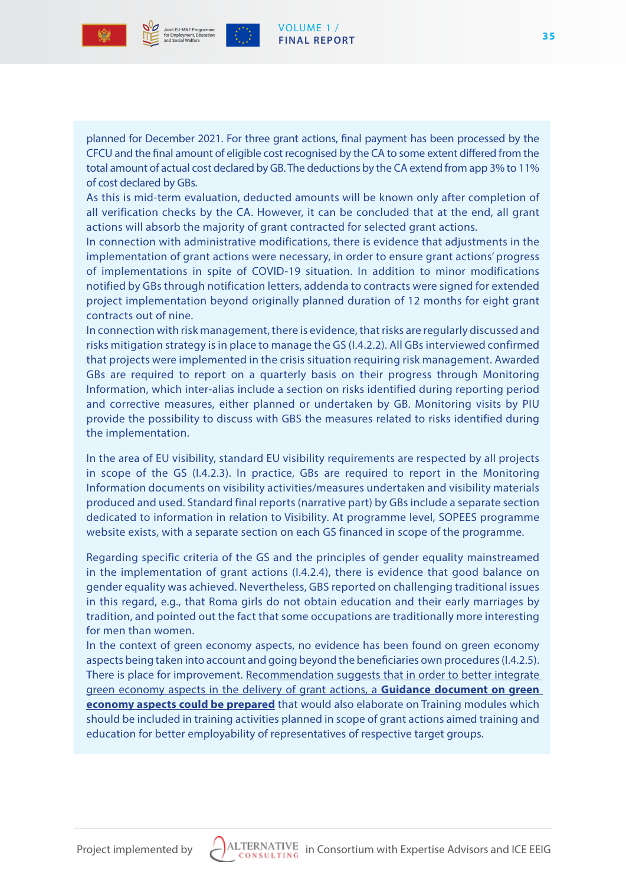



planned for December 2021. For three grant actions, final payment has been processed by the CFCU and the final amount of eligible cost recognised by the CA to some extent differed from the total amount of actual cost declared by GB. The deductions by the CA extend from app 3% to 11% of cost declared by GBs.

VOLUME 1 / **FINAL REPORT**

As this is mid-term evaluation, deducted amounts will be known only after completion of all verification checks by the CA. However, it can be concluded that at the end, all grant actions will absorb the majority of grant contracted for selected grant actions.

In connection with administrative modifications, there is evidence that adjustments in the implementation of grant actions were necessary, in order to ensure grant actions' progress of implementations in spite of COVID-19 situation. In addition to minor modifications notified by GBs through notification letters, addenda to contracts were signed for extended project implementation beyond originally planned duration of 12 months for eight grant contracts out of nine.

In connection with risk management, there is evidence, that risks are regularly discussed and risks mitigation strategy is in place to manage the GS (I.4.2.2). All GBs interviewed confirmed that projects were implemented in the crisis situation requiring risk management. Awarded GBs are required to report on a quarterly basis on their progress through Monitoring Information, which inter-alias include a section on risks identified during reporting period and corrective measures, either planned or undertaken by GB. Monitoring visits by PIU provide the possibility to discuss with GBS the measures related to risks identified during the implementation.

In the area of EU visibility, standard EU visibility requirements are respected by all projects in scope of the GS (I.4.2.3). In practice, GBs are required to report in the Monitoring Information documents on visibility activities/measures undertaken and visibility materials produced and used. Standard final reports (narrative part) by GBs include a separate section dedicated to information in relation to Visibility. At programme level, SOPEES programme website exists, with a separate section on each GS financed in scope of the programme.

Regarding specific criteria of the GS and the principles of gender equality mainstreamed in the implementation of grant actions (I.4.2.4), there is evidence that good balance on gender equality was achieved. Nevertheless, GBS reported on challenging traditional issues in this regard, e.g., that Roma girls do not obtain education and their early marriages by tradition, and pointed out the fact that some occupations are traditionally more interesting for men than women.

In the context of green economy aspects, no evidence has been found on green economy aspects being taken into account and going beyond the beneficiaries own procedures (I.4.2.5). There is place for improvement. Recommendation suggests that in order to better integrate green economy aspects in the delivery of grant actions, a **Guidance document on green economy aspects could be prepared** that would also elaborate on Training modules which should be included in training activities planned in scope of grant actions aimed training and education for better employability of representatives of respective target groups.

**35**

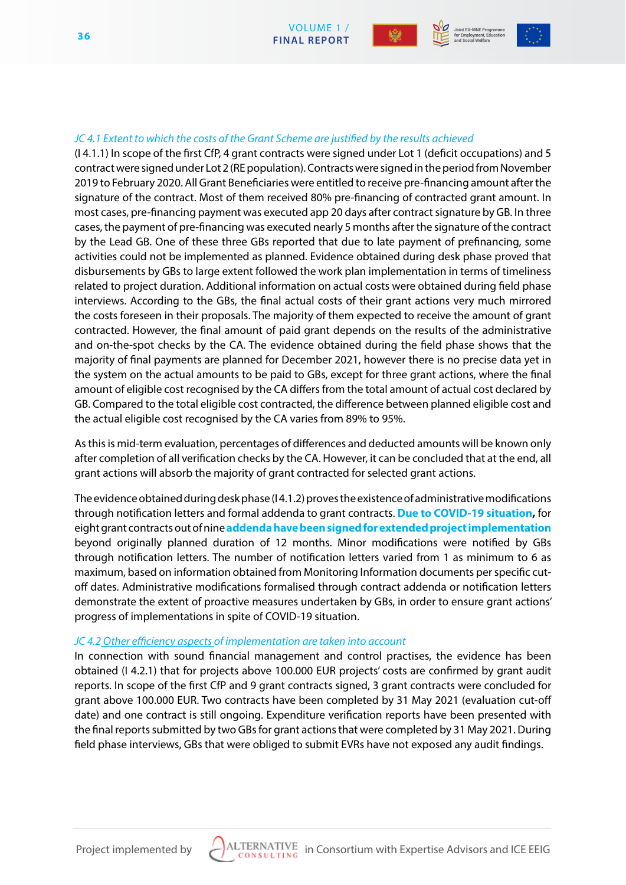



#### *JC 4.1 Extent to which the costs of the Grant Scheme are justified by the results achieved*

(I 4.1.1) In scope of the first CfP, 4 grant contracts were signed under Lot 1 (deficit occupations) and 5 contract were signed under Lot 2 (RE population). Contracts were signed in the period from November 2019 to February 2020. All Grant Beneficiaries were entitled to receive pre-financing amount after the signature of the contract. Most of them received 80% pre-financing of contracted grant amount. In most cases, pre-financing payment was executed app 20 days after contract signature by GB. In three cases, the payment of pre-financing was executed nearly 5 months after the signature of the contract by the Lead GB. One of these three GBs reported that due to late payment of prefinancing, some activities could not be implemented as planned. Evidence obtained during desk phase proved that disbursements by GBs to large extent followed the work plan implementation in terms of timeliness related to project duration. Additional information on actual costs were obtained during field phase interviews. According to the GBs, the final actual costs of their grant actions very much mirrored the costs foreseen in their proposals. The majority of them expected to receive the amount of grant contracted. However, the final amount of paid grant depends on the results of the administrative and on-the-spot checks by the CA. The evidence obtained during the field phase shows that the majority of final payments are planned for December 2021, however there is no precise data yet in the system on the actual amounts to be paid to GBs, except for three grant actions, where the final amount of eligible cost recognised by the CA differs from the total amount of actual cost declared by GB. Compared to the total eligible cost contracted, the difference between planned eligible cost and the actual eligible cost recognised by the CA varies from 89% to 95%.

As this is mid-term evaluation, percentages of differences and deducted amounts will be known only after completion of all verification checks by the CA. However, it can be concluded that at the end, all grant actions will absorb the majority of grant contracted for selected grant actions.

The evidence obtained during desk phase (I 4.1.2) proves the existence of administrative modifications through notification letters and formal addenda to grant contracts. **Due to COVID-19 situation,** for eight grant contracts out of nine **addenda have been signed for extended project implementation**  beyond originally planned duration of 12 months. Minor modifications were notified by GBs through notification letters. The number of notification letters varied from 1 as minimum to 6 as maximum, based on information obtained from Monitoring Information documents per specific cutoff dates. Administrative modifications formalised through contract addenda or notification letters demonstrate the extent of proactive measures undertaken by GBs, in order to ensure grant actions' progress of implementations in spite of COVID-19 situation.

#### *JC 4.2 Other efficiency aspects of implementation are taken into account*

In connection with sound financial management and control practises, the evidence has been obtained (I 4.2.1) that for projects above 100.000 EUR projects' costs are confirmed by grant audit reports. In scope of the first CfP and 9 grant contracts signed, 3 grant contracts were concluded for grant above 100.000 EUR. Two contracts have been completed by 31 May 2021 (evaluation cut-off date) and one contract is still ongoing. Expenditure verification reports have been presented with the final reports submitted by two GBs for grant actions that were completed by 31 May 2021. During field phase interviews, GBs that were obliged to submit EVRs have not exposed any audit findings.

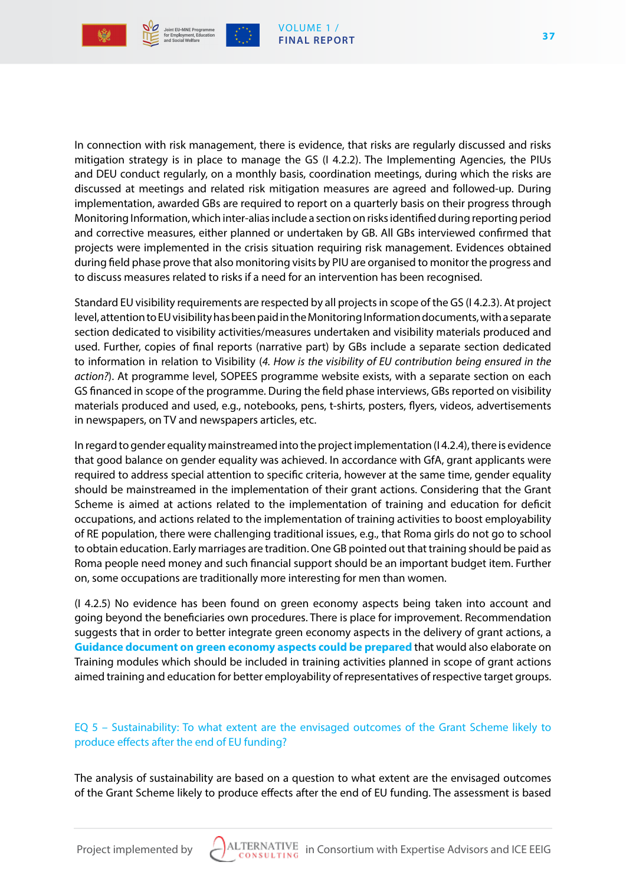

In connection with risk management, there is evidence, that risks are regularly discussed and risks mitigation strategy is in place to manage the GS (I 4.2.2). The Implementing Agencies, the PIUs and DEU conduct regularly, on a monthly basis, coordination meetings, during which the risks are discussed at meetings and related risk mitigation measures are agreed and followed-up. During implementation, awarded GBs are required to report on a quarterly basis on their progress through Monitoring Information, which inter-alias include a section on risks identified during reporting period and corrective measures, either planned or undertaken by GB. All GBs interviewed confirmed that projects were implemented in the crisis situation requiring risk management. Evidences obtained during field phase prove that also monitoring visits by PIU are organised to monitor the progress and to discuss measures related to risks if a need for an intervention has been recognised.

Standard EU visibility requirements are respected by all projects in scope of the GS (I 4.2.3). At project level, attention to EU visibility has been paid in the Monitoring Information documents, with a separate section dedicated to visibility activities/measures undertaken and visibility materials produced and used. Further, copies of final reports (narrative part) by GBs include a separate section dedicated to information in relation to Visibility (*4. How is the visibility of EU contribution being ensured in the action?*). At programme level, SOPEES programme website exists, with a separate section on each GS financed in scope of the programme. During the field phase interviews, GBs reported on visibility materials produced and used, e.g., notebooks, pens, t-shirts, posters, flyers, videos, advertisements in newspapers, on TV and newspapers articles, etc.

In regard to gender equality mainstreamed into the project implementation (I 4.2.4), there is evidence that good balance on gender equality was achieved. In accordance with GfA, grant applicants were required to address special attention to specific criteria, however at the same time, gender equality should be mainstreamed in the implementation of their grant actions. Considering that the Grant Scheme is aimed at actions related to the implementation of training and education for deficit occupations, and actions related to the implementation of training activities to boost employability of RE population, there were challenging traditional issues, e.g., that Roma girls do not go to school to obtain education. Early marriages are tradition. One GB pointed out that training should be paid as Roma people need money and such financial support should be an important budget item. Further on, some occupations are traditionally more interesting for men than women.

(I 4.2.5) No evidence has been found on green economy aspects being taken into account and going beyond the beneficiaries own procedures. There is place for improvement. Recommendation suggests that in order to better integrate green economy aspects in the delivery of grant actions, a **Guidance document on green economy aspects could be prepared** that would also elaborate on Training modules which should be included in training activities planned in scope of grant actions aimed training and education for better employability of representatives of respective target groups.

# EQ 5 – Sustainability: To what extent are the envisaged outcomes of the Grant Scheme likely to produce effects after the end of EU funding?

The analysis of sustainability are based on a question to what extent are the envisaged outcomes of the Grant Scheme likely to produce effects after the end of EU funding. The assessment is based

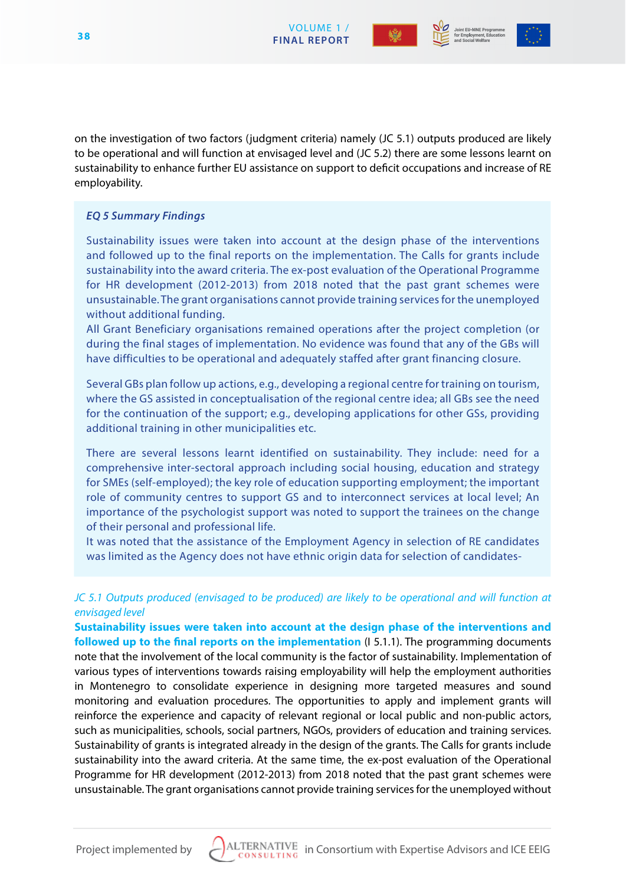



on the investigation of two factors (judgment criteria) namely (JC 5.1) outputs produced are likely to be operational and will function at envisaged level and (JC 5.2) there are some lessons learnt on sustainability to enhance further EU assistance on support to deficit occupations and increase of RE employability.

# *EQ 5 Summary Findings*

Sustainability issues were taken into account at the design phase of the interventions and followed up to the final reports on the implementation. The Calls for grants include sustainability into the award criteria. The ex-post evaluation of the Operational Programme for HR development (2012-2013) from 2018 noted that the past grant schemes were unsustainable. The grant organisations cannot provide training services for the unemployed without additional funding.

All Grant Beneficiary organisations remained operations after the project completion (or during the final stages of implementation. No evidence was found that any of the GBs will have difficulties to be operational and adequately staffed after grant financing closure.

Several GBs plan follow up actions, e.g., developing a regional centre for training on tourism, where the GS assisted in conceptualisation of the regional centre idea; all GBs see the need for the continuation of the support; e.g., developing applications for other GSs, providing additional training in other municipalities etc.

There are several lessons learnt identified on sustainability. They include: need for a comprehensive inter-sectoral approach including social housing, education and strategy for SMEs (self-employed); the key role of education supporting employment; the important role of community centres to support GS and to interconnect services at local level; An importance of the psychologist support was noted to support the trainees on the change of their personal and professional life.

It was noted that the assistance of the Employment Agency in selection of RE candidates was limited as the Agency does not have ethnic origin data for selection of candidates-

# *JC 5.1 Outputs produced (envisaged to be produced) are likely to be operational and will function at envisaged level*

**Sustainability issues were taken into account at the design phase of the interventions and followed up to the final reports on the implementation** (I 5.1.1). The programming documents note that the involvement of the local community is the factor of sustainability. Implementation of various types of interventions towards raising employability will help the employment authorities in Montenegro to consolidate experience in designing more targeted measures and sound monitoring and evaluation procedures. The opportunities to apply and implement grants will reinforce the experience and capacity of relevant regional or local public and non-public actors, such as municipalities, schools, social partners, NGOs, providers of education and training services. Sustainability of grants is integrated already in the design of the grants. The Calls for grants include sustainability into the award criteria. At the same time, the ex-post evaluation of the Operational Programme for HR development (2012-2013) from 2018 noted that the past grant schemes were unsustainable. The grant organisations cannot provide training services for the unemployed without

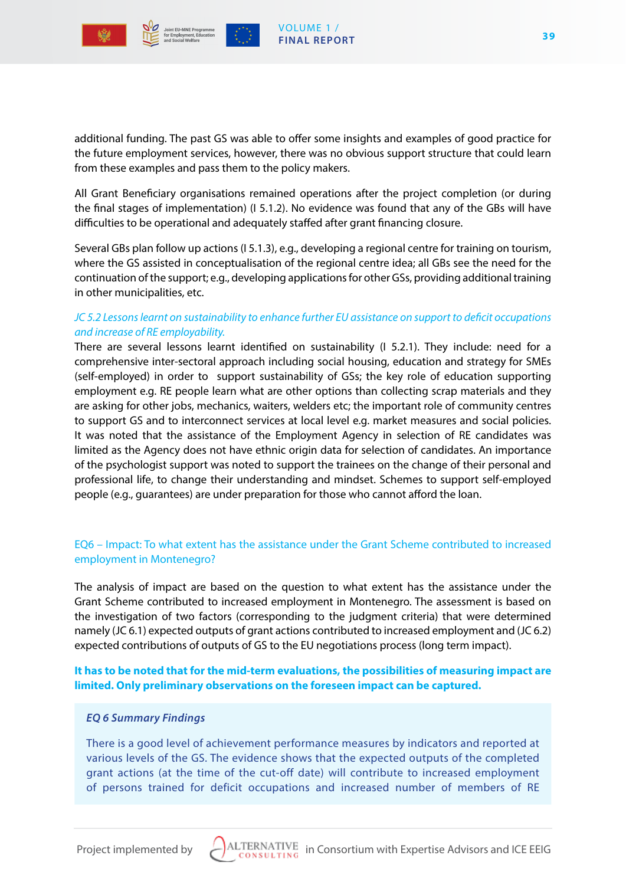

from these examples and pass them to the policy makers.

additional funding. The past GS was able to offer some insights and examples of good practice for the future employment services, however, there was no obvious support structure that could learn

All Grant Beneficiary organisations remained operations after the project completion (or during the final stages of implementation) (I 5.1.2). No evidence was found that any of the GBs will have difficulties to be operational and adequately staffed after grant financing closure.

Several GBs plan follow up actions (I 5.1.3), e.g., developing a regional centre for training on tourism, where the GS assisted in conceptualisation of the regional centre idea; all GBs see the need for the continuation of the support; e.g., developing applications for other GSs, providing additional training in other municipalities, etc.

## *JC 5.2 Lessons learnt on sustainability to enhance further EU assistance on support to deficit occupations and increase of RE employability.*

There are several lessons learnt identified on sustainability (I 5.2.1). They include: need for a comprehensive inter-sectoral approach including social housing, education and strategy for SMEs (self-employed) in order to support sustainability of GSs; the key role of education supporting employment e.g. RE people learn what are other options than collecting scrap materials and they are asking for other jobs, mechanics, waiters, welders etc; the important role of community centres to support GS and to interconnect services at local level e.g. market measures and social policies. It was noted that the assistance of the Employment Agency in selection of RE candidates was limited as the Agency does not have ethnic origin data for selection of candidates. An importance of the psychologist support was noted to support the trainees on the change of their personal and professional life, to change their understanding and mindset. Schemes to support self-employed people (e.g., guarantees) are under preparation for those who cannot afford the loan.

# EQ6 – Impact: To what extent has the assistance under the Grant Scheme contributed to increased employment in Montenegro?

The analysis of impact are based on the question to what extent has the assistance under the Grant Scheme contributed to increased employment in Montenegro. The assessment is based on the investigation of two factors (corresponding to the judgment criteria) that were determined namely (JC 6.1) expected outputs of grant actions contributed to increased employment and (JC 6.2) expected contributions of outputs of GS to the EU negotiations process (long term impact).

**It has to be noted that for the mid-term evaluations, the possibilities of measuring impact are limited. Only preliminary observations on the foreseen impact can be captured.**

#### *EQ 6 Summary Findings*

There is a good level of achievement performance measures by indicators and reported at various levels of the GS. The evidence shows that the expected outputs of the completed grant actions (at the time of the cut-off date) will contribute to increased employment of persons trained for deficit occupations and increased number of members of RE

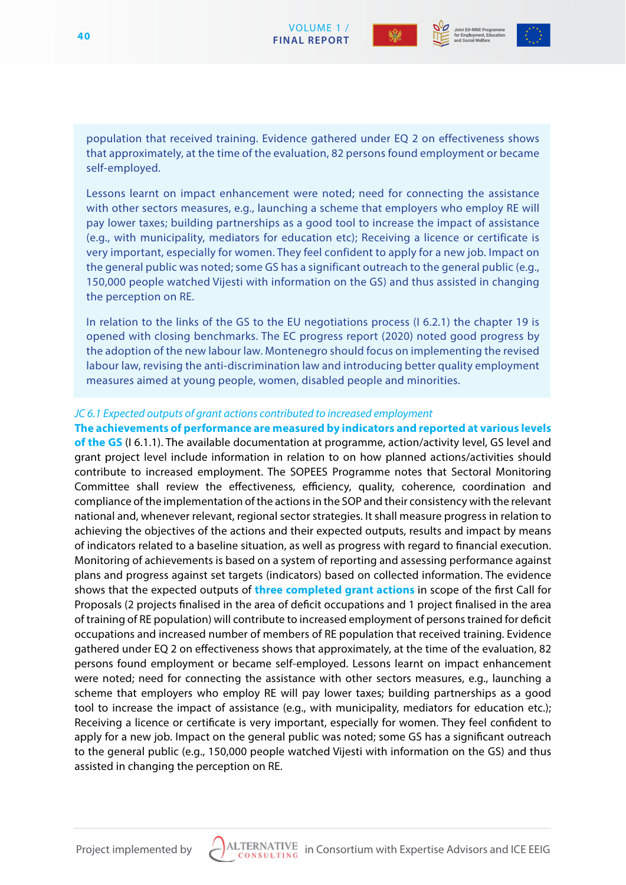



population that received training. Evidence gathered under EQ 2 on effectiveness shows that approximately, at the time of the evaluation, 82 persons found employment or became self-employed.

Lessons learnt on impact enhancement were noted; need for connecting the assistance with other sectors measures, e.g., launching a scheme that employers who employ RE will pay lower taxes; building partnerships as a good tool to increase the impact of assistance (e.g., with municipality, mediators for education etc); Receiving a licence or certificate is very important, especially for women. They feel confident to apply for a new job. Impact on the general public was noted; some GS has a significant outreach to the general public (e.g., 150,000 people watched Vijesti with information on the GS) and thus assisted in changing the perception on RE.

In relation to the links of the GS to the EU negotiations process (I 6.2.1) the chapter 19 is opened with closing benchmarks. The EC progress report (2020) noted good progress by the adoption of the new labour law. Montenegro should focus on implementing the revised labour law, revising the anti-discrimination law and introducing better quality employment measures aimed at young people, women, disabled people and minorities.

#### *JC 6.1 Expected outputs of grant actions contributed to increased employment*

#### **The achievements of performance are measured by indicators and reported at various levels**

**of the GS** (I 6.1.1). The available documentation at programme, action/activity level, GS level and grant project level include information in relation to on how planned actions/activities should contribute to increased employment. The SOPEES Programme notes that Sectoral Monitoring Committee shall review the effectiveness, efficiency, quality, coherence, coordination and compliance of the implementation of the actions in the SOP and their consistency with the relevant national and, whenever relevant, regional sector strategies. It shall measure progress in relation to achieving the objectives of the actions and their expected outputs, results and impact by means of indicators related to a baseline situation, as well as progress with regard to financial execution. Monitoring of achievements is based on a system of reporting and assessing performance against plans and progress against set targets (indicators) based on collected information. The evidence shows that the expected outputs of **three completed grant actions** in scope of the first Call for Proposals (2 projects finalised in the area of deficit occupations and 1 project finalised in the area of training of RE population) will contribute to increased employment of persons trained for deficit occupations and increased number of members of RE population that received training. Evidence gathered under EQ 2 on effectiveness shows that approximately, at the time of the evaluation, 82 persons found employment or became self-employed. Lessons learnt on impact enhancement were noted; need for connecting the assistance with other sectors measures, e.g., launching a scheme that employers who employ RE will pay lower taxes; building partnerships as a good tool to increase the impact of assistance (e.g., with municipality, mediators for education etc.); Receiving a licence or certificate is very important, especially for women. They feel confident to apply for a new job. Impact on the general public was noted; some GS has a significant outreach to the general public (e.g., 150,000 people watched Vijesti with information on the GS) and thus assisted in changing the perception on RE.

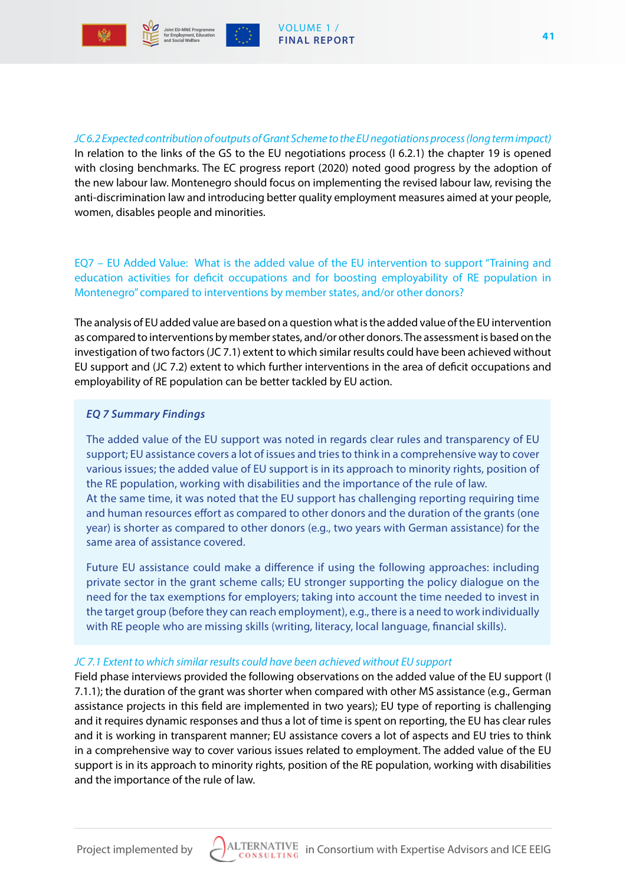



*JC 6.2 Expected contribution of outputs of Grant Scheme to the EU negotiations process (long term impact)* In relation to the links of the GS to the EU negotiations process (I 6.2.1) the chapter 19 is opened with closing benchmarks. The EC progress report (2020) noted good progress by the adoption of the new labour law. Montenegro should focus on implementing the revised labour law, revising the anti-discrimination law and introducing better quality employment measures aimed at your people, women, disables people and minorities.

EQ7 – EU Added Value: What is the added value of the EU intervention to support "Training and education activities for deficit occupations and for boosting employability of RE population in Montenegro" compared to interventions by member states, and/or other donors?

The analysis of EU added value are based on a question what is the added value of the EU intervention as compared to interventions by member states, and/or other donors. The assessment is based on the investigation of two factors (JC 7.1) extent to which similar results could have been achieved without EU support and (JC 7.2) extent to which further interventions in the area of deficit occupations and employability of RE population can be better tackled by EU action.

#### *EQ 7 Summary Findings*

The added value of the EU support was noted in regards clear rules and transparency of EU support; EU assistance covers a lot of issues and tries to think in a comprehensive way to cover various issues; the added value of EU support is in its approach to minority rights, position of the RE population, working with disabilities and the importance of the rule of law. At the same time, it was noted that the EU support has challenging reporting requiring time and human resources effort as compared to other donors and the duration of the grants (one year) is shorter as compared to other donors (e.g., two years with German assistance) for the same area of assistance covered.

Future EU assistance could make a difference if using the following approaches: including private sector in the grant scheme calls; EU stronger supporting the policy dialogue on the need for the tax exemptions for employers; taking into account the time needed to invest in the target group (before they can reach employment), e.g., there is a need to work individually with RE people who are missing skills (writing, literacy, local language, financial skills).

#### *JC 7.1 Extent to which similar results could have been achieved without EU support*

Field phase interviews provided the following observations on the added value of the EU support (I 7.1.1); the duration of the grant was shorter when compared with other MS assistance (e.g., German assistance projects in this field are implemented in two years); EU type of reporting is challenging and it requires dynamic responses and thus a lot of time is spent on reporting, the EU has clear rules and it is working in transparent manner; EU assistance covers a lot of aspects and EU tries to think in a comprehensive way to cover various issues related to employment. The added value of the EU support is in its approach to minority rights, position of the RE population, working with disabilities and the importance of the rule of law.

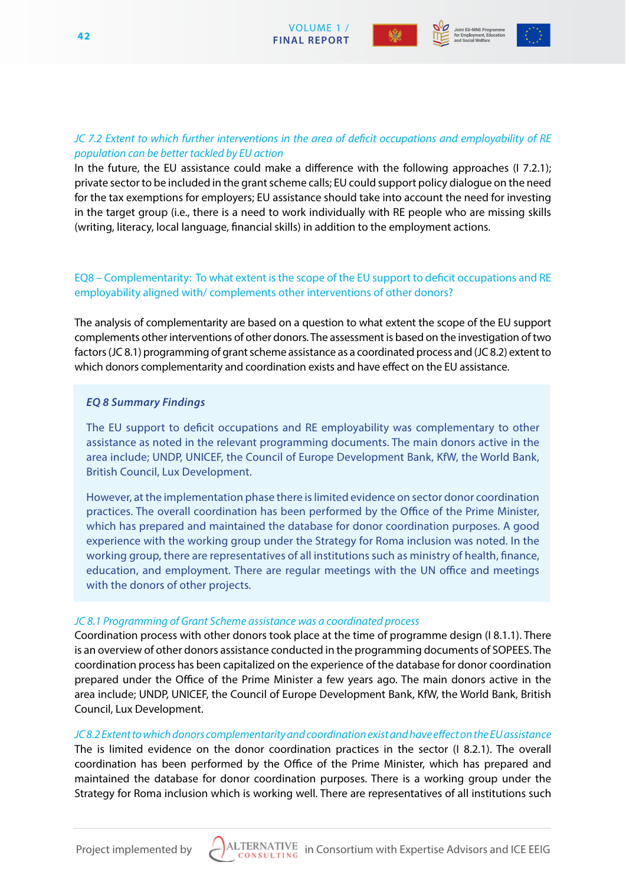





# *JC 7.2 Extent to which further interventions in the area of deficit occupations and employability of RE population can be better tackled by EU action*

In the future, the EU assistance could make a difference with the following approaches (I 7.2.1); private sector to be included in the grant scheme calls; EU could support policy dialogue on the need for the tax exemptions for employers; EU assistance should take into account the need for investing in the target group (i.e., there is a need to work individually with RE people who are missing skills (writing, literacy, local language, financial skills) in addition to the employment actions.

# EQ8 – Complementarity: To what extent is the scope of the EU support to deficit occupations and RE employability aligned with/ complements other interventions of other donors?

The analysis of complementarity are based on a question to what extent the scope of the EU support complements other interventions of other donors. The assessment is based on the investigation of two factors (JC 8.1) programming of grant scheme assistance as a coordinated process and (JC 8.2) extent to which donors complementarity and coordination exists and have effect on the EU assistance.

#### *EQ 8 Summary Findings*

The EU support to deficit occupations and RE employability was complementary to other assistance as noted in the relevant programming documents. The main donors active in the area include; UNDP, UNICEF, the Council of Europe Development Bank, KfW, the World Bank, British Council, Lux Development.

However, at the implementation phase there is limited evidence on sector donor coordination practices. The overall coordination has been performed by the Office of the Prime Minister, which has prepared and maintained the database for donor coordination purposes. A good experience with the working group under the Strategy for Roma inclusion was noted. In the working group, there are representatives of all institutions such as ministry of health, finance, education, and employment. There are regular meetings with the UN office and meetings with the donors of other projects.

#### *JC 8.1 Programming of Grant Scheme assistance was a coordinated process*

Coordination process with other donors took place at the time of programme design (I 8.1.1). There is an overview of other donors assistance conducted in the programming documents of SOPEES. The coordination process has been capitalized on the experience of the database for donor coordination prepared under the Office of the Prime Minister a few years ago. The main donors active in the area include; UNDP, UNICEF, the Council of Europe Development Bank, KfW, the World Bank, British Council, Lux Development.

*JC 8.2 Extent to which donors complementarity and coordination exist and have effect on the EU assistance* The is limited evidence on the donor coordination practices in the sector (I 8.2.1). The overall coordination has been performed by the Office of the Prime Minister, which has prepared and maintained the database for donor coordination purposes. There is a working group under the Strategy for Roma inclusion which is working well. There are representatives of all institutions such

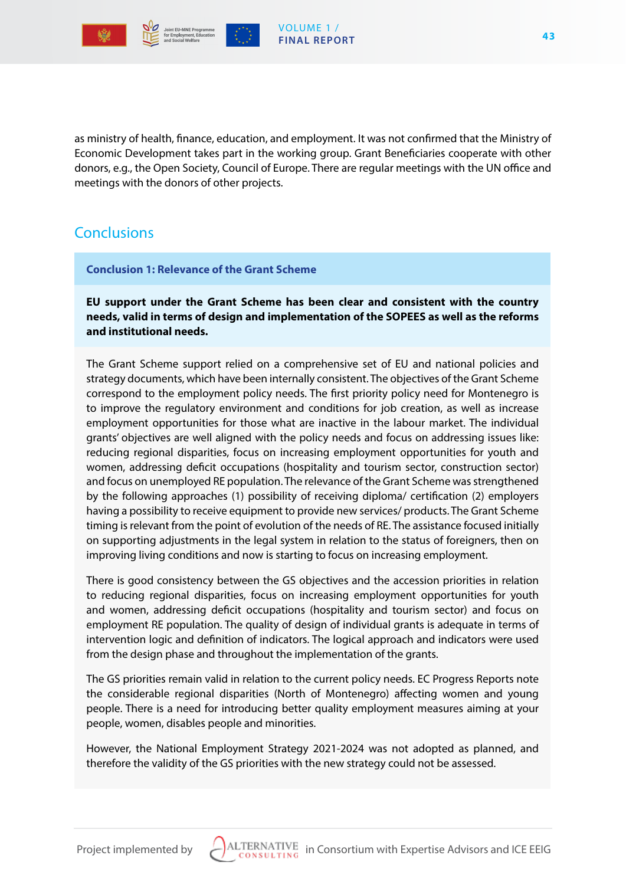

as ministry of health, finance, education, and employment. It was not confirmed that the Ministry of Economic Development takes part in the working group. Grant Beneficiaries cooperate with other donors, e.g., the Open Society, Council of Europe. There are regular meetings with the UN office and meetings with the donors of other projects.

# **Conclusions**

**Conclusion 1: Relevance of the Grant Scheme**

**EU support under the Grant Scheme has been clear and consistent with the country needs, valid in terms of design and implementation of the SOPEES as well as the reforms and institutional needs.** 

The Grant Scheme support relied on a comprehensive set of EU and national policies and strategy documents, which have been internally consistent. The objectives of the Grant Scheme correspond to the employment policy needs. The first priority policy need for Montenegro is to improve the regulatory environment and conditions for job creation, as well as increase employment opportunities for those what are inactive in the labour market. The individual grants' objectives are well aligned with the policy needs and focus on addressing issues like: reducing regional disparities, focus on increasing employment opportunities for youth and women, addressing deficit occupations (hospitality and tourism sector, construction sector) and focus on unemployed RE population. The relevance of the Grant Scheme was strengthened by the following approaches (1) possibility of receiving diploma/ certification (2) employers having a possibility to receive equipment to provide new services/ products. The Grant Scheme timing is relevant from the point of evolution of the needs of RE. The assistance focused initially on supporting adjustments in the legal system in relation to the status of foreigners, then on improving living conditions and now is starting to focus on increasing employment.

There is good consistency between the GS objectives and the accession priorities in relation to reducing regional disparities, focus on increasing employment opportunities for youth and women, addressing deficit occupations (hospitality and tourism sector) and focus on employment RE population. The quality of design of individual grants is adequate in terms of intervention logic and definition of indicators. The logical approach and indicators were used from the design phase and throughout the implementation of the grants.

The GS priorities remain valid in relation to the current policy needs. EC Progress Reports note the considerable regional disparities (North of Montenegro) affecting women and young people. There is a need for introducing better quality employment measures aiming at your people, women, disables people and minorities.

However, the National Employment Strategy 2021-2024 was not adopted as planned, and therefore the validity of the GS priorities with the new strategy could not be assessed.

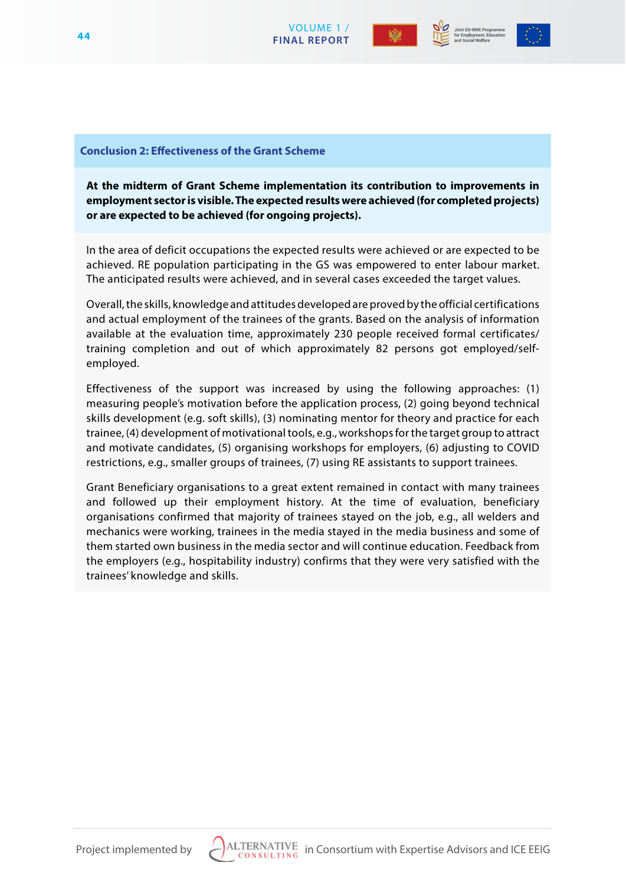





#### **Conclusion 2: Effectiveness of the Grant Scheme**

**At the midterm of Grant Scheme implementation its contribution to improvements in employment sector is visible. The expected results were achieved (for completed projects) or are expected to be achieved (for ongoing projects).** 

In the area of deficit occupations the expected results were achieved or are expected to be achieved. RE population participating in the GS was empowered to enter labour market. The anticipated results were achieved, and in several cases exceeded the target values.

Overall, the skills, knowledge and attitudes developed are proved by the official certifications and actual employment of the trainees of the grants. Based on the analysis of information available at the evaluation time, approximately 230 people received formal certificates/ training completion and out of which approximately 82 persons got employed/selfemployed.

Effectiveness of the support was increased by using the following approaches: (1) measuring people's motivation before the application process, (2) going beyond technical skills development (e.g. soft skills), (3) nominating mentor for theory and practice for each trainee, (4) development of motivational tools, e.g., workshops for the target group to attract and motivate candidates, (5) organising workshops for employers, (6) adjusting to COVID restrictions, e.g., smaller groups of trainees, (7) using RE assistants to support trainees.

Grant Beneficiary organisations to a great extent remained in contact with many trainees and followed up their employment history. At the time of evaluation, beneficiary organisations confirmed that majority of trainees stayed on the job, e.g., all welders and mechanics were working, trainees in the media stayed in the media business and some of them started own business in the media sector and will continue education. Feedback from the employers (e.g., hospitability industry) confirms that they were very satisfied with the trainees' knowledge and skills.

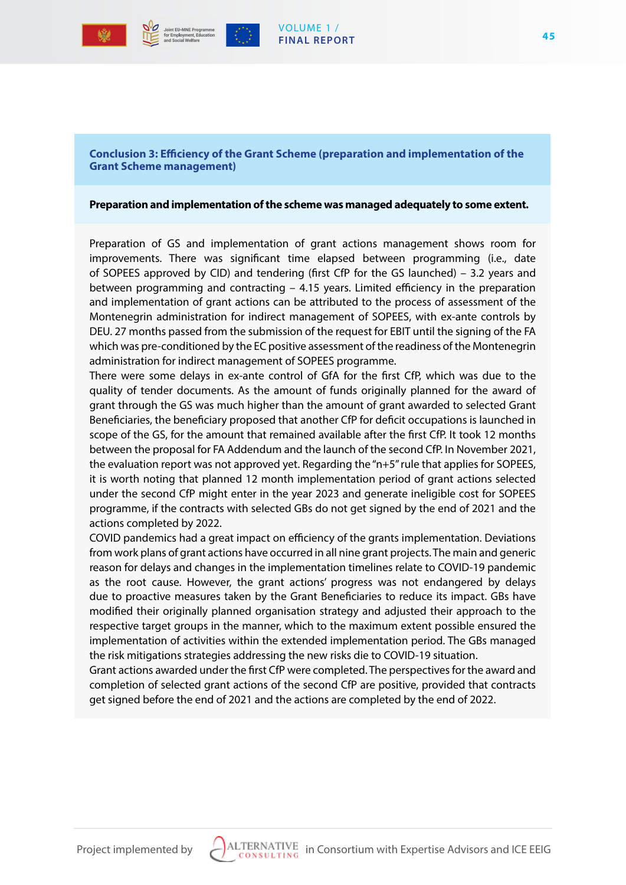



**Conclusion 3: Efficiency of the Grant Scheme (preparation and implementation of the Grant Scheme management)**

#### **Preparation and implementation of the scheme was managed adequately to some extent.**

Preparation of GS and implementation of grant actions management shows room for improvements. There was significant time elapsed between programming (i.e., date of SOPEES approved by CID) and tendering (first CfP for the GS launched) – 3.2 years and between programming and contracting – 4.15 years. Limited efficiency in the preparation and implementation of grant actions can be attributed to the process of assessment of the Montenegrin administration for indirect management of SOPEES, with ex-ante controls by DEU. 27 months passed from the submission of the request for EBIT until the signing of the FA which was pre-conditioned by the EC positive assessment of the readiness of the Montenegrin administration for indirect management of SOPEES programme.

There were some delays in ex-ante control of GfA for the first CfP, which was due to the quality of tender documents. As the amount of funds originally planned for the award of grant through the GS was much higher than the amount of grant awarded to selected Grant Beneficiaries, the beneficiary proposed that another CfP for deficit occupations is launched in scope of the GS, for the amount that remained available after the first CfP. It took 12 months between the proposal for FA Addendum and the launch of the second CfP. In November 2021, the evaluation report was not approved yet. Regarding the "n+5" rule that applies for SOPEES, it is worth noting that planned 12 month implementation period of grant actions selected under the second CfP might enter in the year 2023 and generate ineligible cost for SOPEES programme, if the contracts with selected GBs do not get signed by the end of 2021 and the actions completed by 2022.

COVID pandemics had a great impact on efficiency of the grants implementation. Deviations from work plans of grant actions have occurred in all nine grant projects. The main and generic reason for delays and changes in the implementation timelines relate to COVID-19 pandemic as the root cause. However, the grant actions' progress was not endangered by delays due to proactive measures taken by the Grant Beneficiaries to reduce its impact. GBs have modified their originally planned organisation strategy and adjusted their approach to the respective target groups in the manner, which to the maximum extent possible ensured the implementation of activities within the extended implementation period. The GBs managed the risk mitigations strategies addressing the new risks die to COVID-19 situation.

Grant actions awarded under the first CfP were completed. The perspectives for the award and completion of selected grant actions of the second CfP are positive, provided that contracts get signed before the end of 2021 and the actions are completed by the end of 2022.

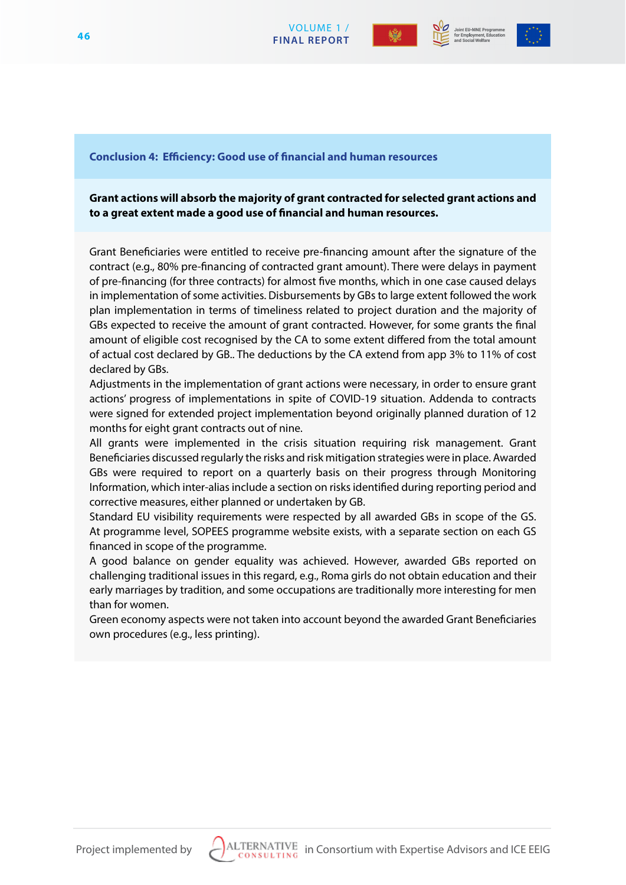



#### **Conclusion 4: Efficiency: Good use of financial and human resources**

**Grant actions will absorb the majority of grant contracted for selected grant actions and to a great extent made a good use of financial and human resources.** 

VOLUME 1 /

Grant Beneficiaries were entitled to receive pre-financing amount after the signature of the contract (e.g., 80% pre-financing of contracted grant amount). There were delays in payment of pre-financing (for three contracts) for almost five months, which in one case caused delays in implementation of some activities. Disbursements by GBs to large extent followed the work plan implementation in terms of timeliness related to project duration and the majority of GBs expected to receive the amount of grant contracted. However, for some grants the final amount of eligible cost recognised by the CA to some extent differed from the total amount of actual cost declared by GB.. The deductions by the CA extend from app 3% to 11% of cost declared by GBs.

Adjustments in the implementation of grant actions were necessary, in order to ensure grant actions' progress of implementations in spite of COVID-19 situation. Addenda to contracts were signed for extended project implementation beyond originally planned duration of 12 months for eight grant contracts out of nine.

All grants were implemented in the crisis situation requiring risk management. Grant Beneficiaries discussed regularly the risks and risk mitigation strategies were in place. Awarded GBs were required to report on a quarterly basis on their progress through Monitoring Information, which inter-alias include a section on risks identified during reporting period and corrective measures, either planned or undertaken by GB.

Standard EU visibility requirements were respected by all awarded GBs in scope of the GS. At programme level, SOPEES programme website exists, with a separate section on each GS financed in scope of the programme.

A good balance on gender equality was achieved. However, awarded GBs reported on challenging traditional issues in this regard, e.g., Roma girls do not obtain education and their early marriages by tradition, and some occupations are traditionally more interesting for men than for women.

Green economy aspects were not taken into account beyond the awarded Grant Beneficiaries own procedures (e.g., less printing).

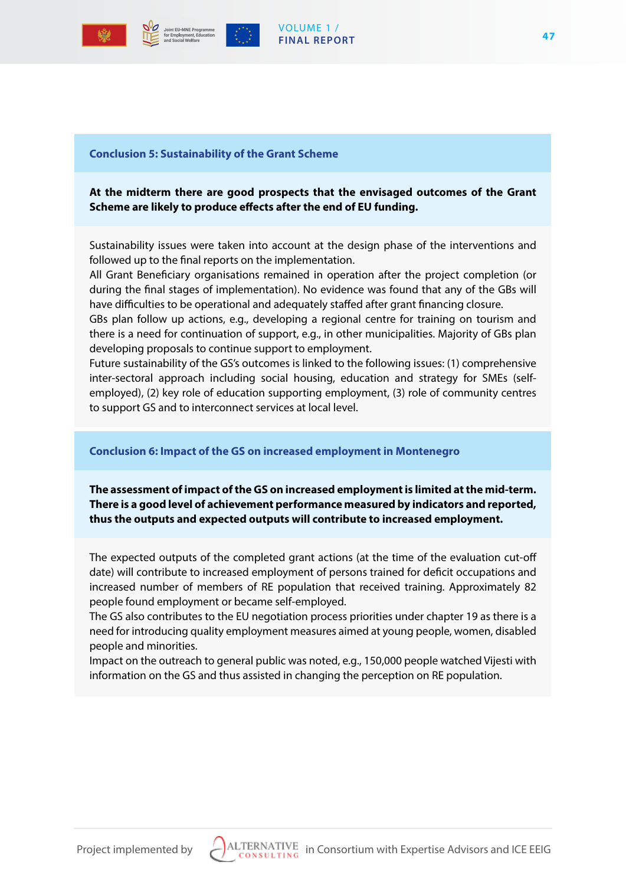



#### VOLUME 1 / **FINAL REPORT**

#### **Conclusion 5: Sustainability of the Grant Scheme**

# **At the midterm there are good prospects that the envisaged outcomes of the Grant Scheme are likely to produce effects after the end of EU funding.**

Sustainability issues were taken into account at the design phase of the interventions and followed up to the final reports on the implementation.

All Grant Beneficiary organisations remained in operation after the project completion (or during the final stages of implementation). No evidence was found that any of the GBs will have difficulties to be operational and adequately staffed after grant financing closure.

GBs plan follow up actions, e.g., developing a regional centre for training on tourism and there is a need for continuation of support, e.g., in other municipalities. Majority of GBs plan developing proposals to continue support to employment.

Future sustainability of the GS's outcomes is linked to the following issues: (1) comprehensive inter-sectoral approach including social housing, education and strategy for SMEs (selfemployed), (2) key role of education supporting employment, (3) role of community centres to support GS and to interconnect services at local level.

#### **Conclusion 6: Impact of the GS on increased employment in Montenegro**

**The assessment of impact of the GS on increased employment is limited at the mid-term. There is a good level of achievement performance measured by indicators and reported, thus the outputs and expected outputs will contribute to increased employment.** 

The expected outputs of the completed grant actions (at the time of the evaluation cut-off date) will contribute to increased employment of persons trained for deficit occupations and increased number of members of RE population that received training. Approximately 82 people found employment or became self-employed.

The GS also contributes to the EU negotiation process priorities under chapter 19 as there is a need for introducing quality employment measures aimed at young people, women, disabled people and minorities.

Impact on the outreach to general public was noted, e.g., 150,000 people watched Vijesti with information on the GS and thus assisted in changing the perception on RE population.

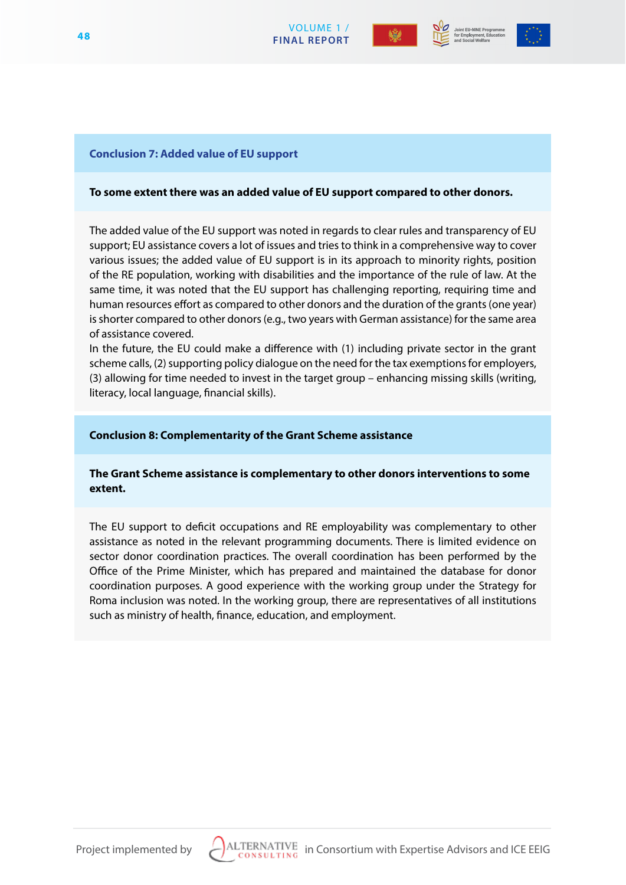



#### **Conclusion 7: Added value of EU support**

#### **To some extent there was an added value of EU support compared to other donors.**

VOLUME 1 /

The added value of the EU support was noted in regards to clear rules and transparency of EU support; EU assistance covers a lot of issues and tries to think in a comprehensive way to cover various issues; the added value of EU support is in its approach to minority rights, position of the RE population, working with disabilities and the importance of the rule of law. At the same time, it was noted that the EU support has challenging reporting, requiring time and human resources effort as compared to other donors and the duration of the grants (one year) is shorter compared to other donors (e.g., two years with German assistance) for the same area of assistance covered.

In the future, the EU could make a difference with (1) including private sector in the grant scheme calls, (2) supporting policy dialogue on the need for the tax exemptions for employers, (3) allowing for time needed to invest in the target group – enhancing missing skills (writing, literacy, local language, financial skills).

#### **Conclusion 8: Complementarity of the Grant Scheme assistance**

#### **The Grant Scheme assistance is complementary to other donors interventions to some extent.**

The EU support to deficit occupations and RE employability was complementary to other assistance as noted in the relevant programming documents. There is limited evidence on sector donor coordination practices. The overall coordination has been performed by the Office of the Prime Minister, which has prepared and maintained the database for donor coordination purposes. A good experience with the working group under the Strategy for Roma inclusion was noted. In the working group, there are representatives of all institutions such as ministry of health, finance, education, and employment.

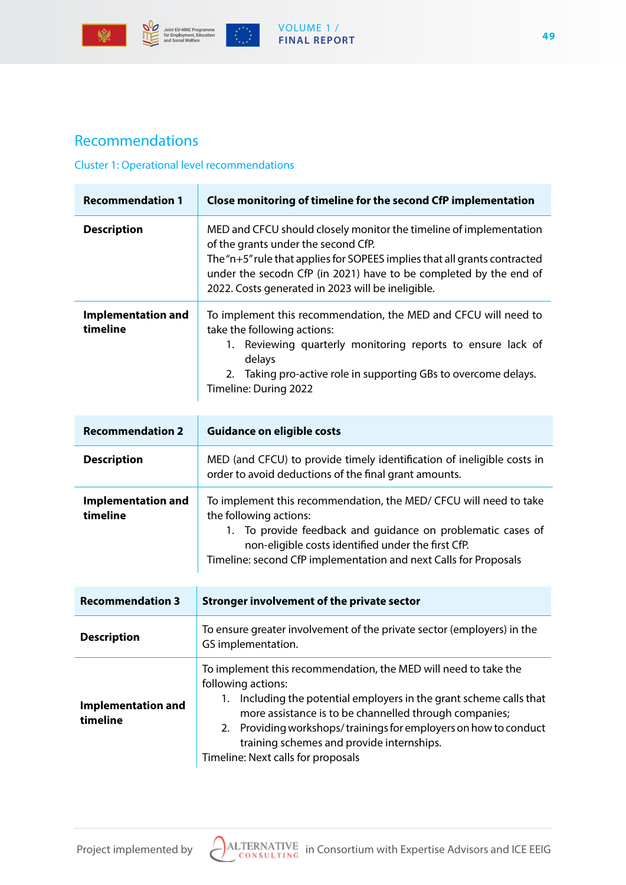



 $\begin{pmatrix} \frac{1}{2} & \frac{1}{2} & \frac{1}{2} \\ \frac{1}{2} & \frac{1}{2} & \frac{1}{2} \\ \frac{1}{2} & \frac{1}{2} & \frac{1}{2} \end{pmatrix}$ 

## VOLUME 1 / **FINAL REPORT**

# Recommendations

#### Cluster 1: Operational level recommendations

| <b>Recommendation 1</b>               | Close monitoring of timeline for the second CfP implementation                                                                                                                                                                                                                                                                                                                |
|---------------------------------------|-------------------------------------------------------------------------------------------------------------------------------------------------------------------------------------------------------------------------------------------------------------------------------------------------------------------------------------------------------------------------------|
| <b>Description</b>                    | MED and CFCU should closely monitor the timeline of implementation<br>of the grants under the second CfP.<br>The "n+5" rule that applies for SOPEES implies that all grants contracted<br>under the secodn CfP (in 2021) have to be completed by the end of<br>2022. Costs generated in 2023 will be ineligible.                                                              |
| <b>Implementation and</b><br>timeline | To implement this recommendation, the MED and CFCU will need to<br>take the following actions:<br>1. Reviewing quarterly monitoring reports to ensure lack of<br>delays<br>2. Taking pro-active role in supporting GBs to overcome delays.<br>Timeline: During 2022                                                                                                           |
| <b>Recommendation 2</b>               | <b>Guidance on eligible costs</b>                                                                                                                                                                                                                                                                                                                                             |
| <b>Description</b>                    | MED (and CFCU) to provide timely identification of ineligible costs in<br>order to avoid deductions of the final grant amounts.                                                                                                                                                                                                                                               |
| <b>Implementation and</b><br>timeline | To implement this recommendation, the MED/ CFCU will need to take<br>the following actions:<br>1. To provide feedback and guidance on problematic cases of<br>non-eligible costs identified under the first CfP.<br>Timeline: second CfP implementation and next Calls for Proposals                                                                                          |
| <b>Recommendation 3</b>               | <b>Stronger involvement of the private sector</b>                                                                                                                                                                                                                                                                                                                             |
| <b>Description</b>                    | To ensure greater involvement of the private sector (employers) in the<br>GS implementation.                                                                                                                                                                                                                                                                                  |
| <b>Implementation and</b><br>timeline | To implement this recommendation, the MED will need to take the<br>following actions:<br>1. Including the potential employers in the grant scheme calls that<br>more assistance is to be channelled through companies;<br>2. Providing workshops/trainings for employers on how to conduct<br>training schemes and provide internships.<br>Timeline: Next calls for proposals |

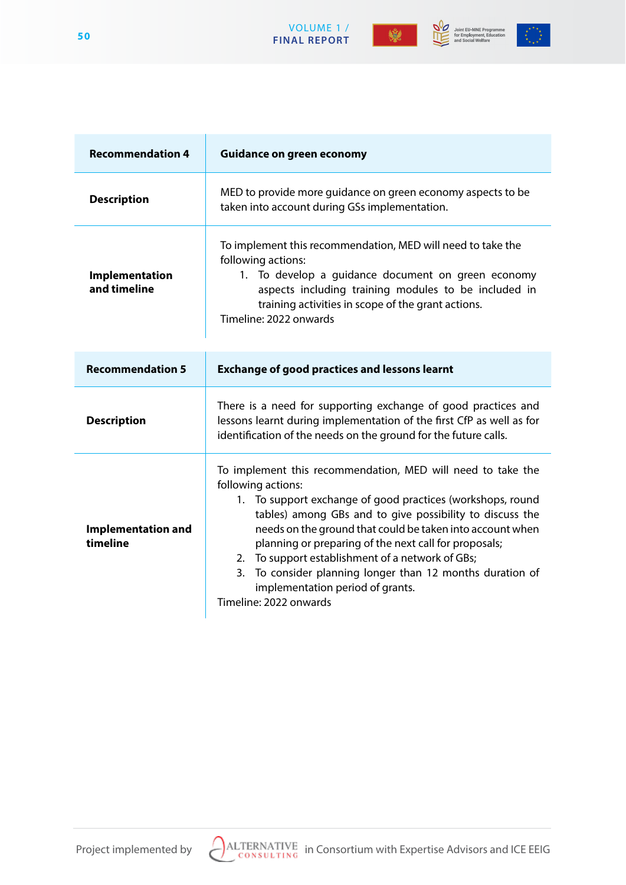



Joint EU-MNE Programme<br>for Employment, Education<br>and Social Welfare



| <b>Recommendation 4</b>               | <b>Guidance on green economy</b>                                                                                                                                                                                                                                                                                                                                                                                                                                                                                 |
|---------------------------------------|------------------------------------------------------------------------------------------------------------------------------------------------------------------------------------------------------------------------------------------------------------------------------------------------------------------------------------------------------------------------------------------------------------------------------------------------------------------------------------------------------------------|
| <b>Description</b>                    | MED to provide more guidance on green economy aspects to be<br>taken into account during GSs implementation.                                                                                                                                                                                                                                                                                                                                                                                                     |
| Implementation<br>and timeline        | To implement this recommendation, MED will need to take the<br>following actions:<br>1. To develop a guidance document on green economy<br>aspects including training modules to be included in<br>training activities in scope of the grant actions.<br>Timeline: 2022 onwards                                                                                                                                                                                                                                  |
| <b>Recommendation 5</b>               | <b>Exchange of good practices and lessons learnt</b>                                                                                                                                                                                                                                                                                                                                                                                                                                                             |
| <b>Description</b>                    | There is a need for supporting exchange of good practices and<br>lessons learnt during implementation of the first CfP as well as for<br>identification of the needs on the ground for the future calls.                                                                                                                                                                                                                                                                                                         |
| <b>Implementation and</b><br>timeline | To implement this recommendation, MED will need to take the<br>following actions:<br>1. To support exchange of good practices (workshops, round<br>tables) among GBs and to give possibility to discuss the<br>needs on the ground that could be taken into account when<br>planning or preparing of the next call for proposals;<br>2. To support establishment of a network of GBs;<br>3. To consider planning longer than 12 months duration of<br>implementation period of grants.<br>Timeline: 2022 onwards |

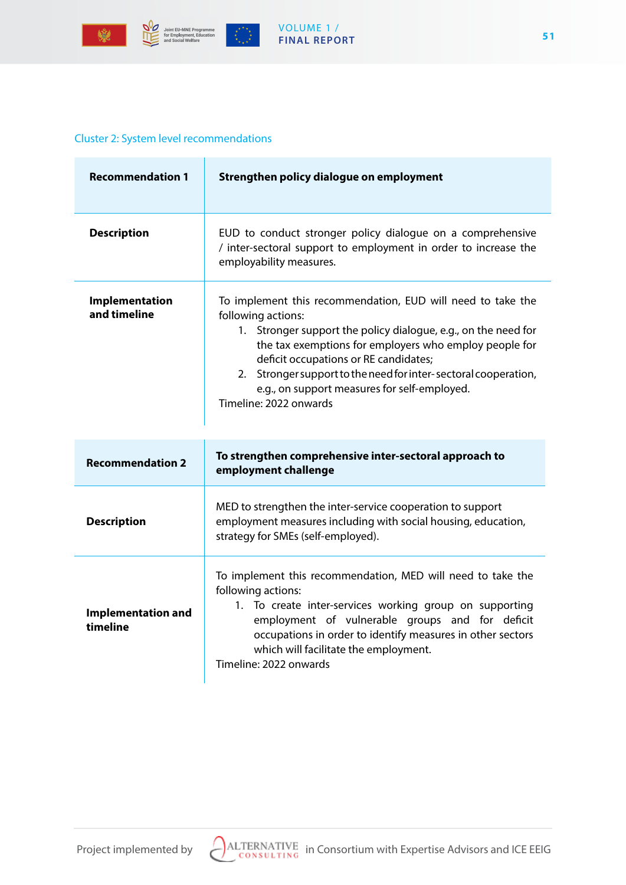



#### VOLUME 1 / **FINAL REPORT**

## Cluster 2: System level recommendations

| <b>Recommendation 1</b>        | Strengthen policy dialogue on employment                                                                                                                                                                                                                                                                                                                                                            |
|--------------------------------|-----------------------------------------------------------------------------------------------------------------------------------------------------------------------------------------------------------------------------------------------------------------------------------------------------------------------------------------------------------------------------------------------------|
| <b>Description</b>             | EUD to conduct stronger policy dialogue on a comprehensive<br>/ inter-sectoral support to employment in order to increase the<br>employability measures.                                                                                                                                                                                                                                            |
| Implementation<br>and timeline | To implement this recommendation, EUD will need to take the<br>following actions:<br>1. Stronger support the policy dialogue, e.g., on the need for<br>the tax exemptions for employers who employ people for<br>deficit occupations or RE candidates;<br>2. Stronger support to the need for inter-sectoral cooperation,<br>e.g., on support measures for self-employed.<br>Timeline: 2022 onwards |
|                                |                                                                                                                                                                                                                                                                                                                                                                                                     |
| <b>Recommendation 2</b>        | To strengthen comprehensive inter-sectoral approach to<br>employment challenge                                                                                                                                                                                                                                                                                                                      |
| <b>Description</b>             | MED to strengthen the inter-service cooperation to support<br>employment measures including with social housing, education,<br>strategy for SMEs (self-employed).                                                                                                                                                                                                                                   |



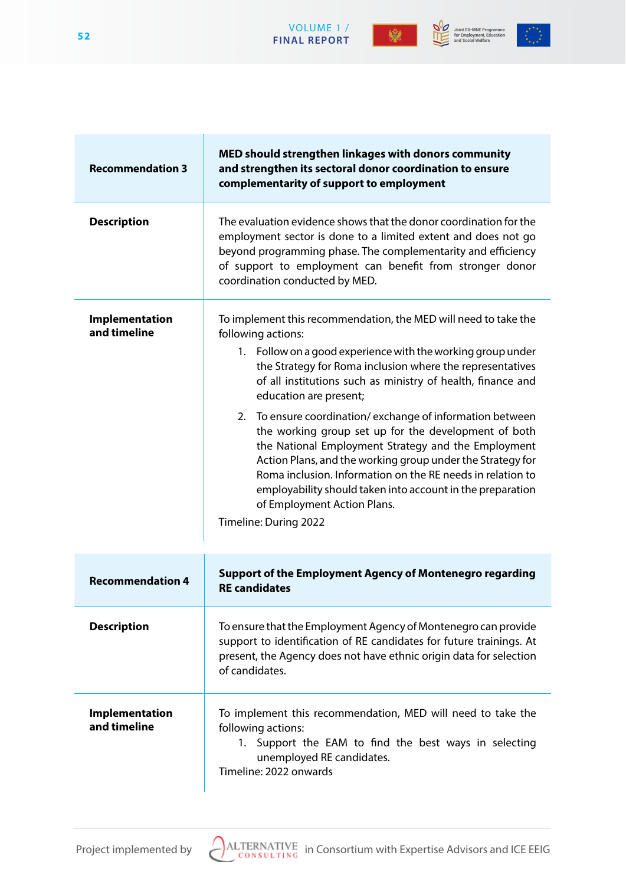





| <b>Recommendation 3</b> | MED should strengthen linkages with donors community<br>and strengthen its sectoral donor coordination to ensure<br>complementarity of cunnort to employment |
|-------------------------|--------------------------------------------------------------------------------------------------------------------------------------------------------------|

|                                | complementarity of support to employment                                                                                                                                                                                                                                                                                                                                                                                                                                                                                                                                                                                                                                                                                                    |
|--------------------------------|---------------------------------------------------------------------------------------------------------------------------------------------------------------------------------------------------------------------------------------------------------------------------------------------------------------------------------------------------------------------------------------------------------------------------------------------------------------------------------------------------------------------------------------------------------------------------------------------------------------------------------------------------------------------------------------------------------------------------------------------|
| <b>Description</b>             | The evaluation evidence shows that the donor coordination for the<br>employment sector is done to a limited extent and does not go<br>beyond programming phase. The complementarity and efficiency<br>of support to employment can benefit from stronger donor<br>coordination conducted by MED.                                                                                                                                                                                                                                                                                                                                                                                                                                            |
| Implementation<br>and timeline | To implement this recommendation, the MED will need to take the<br>following actions:<br>1. Follow on a good experience with the working group under<br>the Strategy for Roma inclusion where the representatives<br>of all institutions such as ministry of health, finance and<br>education are present;<br>To ensure coordination/exchange of information between<br>2.<br>the working group set up for the development of both<br>the National Employment Strategy and the Employment<br>Action Plans, and the working group under the Strategy for<br>Roma inclusion. Information on the RE needs in relation to<br>employability should taken into account in the preparation<br>of Employment Action Plans.<br>Timeline: During 2022 |
| <b>Recommendation 4</b>        | <b>Support of the Employment Agency of Montenegro regarding</b><br><b>RE</b> candidates                                                                                                                                                                                                                                                                                                                                                                                                                                                                                                                                                                                                                                                     |
| <b>Description</b>             | To ensure that the Employment Agency of Montenegro can provide<br>support to identification of RE candidates for future trainings. At<br>present, the Agency does not have ethnic origin data for selection<br>of candidates.                                                                                                                                                                                                                                                                                                                                                                                                                                                                                                               |
| <b>Implementation</b>          | To implement this recommendation, MED will need to take the                                                                                                                                                                                                                                                                                                                                                                                                                                                                                                                                                                                                                                                                                 |

**Implementation and timeline**

following actions: 1. Support the EAM to find the best ways in selecting unemployed RE candidates.

Timeline: 2022 onwards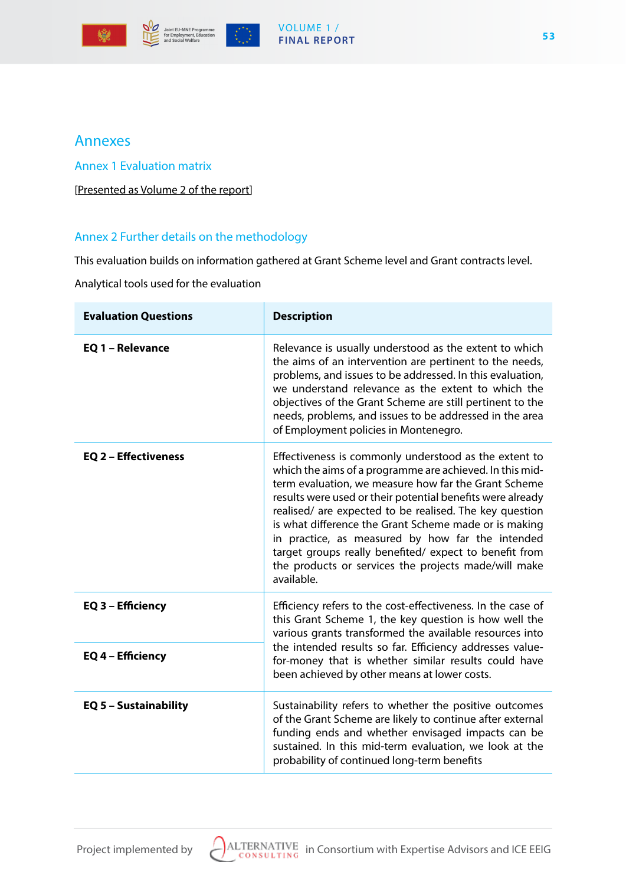





# Annexes

Annex 1 Evaluation matrix

[Presented as Volume 2 of the report]

# Annex 2 Further details on the methodology

This evaluation builds on information gathered at Grant Scheme level and Grant contracts level.

Analytical tools used for the evaluation

| <b>Evaluation Questions</b> | <b>Description</b>                                                                                                                                                                                                                                                                                                                                                                                                                                                                                                                              |  |
|-----------------------------|-------------------------------------------------------------------------------------------------------------------------------------------------------------------------------------------------------------------------------------------------------------------------------------------------------------------------------------------------------------------------------------------------------------------------------------------------------------------------------------------------------------------------------------------------|--|
| EQ 1 - Relevance            | Relevance is usually understood as the extent to which<br>the aims of an intervention are pertinent to the needs,<br>problems, and issues to be addressed. In this evaluation,<br>we understand relevance as the extent to which the<br>objectives of the Grant Scheme are still pertinent to the<br>needs, problems, and issues to be addressed in the area<br>of Employment policies in Montenegro.                                                                                                                                           |  |
| EQ 2 - Effectiveness        | Effectiveness is commonly understood as the extent to<br>which the aims of a programme are achieved. In this mid-<br>term evaluation, we measure how far the Grant Scheme<br>results were used or their potential benefits were already<br>realised/ are expected to be realised. The key question<br>is what difference the Grant Scheme made or is making<br>in practice, as measured by how far the intended<br>target groups really benefited/ expect to benefit from<br>the products or services the projects made/will make<br>available. |  |
| EQ 3 - Efficiency           | Efficiency refers to the cost-effectiveness. In the case of<br>this Grant Scheme 1, the key question is how well the<br>various grants transformed the available resources into                                                                                                                                                                                                                                                                                                                                                                 |  |
| EQ 4 - Efficiency           | the intended results so far. Efficiency addresses value-<br>for-money that is whether similar results could have<br>been achieved by other means at lower costs.                                                                                                                                                                                                                                                                                                                                                                                |  |
| EQ 5 - Sustainability       | Sustainability refers to whether the positive outcomes<br>of the Grant Scheme are likely to continue after external<br>funding ends and whether envisaged impacts can be<br>sustained. In this mid-term evaluation, we look at the<br>probability of continued long-term benefits                                                                                                                                                                                                                                                               |  |

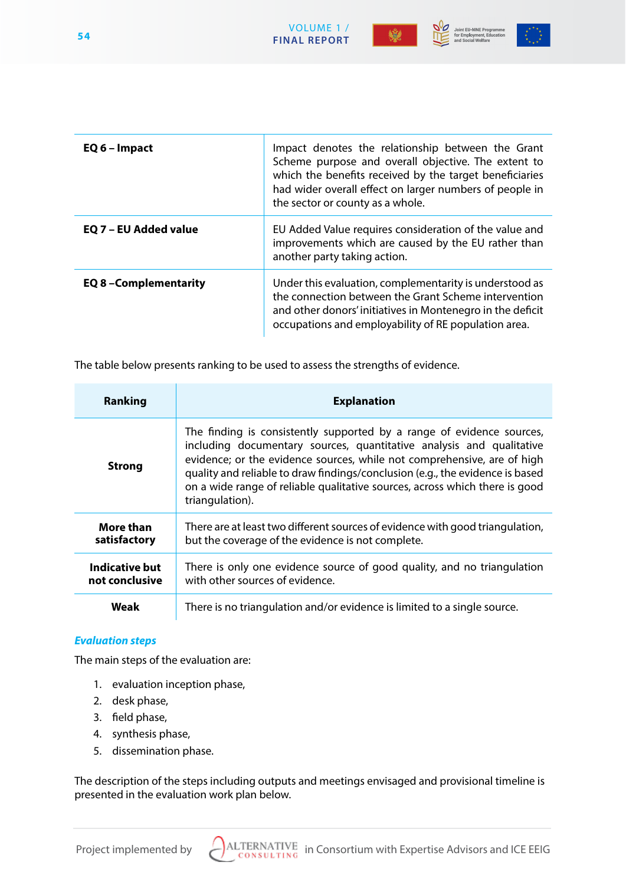





| EQ 6 - Impact               | Impact denotes the relationship between the Grant<br>Scheme purpose and overall objective. The extent to<br>which the benefits received by the target beneficiaries<br>had wider overall effect on larger numbers of people in<br>the sector or county as a whole. |
|-----------------------------|--------------------------------------------------------------------------------------------------------------------------------------------------------------------------------------------------------------------------------------------------------------------|
| EQ 7 - EU Added value       | EU Added Value requires consideration of the value and<br>improvements which are caused by the EU rather than<br>another party taking action.                                                                                                                      |
| <b>EQ 8-Complementarity</b> | Under this evaluation, complementarity is understood as<br>the connection between the Grant Scheme intervention<br>and other donors' initiatives in Montenegro in the deficit<br>occupations and employability of RE population area.                              |

VOLUME 1 /

The table below presents ranking to be used to assess the strengths of evidence.

| <b>Ranking</b>                   | <b>Explanation</b>                                                                                                                                                                                                                                                                                                                                                                                          |
|----------------------------------|-------------------------------------------------------------------------------------------------------------------------------------------------------------------------------------------------------------------------------------------------------------------------------------------------------------------------------------------------------------------------------------------------------------|
| <b>Strong</b>                    | The finding is consistently supported by a range of evidence sources,<br>including documentary sources, quantitative analysis and qualitative<br>evidence; or the evidence sources, while not comprehensive, are of high<br>quality and reliable to draw findings/conclusion (e.g., the evidence is based<br>on a wide range of reliable qualitative sources, across which there is good<br>triangulation). |
| <b>More than</b><br>satisfactory | There are at least two different sources of evidence with good triangulation,<br>but the coverage of the evidence is not complete.                                                                                                                                                                                                                                                                          |
| Indicative but<br>not conclusive | There is only one evidence source of good quality, and no triangulation<br>with other sources of evidence.                                                                                                                                                                                                                                                                                                  |
| Weak                             | There is no triangulation and/or evidence is limited to a single source.                                                                                                                                                                                                                                                                                                                                    |

#### *Evaluation steps*

The main steps of the evaluation are:

- 1. evaluation inception phase,
- 2. desk phase,
- 3. field phase,
- 4. synthesis phase,
- 5. dissemination phase.

The description of the steps including outputs and meetings envisaged and provisional timeline is presented in the evaluation work plan below.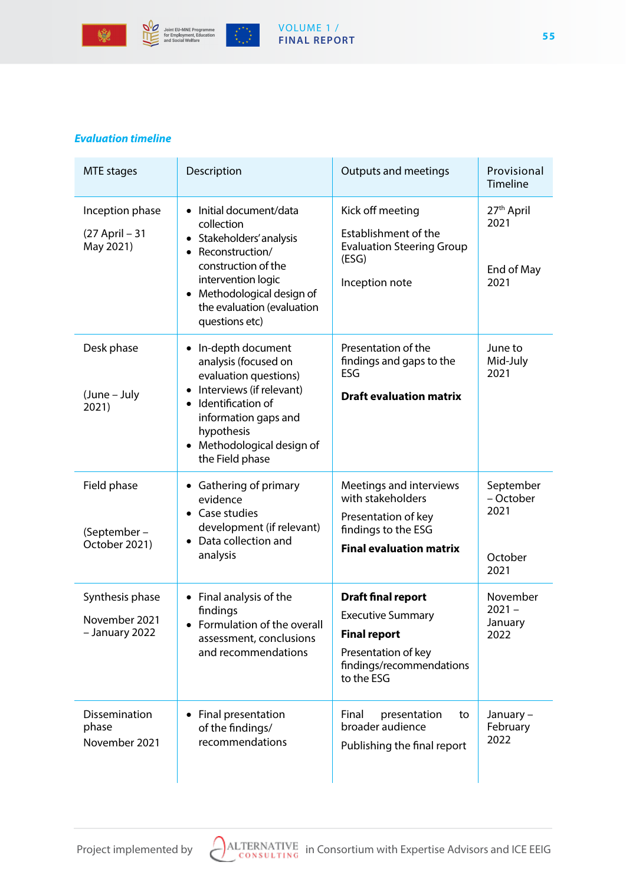



意

#### VOLUME 1 / **FINAL REPORT**

## *Evaluation timeline*

| MTE stages                                         | Description                                                                                                                                                                                                              | <b>Outputs and meetings</b>                                                                                                                   | Provisional<br><b>Timeline</b>                       |
|----------------------------------------------------|--------------------------------------------------------------------------------------------------------------------------------------------------------------------------------------------------------------------------|-----------------------------------------------------------------------------------------------------------------------------------------------|------------------------------------------------------|
| Inception phase<br>(27 April - 31<br>May 2021)     | Initial document/data<br>collection<br>• Stakeholders' analysis<br>Reconstruction/<br>construction of the<br>intervention logic<br>Methodological design of<br>$\bullet$<br>the evaluation (evaluation<br>questions etc) | Kick off meeting<br>Establishment of the<br><b>Evaluation Steering Group</b><br>(ESG)<br>Inception note                                       | 27 <sup>th</sup> April<br>2021<br>End of May<br>2021 |
| Desk phase<br>(June – July<br>2021)                | In-depth document<br>analysis (focused on<br>evaluation questions)<br>Interviews (if relevant)<br>Identification of<br>information gaps and<br>hypothesis<br>Methodological design of<br>$\bullet$<br>the Field phase    | Presentation of the<br>findings and gaps to the<br>ESG<br><b>Draft evaluation matrix</b>                                                      | June to<br>Mid-July<br>2021                          |
| Field phase<br>(September –<br>October 2021)       | Gathering of primary<br>evidence<br>• Case studies<br>development (if relevant)<br>Data collection and<br>analysis                                                                                                       | Meetings and interviews<br>with stakeholders<br>Presentation of key<br>findings to the ESG<br><b>Final evaluation matrix</b>                  | September<br>- October<br>2021<br>October<br>2021    |
| Synthesis phase<br>November 2021<br>- January 2022 | Final analysis of the<br>$\bullet$<br>findings<br>Formulation of the overall<br>assessment, conclusions<br>and recommendations                                                                                           | <b>Draft final report</b><br><b>Executive Summary</b><br><b>Final report</b><br>Presentation of key<br>findings/recommendations<br>to the ESG | November<br>$2021 -$<br>January<br>2022              |
| Dissemination<br>phase<br>November 2021            | Final presentation<br>of the findings/<br>recommendations                                                                                                                                                                | Final<br>presentation<br>to<br>broader audience<br>Publishing the final report                                                                | January –<br>February<br>2022                        |

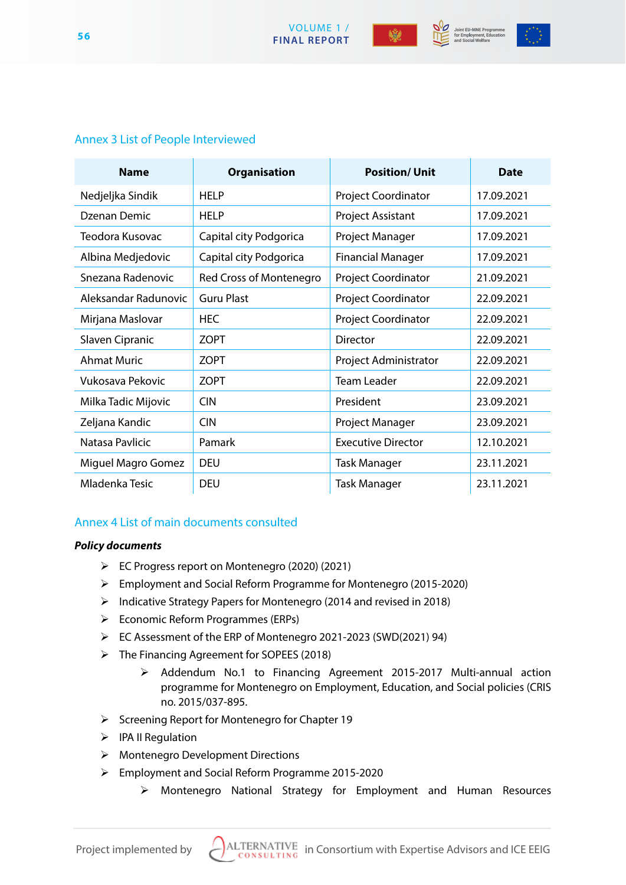

Joint EU-MNE Programme<br>for Employment, Education



# Annex 3 List of People Interviewed

| <b>Name</b>          | <b>Organisation</b>     | <b>Position/Unit</b>      | <b>Date</b> |
|----------------------|-------------------------|---------------------------|-------------|
| Nedjeljka Sindik     | <b>HELP</b>             | Project Coordinator       | 17.09.2021  |
| Dzenan Demic         | <b>HELP</b>             | Project Assistant         | 17.09.2021  |
| Teodora Kusovac      | Capital city Podgorica  | Project Manager           | 17.09.2021  |
| Albina Medjedovic    | Capital city Podgorica  | <b>Financial Manager</b>  | 17.09.2021  |
| Snezana Radenovic    | Red Cross of Montenegro | Project Coordinator       | 21.09.2021  |
| Aleksandar Radunovic | <b>Guru Plast</b>       | Project Coordinator       | 22.09.2021  |
| Mirjana Maslovar     | <b>HEC</b>              | Project Coordinator       | 22.09.2021  |
| Slaven Cipranic      | <b>ZOPT</b>             | Director                  | 22.09.2021  |
| <b>Ahmat Muric</b>   | <b>ZOPT</b>             | Project Administrator     | 22.09.2021  |
| Vukosava Pekovic     | <b>ZOPT</b>             | <b>Team Leader</b>        | 22.09.2021  |
| Milka Tadic Mijovic  | <b>CIN</b>              | President                 | 23.09.2021  |
| Zeljana Kandic       | <b>CIN</b>              | Project Manager           | 23.09.2021  |
| Natasa Pavlicic      | Pamark                  | <b>Executive Director</b> | 12.10.2021  |
| Miguel Magro Gomez   | <b>DEU</b>              | Task Manager              | 23.11.2021  |
| Mladenka Tesic       | <b>DEU</b>              | <b>Task Manager</b>       | 23.11.2021  |

# Annex 4 List of main documents consulted

# *Policy documents*

- EC Progress report on Montenegro (2020) (2021)
- Employment and Social Reform Programme for Montenegro (2015-2020)
- Indicative Strategy Papers for Montenegro (2014 and revised in 2018)
- $\triangleright$  Economic Reform Programmes (ERPs)
- EC Assessment of the ERP of Montenegro 2021-2023 (SWD(2021) 94)
- The Financing Agreement for SOPEES (2018)
	- Addendum No.1 to Financing Agreement 2015-2017 Multi-annual action programme for Montenegro on Employment, Education, and Social policies (CRIS no. 2015/037-895.
- $\triangleright$  Screening Report for Montenegro for Chapter 19
- $\triangleright$  IPA II Regulation
- Montenegro Development Directions
- Employment and Social Reform Programme 2015-2020
	- Montenegro National Strategy for Employment and Human Resources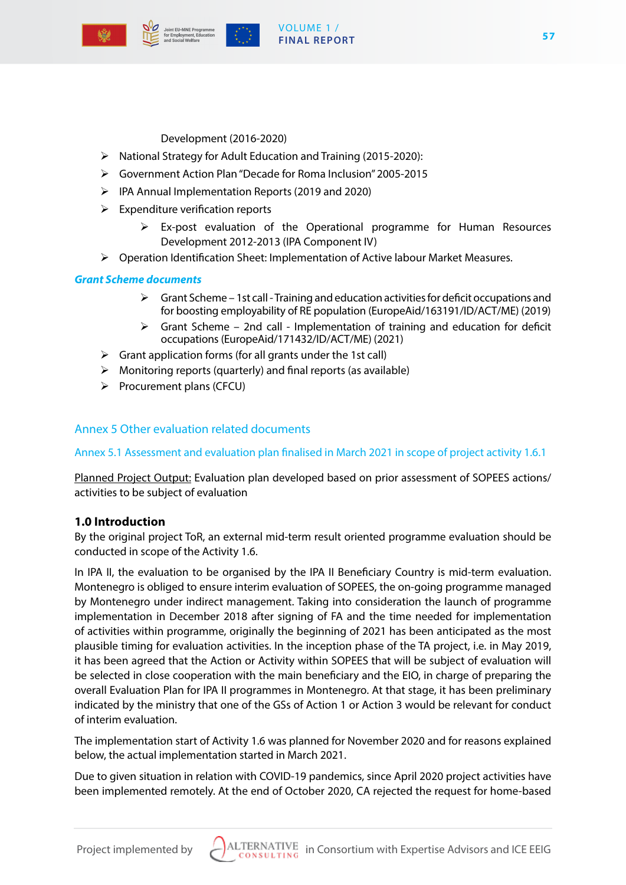

## VOLUME 1 / **FINAL REPORT**

Development (2016-2020)

- $\triangleright$  National Strategy for Adult Education and Training (2015-2020):
- Government Action Plan "Decade for Roma Inclusion" 2005-2015
- IPA Annual Implementation Reports (2019 and 2020)
- $\triangleright$  Expenditure verification reports
	- $\triangleright$  Ex-post evaluation of the Operational programme for Human Resources Development 2012-2013 (IPA Component IV)
- Operation Identification Sheet: Implementation of Active labour Market Measures.

# *Grant Scheme documents*

- $\triangleright$  Grant Scheme 1st call Training and education activities for deficit occupations and for boosting employability of RE population (EuropeAid/163191/ID/ACT/ME) (2019)
- $\triangleright$  Grant Scheme 2nd call Implementation of training and education for deficit occupations (EuropeAid/171432/ID/ACT/ME) (2021)
- $\triangleright$  Grant application forms (for all grants under the 1st call)
- $\triangleright$  Monitoring reports (quarterly) and final reports (as available)
- $\triangleright$  Procurement plans (CFCU)

# Annex 5 Other evaluation related documents

# Annex 5.1 Assessment and evaluation plan finalised in March 2021 in scope of project activity 1.6.1

Planned Project Output: Evaluation plan developed based on prior assessment of SOPEES actions/ activities to be subject of evaluation

# **1.0 Introduction**

By the original project ToR, an external mid-term result oriented programme evaluation should be conducted in scope of the Activity 1.6.

In IPA II, the evaluation to be organised by the IPA II Beneficiary Country is mid-term evaluation. Montenegro is obliged to ensure interim evaluation of SOPEES, the on-going programme managed by Montenegro under indirect management. Taking into consideration the launch of programme implementation in December 2018 after signing of FA and the time needed for implementation of activities within programme, originally the beginning of 2021 has been anticipated as the most plausible timing for evaluation activities. In the inception phase of the TA project, i.e. in May 2019, it has been agreed that the Action or Activity within SOPEES that will be subject of evaluation will be selected in close cooperation with the main beneficiary and the EIO, in charge of preparing the overall Evaluation Plan for IPA II programmes in Montenegro. At that stage, it has been preliminary indicated by the ministry that one of the GSs of Action 1 or Action 3 would be relevant for conduct of interim evaluation.

The implementation start of Activity 1.6 was planned for November 2020 and for reasons explained below, the actual implementation started in March 2021.

Due to given situation in relation with COVID-19 pandemics, since April 2020 project activities have been implemented remotely. At the end of October 2020, CA rejected the request for home-based

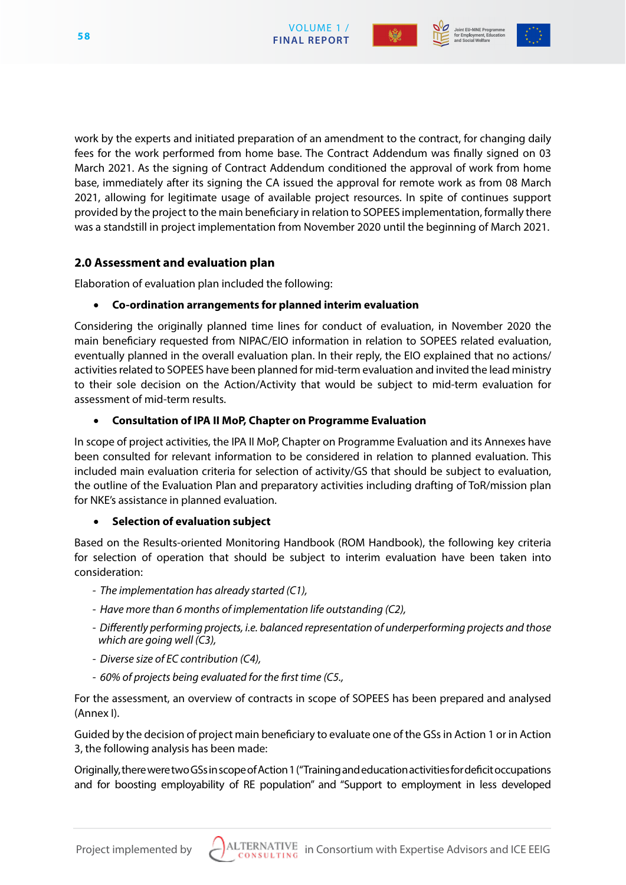



work by the experts and initiated preparation of an amendment to the contract, for changing daily fees for the work performed from home base. The Contract Addendum was finally signed on 03 March 2021. As the signing of Contract Addendum conditioned the approval of work from home base, immediately after its signing the CA issued the approval for remote work as from 08 March 2021, allowing for legitimate usage of available project resources. In spite of continues support provided by the project to the main beneficiary in relation to SOPEES implementation, formally there was a standstill in project implementation from November 2020 until the beginning of March 2021.

# **2.0 Assessment and evaluation plan**

Elaboration of evaluation plan included the following:

# • **Co-ordination arrangements for planned interim evaluation**

Considering the originally planned time lines for conduct of evaluation, in November 2020 the main beneficiary requested from NIPAC/EIO information in relation to SOPEES related evaluation, eventually planned in the overall evaluation plan. In their reply, the EIO explained that no actions/ activities related to SOPEES have been planned for mid-term evaluation and invited the lead ministry to their sole decision on the Action/Activity that would be subject to mid-term evaluation for assessment of mid-term results.

# **Consultation of IPA II MoP, Chapter on Programme Evaluation**

In scope of project activities, the IPA II MoP, Chapter on Programme Evaluation and its Annexes have been consulted for relevant information to be considered in relation to planned evaluation. This included main evaluation criteria for selection of activity/GS that should be subject to evaluation, the outline of the Evaluation Plan and preparatory activities including drafting of ToR/mission plan for NKE's assistance in planned evaluation.

# **Selection of evaluation subject**

Based on the Results-oriented Monitoring Handbook (ROM Handbook), the following key criteria for selection of operation that should be subject to interim evaluation have been taken into consideration:

- *The implementation has already started (C1),*
- *Have more than 6 months of implementation life outstanding (C2),*
- *Differently performing projects, i.e. balanced representation of underperforming projects and those which are going well (C3),*
- *Diverse size of EC contribution (C4),*
- *60% of projects being evaluated for the first time (C5.,*

For the assessment, an overview of contracts in scope of SOPEES has been prepared and analysed (Annex I).

Guided by the decision of project main beneficiary to evaluate one of the GSs in Action 1 or in Action 3, the following analysis has been made:

Originally, there were two GSs in scope of Action 1 ("Training and education activities for deficit occupations and for boosting employability of RE population" and "Support to employment in less developed

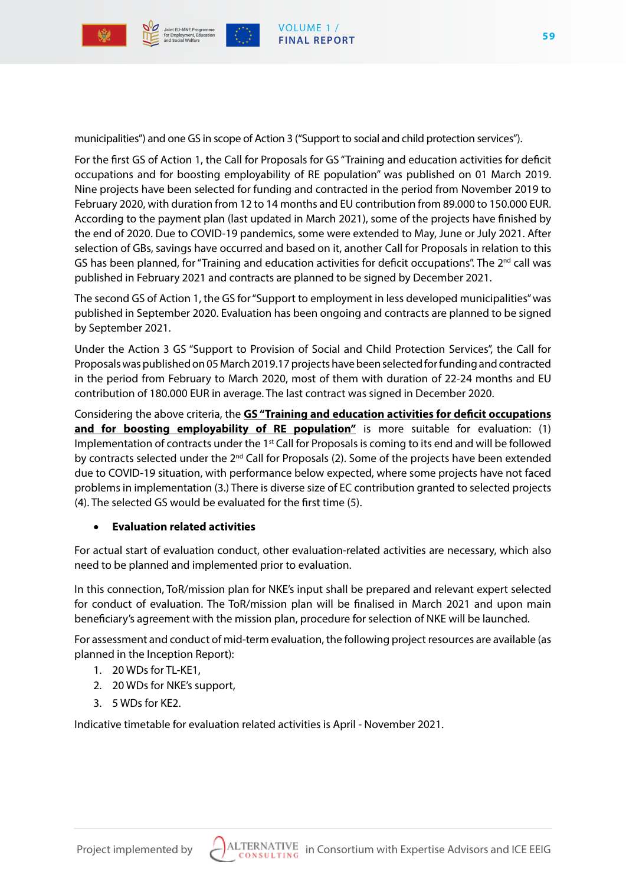

municipalities") and one GS in scope of Action 3 ("Support to social and child protection services").

For the first GS of Action 1, the Call for Proposals for GS "Training and education activities for deficit occupations and for boosting employability of RE population" was published on 01 March 2019. Nine projects have been selected for funding and contracted in the period from November 2019 to February 2020, with duration from 12 to 14 months and EU contribution from 89.000 to 150.000 EUR. According to the payment plan (last updated in March 2021), some of the projects have finished by the end of 2020. Due to COVID-19 pandemics, some were extended to May, June or July 2021. After selection of GBs, savings have occurred and based on it, another Call for Proposals in relation to this GS has been planned, for "Training and education activities for deficit occupations". The  $2^{nd}$  call was published in February 2021 and contracts are planned to be signed by December 2021.

The second GS of Action 1, the GS for "Support to employment in less developed municipalities" was published in September 2020. Evaluation has been ongoing and contracts are planned to be signed by September 2021.

Under the Action 3 GS "Support to Provision of Social and Child Protection Services", the Call for Proposals was published on 05 March 2019.17 projects have been selected for funding and contracted in the period from February to March 2020, most of them with duration of 22-24 months and EU contribution of 180.000 EUR in average. The last contract was signed in December 2020.

Considering the above criteria, the **GS "Training and education activities for deficit occupations**  and for boosting employability of RE population" is more suitable for evaluation: (1) Implementation of contracts under the 1<sup>st</sup> Call for Proposals is coming to its end and will be followed by contracts selected under the 2<sup>nd</sup> Call for Proposals (2). Some of the projects have been extended due to COVID-19 situation, with performance below expected, where some projects have not faced problems in implementation (3.) There is diverse size of EC contribution granted to selected projects (4). The selected GS would be evaluated for the first time (5).

#### **Evaluation related activities**

For actual start of evaluation conduct, other evaluation-related activities are necessary, which also need to be planned and implemented prior to evaluation.

In this connection, ToR/mission plan for NKE's input shall be prepared and relevant expert selected for conduct of evaluation. The ToR/mission plan will be finalised in March 2021 and upon main beneficiary's agreement with the mission plan, procedure for selection of NKE will be launched.

For assessment and conduct of mid-term evaluation, the following project resources are available (as planned in the Inception Report):

- 1. 20 WDs for TL-KE1,
- 2. 20 WDs for NKE's support,
- 3. 5 WDs for KE2.

Indicative timetable for evaluation related activities is April - November 2021.

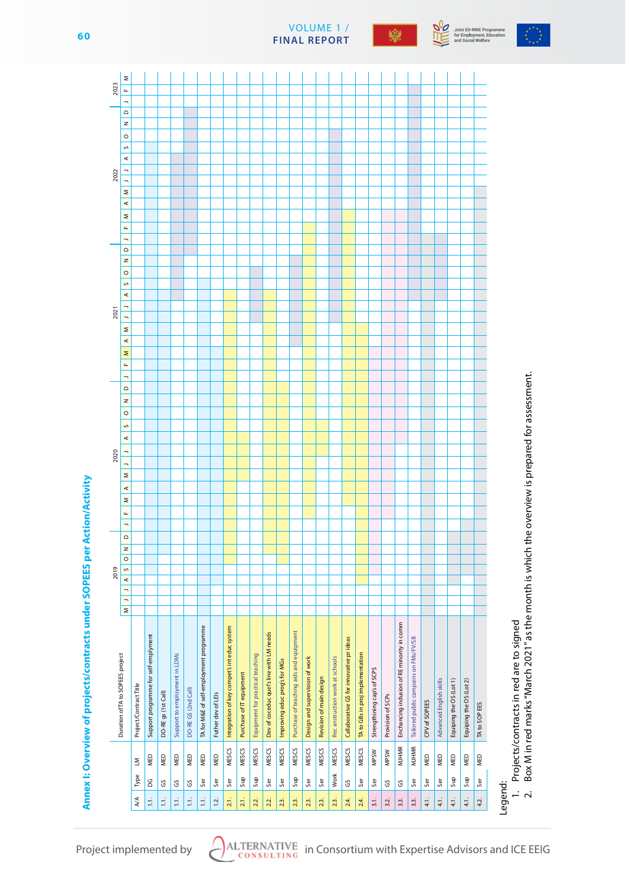







Joint EU-MNE Programme<br>for Employment, Education<br>and Social Welfare

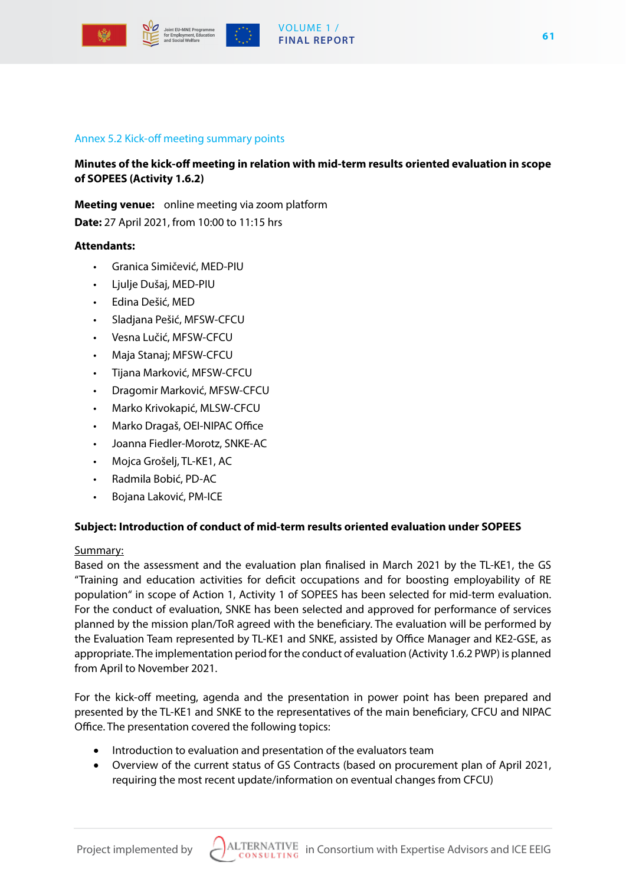

## VOLUME 1 / **FINAL REPORT**

#### Annex 5.2 Kick-off meeting summary points

**Minutes of the kick-off meeting in relation with mid-term results oriented evaluation in scope of SOPEES (Activity 1.6.2)**

**Meeting venue:** online meeting via zoom platform

**Date:** 27 April 2021, from 10:00 to 11:15 hrs

#### **Attendants:**

- Granica Simičević, MED-PIU
- Ljulje Dušaj, MED-PIU
- Edina Dešić, MED
- Sladjana Pešić, MFSW-CFCU
- Vesna Lučić, MFSW-CFCU
- Maja Stanaj; MFSW-CFCU
- Tijana Marković, MFSW-CFCU
- Dragomir Marković, MFSW-CFCU
- Marko Krivokapić, MLSW-CFCU
- Marko Dragaš, OEI-NIPAC Office
- Joanna Fiedler-Morotz, SNKE-AC
- Mojca Grošelj, TL-KE1, AC
- Radmila Bobić, PD-AC
- Bojana Laković, PM-ICE

#### **Subject: Introduction of conduct of mid-term results oriented evaluation under SOPEES**

#### Summary:

Based on the assessment and the evaluation plan finalised in March 2021 by the TL-KE1, the GS "Training and education activities for deficit occupations and for boosting employability of RE population" in scope of Action 1, Activity 1 of SOPEES has been selected for mid-term evaluation. For the conduct of evaluation, SNKE has been selected and approved for performance of services planned by the mission plan/ToR agreed with the beneficiary. The evaluation will be performed by the Evaluation Team represented by TL-KE1 and SNKE, assisted by Office Manager and KE2-GSE, as appropriate. The implementation period for the conduct of evaluation (Activity 1.6.2 PWP) is planned from April to November 2021.

For the kick-off meeting, agenda and the presentation in power point has been prepared and presented by the TL-KE1 and SNKE to the representatives of the main beneficiary, CFCU and NIPAC Office. The presentation covered the following topics:

- Introduction to evaluation and presentation of the evaluators team
- Overview of the current status of GS Contracts (based on procurement plan of April 2021, requiring the most recent update/information on eventual changes from CFCU)

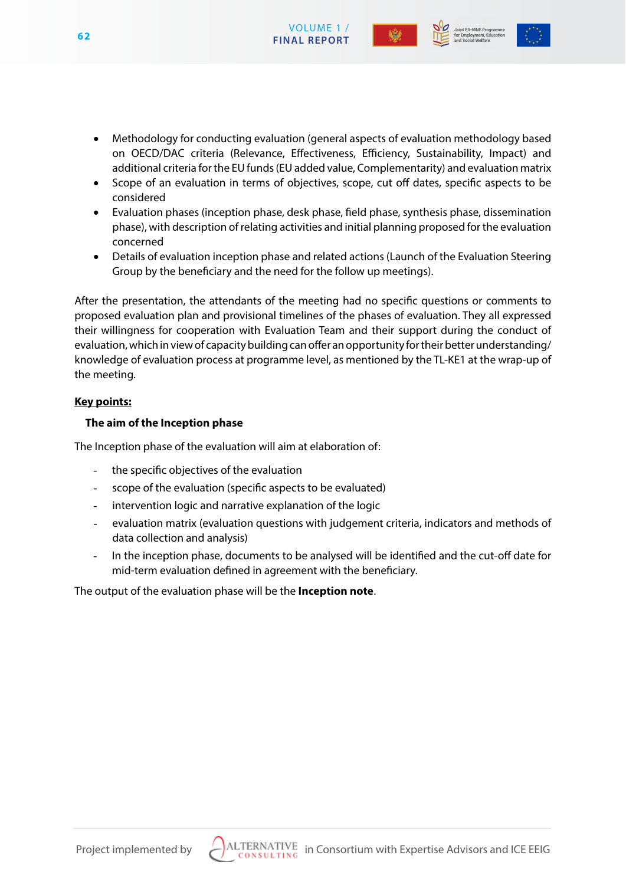





- Methodology for conducting evaluation (general aspects of evaluation methodology based on OECD/DAC criteria (Relevance, Effectiveness, Efficiency, Sustainability, Impact) and additional criteria for the EU funds (EU added value, Complementarity) and evaluation matrix
- Scope of an evaluation in terms of objectives, scope, cut off dates, specific aspects to be considered
- Evaluation phases (inception phase, desk phase, field phase, synthesis phase, dissemination phase), with description of relating activities and initial planning proposed for the evaluation concerned
- Details of evaluation inception phase and related actions (Launch of the Evaluation Steering Group by the beneficiary and the need for the follow up meetings).

After the presentation, the attendants of the meeting had no specific questions or comments to proposed evaluation plan and provisional timelines of the phases of evaluation. They all expressed their willingness for cooperation with Evaluation Team and their support during the conduct of evaluation, which in view of capacity building can offer an opportunity for their better understanding/ knowledge of evaluation process at programme level, as mentioned by the TL-KE1 at the wrap-up of the meeting.

# **Key points:**

# **The aim of the Inception phase**

The Inception phase of the evaluation will aim at elaboration of:

- the specific objectives of the evaluation
- scope of the evaluation (specific aspects to be evaluated)
- intervention logic and narrative explanation of the logic
- evaluation matrix (evaluation questions with judgement criteria, indicators and methods of data collection and analysis)
- In the inception phase, documents to be analysed will be identified and the cut-off date for mid-term evaluation defined in agreement with the beneficiary.

The output of the evaluation phase will be the **Inception note**.

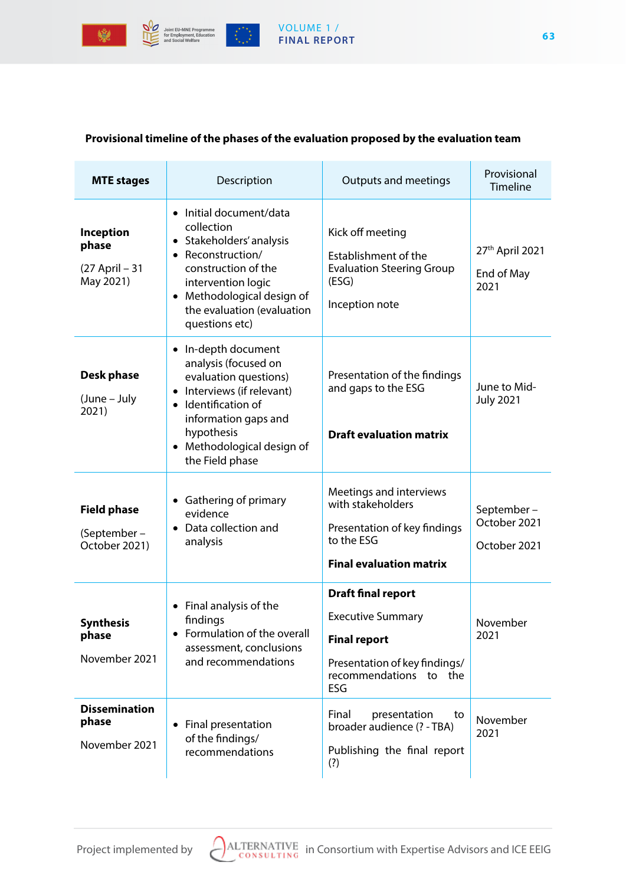

# VOLUME 1 / **FINAL REPORT**

# **Provisional timeline of the phases of the evaluation proposed by the evaluation team**

| <b>MTE</b> stages                                        | Description                                                                                                                                                                                                                                        | Outputs and meetings                                                                                                                              | Provisional<br>Timeline                    |
|----------------------------------------------------------|----------------------------------------------------------------------------------------------------------------------------------------------------------------------------------------------------------------------------------------------------|---------------------------------------------------------------------------------------------------------------------------------------------------|--------------------------------------------|
| <b>Inception</b><br>phase<br>(27 April - 31<br>May 2021) | • Initial document/data<br>collection<br>Stakeholders' analysis<br>$\bullet$<br>Reconstruction/<br>$\bullet$<br>construction of the<br>intervention logic<br>Methodological design of<br>$\bullet$<br>the evaluation (evaluation<br>questions etc) | Kick off meeting<br>Establishment of the<br><b>Evaluation Steering Group</b><br>(ESG)<br>Inception note                                           | 27th April 2021<br>End of May<br>2021      |
| <b>Desk phase</b><br>(June – July<br>2021)               | In-depth document<br>$\bullet$<br>analysis (focused on<br>evaluation questions)<br>Interviews (if relevant)<br>Identification of<br>$\bullet$<br>information gaps and<br>hypothesis<br>Methodological design of<br>$\bullet$<br>the Field phase    | Presentation of the findings<br>and gaps to the ESG<br><b>Draft evaluation matrix</b>                                                             | June to Mid-<br><b>July 2021</b>           |
| <b>Field phase</b><br>(September-<br>October 2021)       | Gathering of primary<br>$\bullet$<br>evidence<br>Data collection and<br>$\bullet$<br>analysis                                                                                                                                                      | Meetings and interviews<br>with stakeholders<br>Presentation of key findings<br>to the ESG<br><b>Final evaluation matrix</b>                      | September-<br>October 2021<br>October 2021 |
| <b>Synthesis</b><br>phase<br>November 2021               | Final analysis of the<br>$\bullet$<br>findings<br>Formulation of the overall<br>assessment, conclusions<br>and recommendations                                                                                                                     | <b>Draft final report</b><br><b>Executive Summary</b><br><b>Final report</b><br>Presentation of key findings/<br>recommendations<br>to the<br>ESG | November<br>2021                           |
| <b>Dissemination</b><br>phase<br>November 2021           | • Final presentation<br>of the findings/<br>recommendations                                                                                                                                                                                        | Final<br>presentation<br>to<br>broader audience (? - TBA)<br>Publishing the final report<br>(?)                                                   | November<br>2021                           |

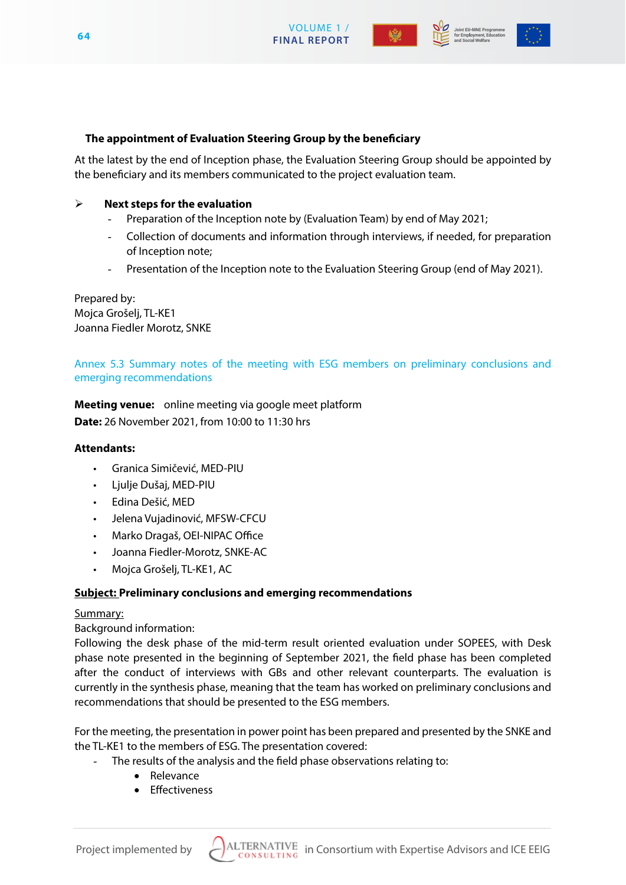







#### **The appointment of Evaluation Steering Group by the beneficiary**

At the latest by the end of Inception phase, the Evaluation Steering Group should be appointed by the beneficiary and its members communicated to the project evaluation team.

#### **Next steps for the evaluation**

- Preparation of the Inception note by (Evaluation Team) by end of May 2021;
- Collection of documents and information through interviews, if needed, for preparation of Inception note;
- Presentation of the Inception note to the Evaluation Steering Group (end of May 2021).

Prepared by: Mojca Grošelj, TL-KE1 Joanna Fiedler Morotz, SNKE

# Annex 5.3 Summary notes of the meeting with ESG members on preliminary conclusions and emerging recommendations

**Meeting venue:** online meeting via google meet platform **Date:** 26 November 2021, from 10:00 to 11:30 hrs

#### **Attendants:**

- Granica Simičević, MED-PIU
- Ljulje Dušaj, MED-PIU
- Edina Dešić, MED
- Jelena Vujadinović, MFSW-CFCU
- Marko Dragaš, OEI-NIPAC Office
- Joanna Fiedler-Morotz, SNKE-AC
- Mojca Grošelj, TL-KE1, AC

#### **Subject: Preliminary conclusions and emerging recommendations**

#### Summary:

#### Background information:

Following the desk phase of the mid-term result oriented evaluation under SOPEES, with Desk phase note presented in the beginning of September 2021, the field phase has been completed after the conduct of interviews with GBs and other relevant counterparts. The evaluation is currently in the synthesis phase, meaning that the team has worked on preliminary conclusions and recommendations that should be presented to the ESG members.

For the meeting, the presentation in power point has been prepared and presented by the SNKE and the TL-KE1 to the members of ESG. The presentation covered:

- The results of the analysis and the field phase observations relating to:
	- • Relevance
	- • Effectiveness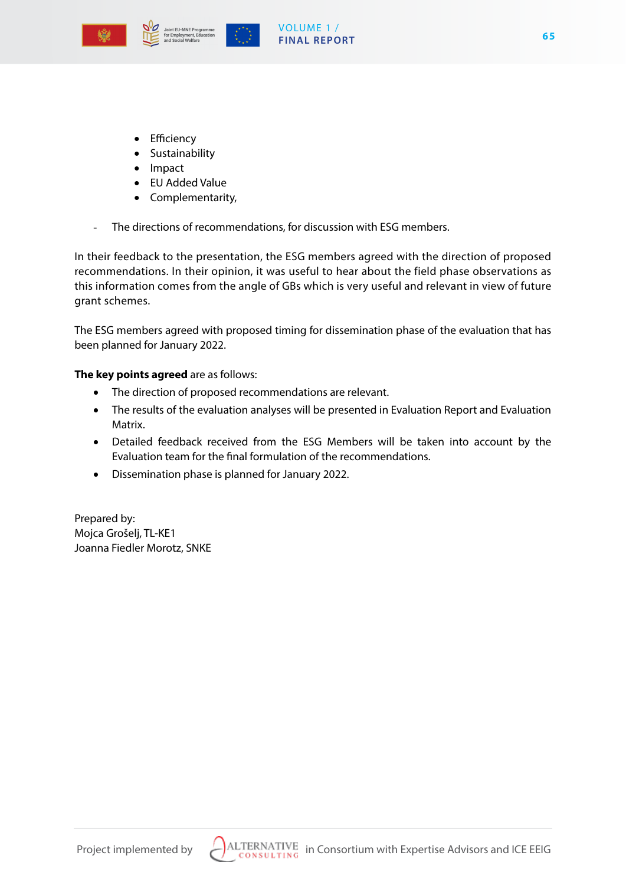





- • Efficiency
- • Sustainability
- • Impact
- • EU Added Value
- Complementarity,
- The directions of recommendations, for discussion with ESG members.

In their feedback to the presentation, the ESG members agreed with the direction of proposed recommendations. In their opinion, it was useful to hear about the field phase observations as this information comes from the angle of GBs which is very useful and relevant in view of future grant schemes.

The ESG members agreed with proposed timing for dissemination phase of the evaluation that has been planned for January 2022.

#### **The key points agreed** are as follows:

- The direction of proposed recommendations are relevant.
- The results of the evaluation analyses will be presented in Evaluation Report and Evaluation Matrix.
- • Detailed feedback received from the ESG Members will be taken into account by the Evaluation team for the final formulation of the recommendations.
- • Dissemination phase is planned for January 2022.

Prepared by: Mojca Grošelj, TL-KE1 Joanna Fiedler Morotz, SNKE